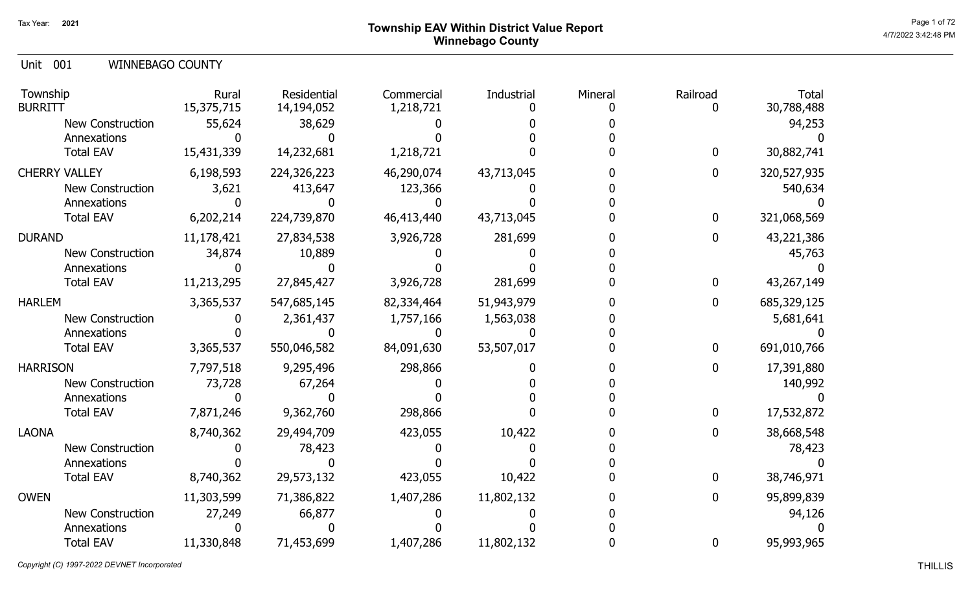## Page 1 of 72  $^{\text{Page 1 of 72}}$ Winnebago County

Unit 001 WINNEBAGO COUNTY

| Township<br><b>BURRITT</b> | Rural<br>15,375,715 | Residential<br>14,194,052 | Commercial<br>1,218,721 | Industrial | Mineral | Railroad | <b>Total</b><br>30,788,488 |
|----------------------------|---------------------|---------------------------|-------------------------|------------|---------|----------|----------------------------|
| New Construction           | 55,624              | 38,629                    |                         |            |         |          | 94,253                     |
| Annexations                |                     |                           |                         |            |         |          |                            |
| <b>Total EAV</b>           | 15,431,339          | 14,232,681                | 1,218,721               |            |         | 0        | 30,882,741                 |
| <b>CHERRY VALLEY</b>       | 6,198,593           | 224,326,223               | 46,290,074              | 43,713,045 |         | 0        | 320,527,935                |
| New Construction           | 3,621               | 413,647                   | 123,366                 |            |         |          | 540,634                    |
| Annexations                |                     |                           |                         |            |         |          |                            |
| <b>Total EAV</b>           | 6,202,214           | 224,739,870               | 46,413,440              | 43,713,045 |         | 0        | 321,068,569                |
| <b>DURAND</b>              | 11,178,421          | 27,834,538                | 3,926,728               | 281,699    |         | 0        | 43,221,386                 |
| <b>New Construction</b>    | 34,874              | 10,889                    |                         |            |         |          | 45,763                     |
| Annexations                |                     |                           |                         |            |         |          |                            |
| <b>Total EAV</b>           | 11,213,295          | 27,845,427                | 3,926,728               | 281,699    |         | 0        | 43,267,149                 |
| <b>HARLEM</b>              | 3,365,537           | 547,685,145               | 82,334,464              | 51,943,979 |         | 0        | 685,329,125                |
| <b>New Construction</b>    |                     | 2,361,437                 | 1,757,166               | 1,563,038  |         |          | 5,681,641                  |
| Annexations                |                     |                           |                         |            |         |          |                            |
| <b>Total EAV</b>           | 3,365,537           | 550,046,582               | 84,091,630              | 53,507,017 |         | 0        | 691,010,766                |
| <b>HARRISON</b>            | 7,797,518           | 9,295,496                 | 298,866                 |            |         | 0        | 17,391,880                 |
| New Construction           | 73,728              | 67,264                    |                         |            |         |          | 140,992                    |
| Annexations                |                     |                           |                         |            |         |          |                            |
| <b>Total EAV</b>           | 7,871,246           | 9,362,760                 | 298,866                 |            |         | 0        | 17,532,872                 |
| <b>LAONA</b>               | 8,740,362           | 29,494,709                | 423,055                 | 10,422     |         | 0        | 38,668,548                 |
| <b>New Construction</b>    |                     | 78,423                    |                         |            |         |          | 78,423                     |
| Annexations                |                     |                           |                         |            |         |          |                            |
| <b>Total EAV</b>           | 8,740,362           | 29,573,132                | 423,055                 | 10,422     |         | 0        | 38,746,971                 |
| <b>OWEN</b>                | 11,303,599          | 71,386,822                | 1,407,286               | 11,802,132 |         | 0        | 95,899,839                 |
| <b>New Construction</b>    | 27,249              | 66,877                    |                         |            |         |          | 94,126                     |
| Annexations                |                     |                           |                         |            |         |          |                            |
| <b>Total EAV</b>           | 11,330,848          | 71,453,699                | 1,407,286               | 11,802,132 |         | 0        | 95,993,965                 |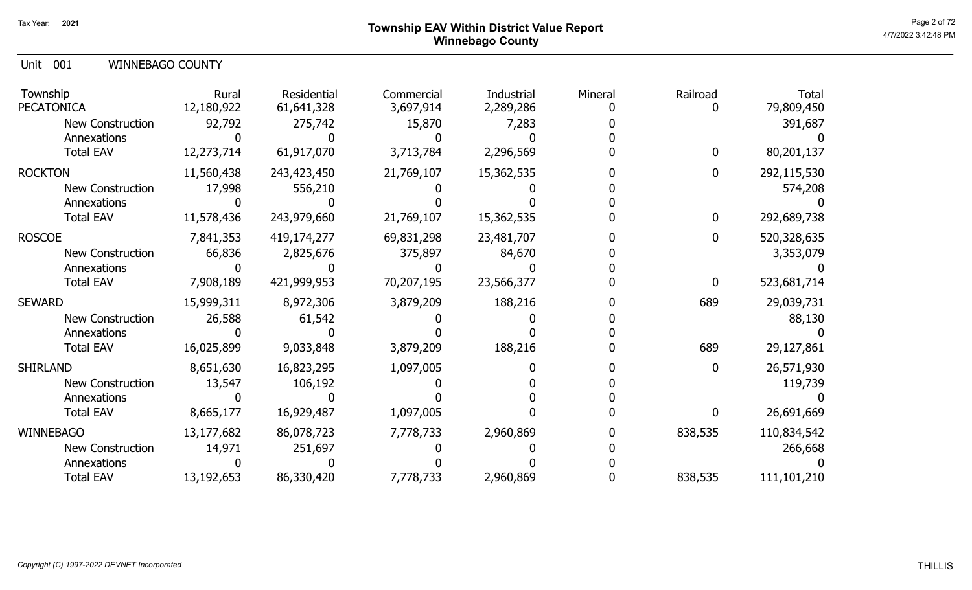### Page 2 of 72 Page 2 of 72  $^{\text{Page 2 of 72}}$ Winnebago County

Unit 001 WINNEBAGO COUNTY

| Township<br><b>PECATONICA</b> | Rural<br>12,180,922 | Residential<br>61,641,328 | Commercial<br>3,697,914 | Industrial<br>2,289,286 | Mineral | Railroad     | <b>Total</b><br>79,809,450 |
|-------------------------------|---------------------|---------------------------|-------------------------|-------------------------|---------|--------------|----------------------------|
| <b>New Construction</b>       | 92,792              | 275,742                   | 15,870                  | 7,283                   |         |              | 391,687                    |
| Annexations                   |                     |                           |                         |                         |         |              |                            |
| <b>Total EAV</b>              | 12,273,714          | 61,917,070                | 3,713,784               | 2,296,569               |         | $\mathbf{0}$ | 80,201,137                 |
| <b>ROCKTON</b>                | 11,560,438          | 243,423,450               | 21,769,107              | 15,362,535              |         | $\mathbf{0}$ | 292,115,530                |
| <b>New Construction</b>       | 17,998              | 556,210                   |                         |                         |         |              | 574,208                    |
| Annexations                   |                     |                           |                         |                         |         |              |                            |
| <b>Total EAV</b>              | 11,578,436          | 243,979,660               | 21,769,107              | 15,362,535              |         | $\mathbf 0$  | 292,689,738                |
| <b>ROSCOE</b>                 | 7,841,353           | 419,174,277               | 69,831,298              | 23,481,707              |         | $\Omega$     | 520,328,635                |
| <b>New Construction</b>       | 66,836              | 2,825,676                 | 375,897                 | 84,670                  |         |              | 3,353,079                  |
| Annexations                   |                     |                           |                         |                         |         |              |                            |
| <b>Total EAV</b>              | 7,908,189           | 421,999,953               | 70,207,195              | 23,566,377              |         | $\bf{0}$     | 523,681,714                |
| <b>SEWARD</b>                 | 15,999,311          | 8,972,306                 | 3,879,209               | 188,216                 |         | 689          | 29,039,731                 |
| <b>New Construction</b>       | 26,588              | 61,542                    |                         |                         |         |              | 88,130                     |
| Annexations                   |                     |                           |                         |                         |         |              |                            |
| <b>Total EAV</b>              | 16,025,899          | 9,033,848                 | 3,879,209               | 188,216                 |         | 689          | 29,127,861                 |
| <b>SHIRLAND</b>               | 8,651,630           | 16,823,295                | 1,097,005               |                         |         | $\bf{0}$     | 26,571,930                 |
| <b>New Construction</b>       | 13,547              | 106,192                   |                         |                         |         |              | 119,739                    |
| Annexations                   |                     |                           |                         |                         |         |              |                            |
| <b>Total EAV</b>              | 8,665,177           | 16,929,487                | 1,097,005               |                         |         | $\mathbf{0}$ | 26,691,669                 |
| <b>WINNEBAGO</b>              | 13,177,682          | 86,078,723                | 7,778,733               | 2,960,869               |         | 838,535      | 110,834,542                |
| New Construction              | 14,971              | 251,697                   |                         |                         |         |              | 266,668                    |
| Annexations                   |                     |                           |                         |                         |         |              |                            |
| <b>Total EAV</b>              | 13,192,653          | 86,330,420                | 7,778,733               | 2,960,869               |         | 838,535      | 111,101,210                |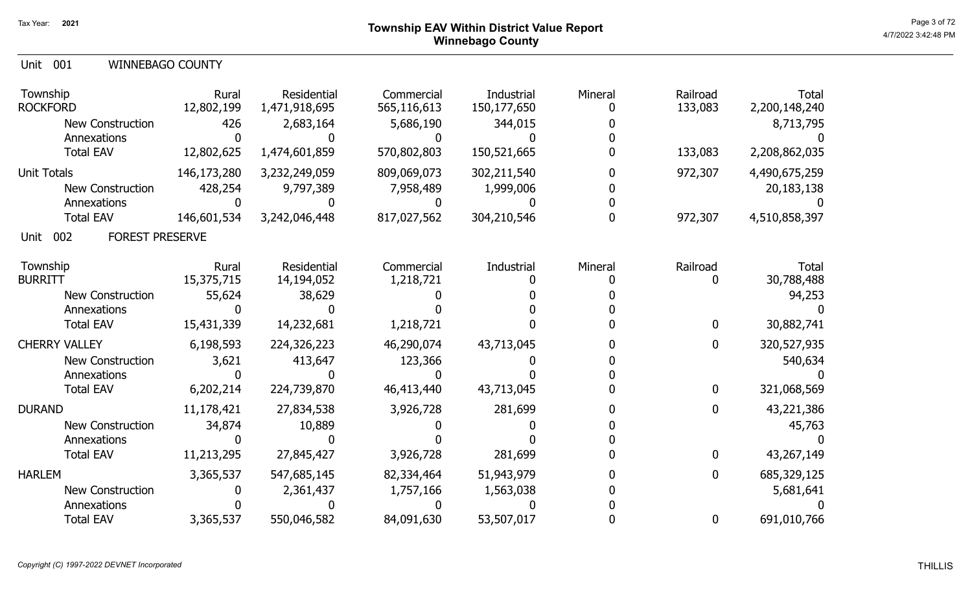#### Unit 001 WINNEBAGO COUNTY

| Township<br><b>ROCKFORD</b>           | Rural<br>12,802,199 | Residential<br>1,471,918,695 | Commercial<br>565,116,613 | Industrial<br>150,177,650 | Mineral | Railroad<br>133,083 | <b>Total</b><br>2,200,148,240 |
|---------------------------------------|---------------------|------------------------------|---------------------------|---------------------------|---------|---------------------|-------------------------------|
| <b>New Construction</b>               | 426                 | 2,683,164                    | 5,686,190                 | 344,015                   |         |                     | 8,713,795                     |
| Annexations                           |                     |                              | O                         |                           |         |                     |                               |
| <b>Total EAV</b>                      | 12,802,625          | 1,474,601,859                | 570,802,803               | 150,521,665               |         | 133,083             | 2,208,862,035                 |
| <b>Unit Totals</b>                    | 146,173,280         | 3,232,249,059                | 809,069,073               | 302,211,540               |         | 972,307             | 4,490,675,259                 |
| New Construction                      | 428,254             | 9,797,389                    | 7,958,489                 | 1,999,006                 |         |                     | 20, 183, 138                  |
| Annexations                           |                     |                              |                           |                           |         |                     |                               |
| <b>Total EAV</b>                      | 146,601,534         | 3,242,046,448                | 817,027,562               | 304,210,546               |         | 972,307             | 4,510,858,397                 |
| <b>FOREST PRESERVE</b><br>002<br>Unit |                     |                              |                           |                           |         |                     |                               |
| Township                              | Rural               | Residential                  | Commercial                | Industrial                | Mineral | Railroad            | <b>Total</b>                  |
| <b>BURRITT</b>                        | 15,375,715          | 14,194,052                   | 1,218,721                 |                           |         | 0                   | 30,788,488                    |
| <b>New Construction</b>               | 55,624              | 38,629                       |                           |                           |         |                     | 94,253                        |
| Annexations                           |                     |                              |                           |                           |         |                     |                               |
| <b>Total EAV</b>                      | 15,431,339          | 14,232,681                   | 1,218,721                 |                           |         | $\bf{0}$            | 30,882,741                    |
| <b>CHERRY VALLEY</b>                  | 6,198,593           | 224,326,223                  | 46,290,074                | 43,713,045                |         | $\mathbf 0$         | 320,527,935                   |
| <b>New Construction</b>               | 3,621               | 413,647                      | 123,366                   |                           |         |                     | 540,634                       |
| Annexations                           |                     |                              |                           |                           |         |                     |                               |
| <b>Total EAV</b>                      | 6,202,214           | 224,739,870                  | 46,413,440                | 43,713,045                |         | $\mathbf 0$         | 321,068,569                   |
| <b>DURAND</b>                         | 11,178,421          | 27,834,538                   | 3,926,728                 | 281,699                   |         | $\mathbf 0$         | 43,221,386                    |
| <b>New Construction</b>               | 34,874              | 10,889                       |                           |                           |         |                     | 45,763                        |
| Annexations                           |                     |                              |                           |                           |         |                     |                               |
| <b>Total EAV</b>                      | 11,213,295          | 27,845,427                   | 3,926,728                 | 281,699                   |         | $\bf{0}$            | 43,267,149                    |
| <b>HARLEM</b>                         | 3,365,537           | 547,685,145                  | 82,334,464                | 51,943,979                |         | 0                   | 685,329,125                   |
| <b>New Construction</b>               |                     | 2,361,437                    | 1,757,166                 | 1,563,038                 |         |                     | 5,681,641                     |
| Annexations                           |                     |                              |                           |                           |         |                     |                               |
| <b>Total EAV</b>                      | 3,365,537           | 550,046,582                  | 84,091,630                | 53,507,017                |         | 0                   | 691,010,766                   |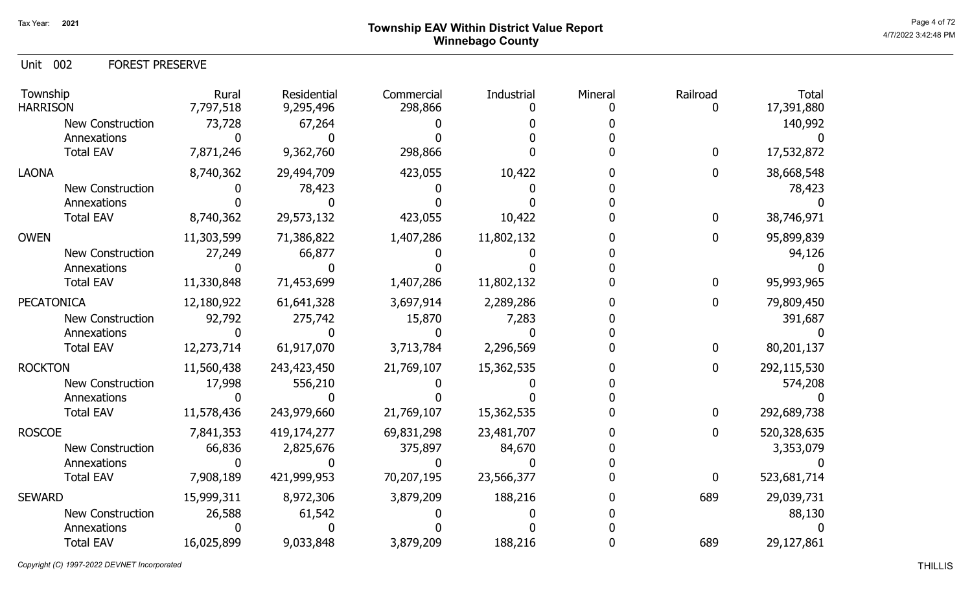## Page 4 of 72  $^{\text{Page 4 of 72}}$ Winnebago County

Unit 002 FOREST PRESERVE

| Township<br><b>HARRISON</b> | Rural<br>7,797,518 | Residential<br>9,295,496 | Commercial<br>298,866 | Industrial | Mineral | Railroad<br>0 | <b>Total</b><br>17,391,880 |
|-----------------------------|--------------------|--------------------------|-----------------------|------------|---------|---------------|----------------------------|
| <b>New Construction</b>     | 73,728             | 67,264                   |                       |            |         |               | 140,992                    |
| Annexations                 |                    |                          |                       |            |         |               |                            |
| <b>Total EAV</b>            | 7,871,246          | 9,362,760                | 298,866               |            |         | $\bf{0}$      | 17,532,872                 |
| <b>LAONA</b>                | 8,740,362          | 29,494,709               | 423,055               | 10,422     |         | $\mathbf{0}$  | 38,668,548                 |
| New Construction            |                    | 78,423                   |                       |            |         |               | 78,423                     |
| Annexations                 |                    |                          |                       |            |         |               |                            |
| <b>Total EAV</b>            | 8,740,362          | 29,573,132               | 423,055               | 10,422     |         | 0             | 38,746,971                 |
| <b>OWEN</b>                 | 11,303,599         | 71,386,822               | 1,407,286             | 11,802,132 |         | 0             | 95,899,839                 |
| <b>New Construction</b>     | 27,249             | 66,877                   |                       |            |         |               | 94,126                     |
| Annexations                 |                    |                          |                       |            |         |               |                            |
| <b>Total EAV</b>            | 11,330,848         | 71,453,699               | 1,407,286             | 11,802,132 |         | $\bf{0}$      | 95,993,965                 |
| <b>PECATONICA</b>           | 12,180,922         | 61,641,328               | 3,697,914             | 2,289,286  |         | $\mathbf{0}$  | 79,809,450                 |
| <b>New Construction</b>     | 92,792             | 275,742                  | 15,870                | 7,283      |         |               | 391,687                    |
| Annexations                 |                    |                          |                       |            |         |               |                            |
| <b>Total EAV</b>            | 12,273,714         | 61,917,070               | 3,713,784             | 2,296,569  |         | 0             | 80,201,137                 |
| <b>ROCKTON</b>              | 11,560,438         | 243,423,450              | 21,769,107            | 15,362,535 |         | $\bf{0}$      | 292,115,530                |
| New Construction            | 17,998             | 556,210                  |                       |            |         |               | 574,208                    |
| Annexations                 |                    |                          |                       |            |         |               |                            |
| <b>Total EAV</b>            | 11,578,436         | 243,979,660              | 21,769,107            | 15,362,535 |         | $\mathbf 0$   | 292,689,738                |
| <b>ROSCOE</b>               | 7,841,353          | 419,174,277              | 69,831,298            | 23,481,707 |         | 0             | 520,328,635                |
| <b>New Construction</b>     | 66,836             | 2,825,676                | 375,897               | 84,670     |         |               | 3,353,079                  |
| Annexations                 |                    |                          |                       |            |         |               |                            |
| <b>Total EAV</b>            | 7,908,189          | 421,999,953              | 70,207,195            | 23,566,377 |         | $\bf{0}$      | 523,681,714                |
| <b>SEWARD</b>               | 15,999,311         | 8,972,306                | 3,879,209             | 188,216    |         | 689           | 29,039,731                 |
| <b>New Construction</b>     | 26,588             | 61,542                   |                       |            |         |               | 88,130                     |
| Annexations                 |                    |                          |                       |            |         |               |                            |
| <b>Total EAV</b>            | 16,025,899         | 9,033,848                | 3,879,209             | 188,216    |         | 689           | 29,127,861                 |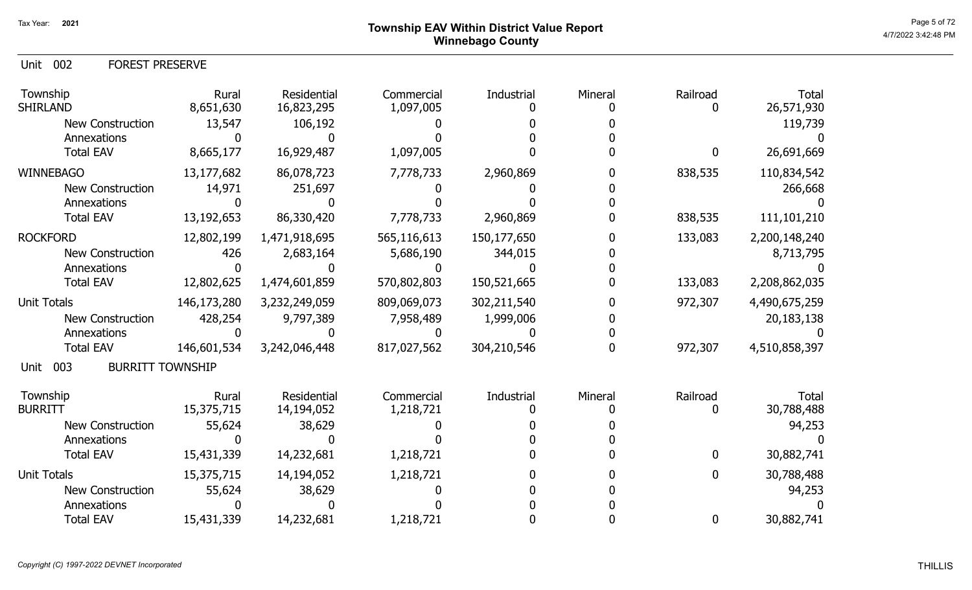Unit 002 FOREST PRESERVE

| Township<br><b>SHIRLAND</b> | Rural<br>8,651,630      | <b>Residential</b><br>16,823,295 | Commercial<br>1,097,005 | Industrial  | Mineral | Railroad    | Total<br>26,571,930 |
|-----------------------------|-------------------------|----------------------------------|-------------------------|-------------|---------|-------------|---------------------|
| <b>New Construction</b>     | 13,547                  | 106,192                          |                         |             |         |             | 119,739             |
| Annexations                 |                         |                                  |                         |             |         |             |                     |
| <b>Total EAV</b>            | 8,665,177               | 16,929,487                       | 1,097,005               |             |         | $\mathbf 0$ | 26,691,669          |
| <b>WINNEBAGO</b>            | 13,177,682              | 86,078,723                       | 7,778,733               | 2,960,869   |         | 838,535     | 110,834,542         |
| <b>New Construction</b>     | 14,971                  | 251,697                          |                         |             |         |             | 266,668             |
| Annexations                 |                         |                                  |                         |             |         |             |                     |
| <b>Total EAV</b>            | 13, 192, 653            | 86,330,420                       | 7,778,733               | 2,960,869   |         | 838,535     | 111,101,210         |
| <b>ROCKFORD</b>             | 12,802,199              | 1,471,918,695                    | 565,116,613             | 150,177,650 |         | 133,083     | 2,200,148,240       |
| <b>New Construction</b>     | 426                     | 2,683,164                        | 5,686,190               | 344,015     |         |             | 8,713,795           |
| Annexations                 |                         |                                  |                         |             |         |             |                     |
| <b>Total EAV</b>            | 12,802,625              | 1,474,601,859                    | 570,802,803             | 150,521,665 |         | 133,083     | 2,208,862,035       |
| <b>Unit Totals</b>          | 146,173,280             | 3,232,249,059                    | 809,069,073             | 302,211,540 |         | 972,307     | 4,490,675,259       |
| <b>New Construction</b>     | 428,254                 | 9,797,389                        | 7,958,489               | 1,999,006   |         |             | 20,183,138          |
| Annexations                 |                         |                                  |                         |             |         |             |                     |
| <b>Total EAV</b>            | 146,601,534             | 3,242,046,448                    | 817,027,562             | 304,210,546 |         | 972,307     | 4,510,858,397       |
| 003<br>Unit                 | <b>BURRITT TOWNSHIP</b> |                                  |                         |             |         |             |                     |
| Township                    | Rural                   | Residential                      | Commercial              | Industrial  | Mineral | Railroad    | <b>Total</b>        |
| <b>BURRITT</b>              | 15,375,715              | 14,194,052                       | 1,218,721               |             |         |             | 30,788,488          |
| <b>New Construction</b>     | 55,624                  | 38,629                           |                         |             |         |             | 94,253              |
| Annexations                 |                         |                                  |                         |             |         |             |                     |
| <b>Total EAV</b>            | 15,431,339              | 14,232,681                       | 1,218,721               |             |         | $\mathbf 0$ | 30,882,741          |
| <b>Unit Totals</b>          | 15,375,715              | 14,194,052                       | 1,218,721               |             |         | 0           | 30,788,488          |
| <b>New Construction</b>     | 55,624                  | 38,629                           |                         |             |         |             | 94,253              |
| Annexations                 |                         |                                  |                         |             |         |             |                     |
| <b>Total EAV</b>            | 15,431,339              | 14,232,681                       | 1,218,721               |             |         | $\mathbf 0$ | 30,882,741          |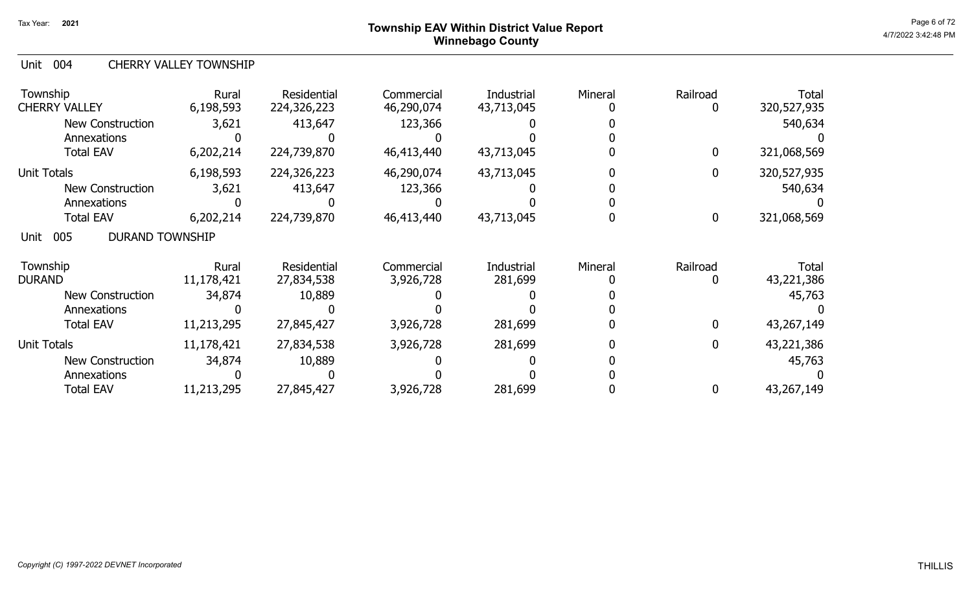## Page 6 of 72 Page 6 of 72  $^{\text{Page 6 of 72}}$ Winnebago County

#### Unit 004 CHERRY VALLEY TOWNSHIP

| Township<br><b>CHERRY VALLEY</b>      | Rural<br>6,198,593 | <b>Residential</b><br>224,326,223 | Commercial<br>46,290,074 | Industrial<br>43,713,045 | Mineral | Railroad<br>0    | <b>Total</b><br>320,527,935 |
|---------------------------------------|--------------------|-----------------------------------|--------------------------|--------------------------|---------|------------------|-----------------------------|
| <b>New Construction</b>               | 3,621              | 413,647                           | 123,366                  |                          |         |                  | 540,634                     |
| Annexations                           |                    |                                   |                          |                          |         |                  |                             |
| <b>Total EAV</b>                      | 6,202,214          | 224,739,870                       | 46,413,440               | 43,713,045               |         | 0                | 321,068,569                 |
| Unit Totals                           | 6,198,593          | 224,326,223                       | 46,290,074               | 43,713,045               |         | $\mathbf 0$      | 320,527,935                 |
| <b>New Construction</b>               | 3,621              | 413,647                           | 123,366                  |                          |         |                  | 540,634                     |
| Annexations                           |                    |                                   |                          |                          |         |                  |                             |
| <b>Total EAV</b>                      | 6,202,214          | 224,739,870                       | 46,413,440               | 43,713,045               |         | $\boldsymbol{0}$ | 321,068,569                 |
| 005<br><b>DURAND TOWNSHIP</b><br>Unit |                    |                                   |                          |                          |         |                  |                             |
| Township                              | Rural              | Residential                       | Commercial               | Industrial               | Mineral | Railroad         | Total                       |
| <b>DURAND</b>                         | 11,178,421         | 27,834,538                        | 3,926,728                | 281,699                  |         | 0                | 43,221,386                  |
| <b>New Construction</b>               | 34,874             | 10,889                            |                          |                          |         |                  | 45,763                      |
| Annexations                           |                    |                                   |                          |                          |         |                  |                             |
| <b>Total EAV</b>                      | 11,213,295         | 27,845,427                        | 3,926,728                | 281,699                  |         | $\mathbf 0$      | 43,267,149                  |
| <b>Unit Totals</b>                    | 11,178,421         | 27,834,538                        | 3,926,728                | 281,699                  |         | 0                | 43,221,386                  |
| <b>New Construction</b>               | 34,874             | 10,889                            |                          |                          |         |                  | 45,763                      |
| Annexations                           |                    |                                   |                          |                          |         |                  |                             |
| <b>Total EAV</b>                      | 11,213,295         | 27,845,427                        | 3,926,728                | 281,699                  |         | 0                | 43,267,149                  |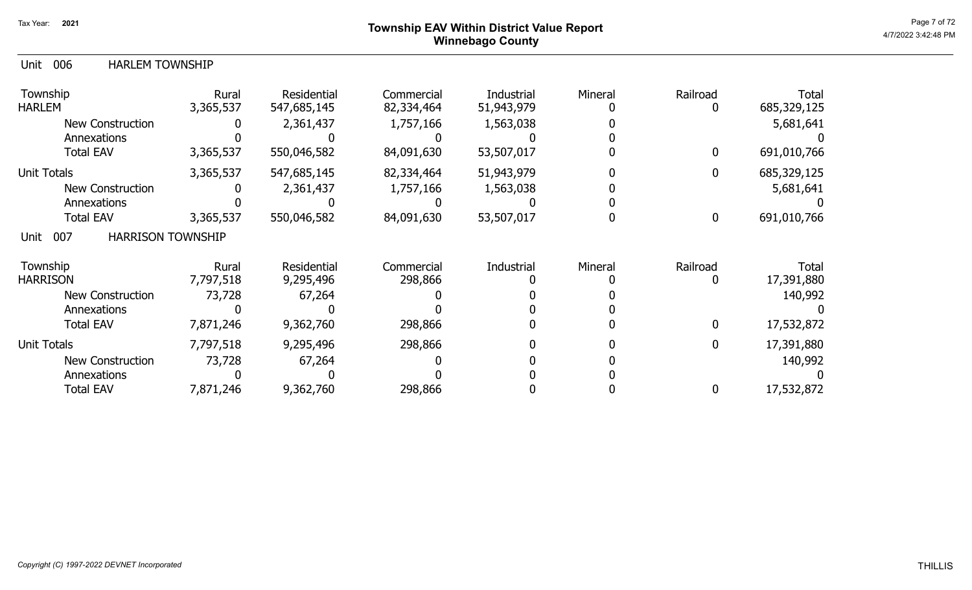### Page 7 of 72  $^{\text{Page 7 of 72}}$ Winnebago County

#### Unit 006 HARLEM TOWNSHIP

| Township<br><b>HARLEM</b>               | Rural<br>3,365,537 | Residential<br>547,685,145 | Commercial<br>82,334,464 | Industrial<br>51,943,979 | Mineral | Railroad     | <b>Total</b><br>685,329,125 |
|-----------------------------------------|--------------------|----------------------------|--------------------------|--------------------------|---------|--------------|-----------------------------|
| <b>New Construction</b>                 |                    | 2,361,437                  | 1,757,166                | 1,563,038                |         |              | 5,681,641                   |
| Annexations                             |                    |                            |                          |                          |         |              |                             |
| <b>Total EAV</b>                        | 3,365,537          | 550,046,582                | 84,091,630               | 53,507,017               |         | 0            | 691,010,766                 |
| Unit Totals                             | 3,365,537          | 547,685,145                | 82,334,464               | 51,943,979               |         | 0            | 685,329,125                 |
| <b>New Construction</b>                 |                    | 2,361,437                  | 1,757,166                | 1,563,038                |         |              | 5,681,641                   |
| Annexations                             |                    |                            |                          |                          |         |              |                             |
| <b>Total EAV</b>                        | 3,365,537          | 550,046,582                | 84,091,630               | 53,507,017               |         | 0            | 691,010,766                 |
| 007<br><b>HARRISON TOWNSHIP</b><br>Unit |                    |                            |                          |                          |         |              |                             |
| Township                                | Rural              | Residential                | Commercial               | Industrial               | Mineral | Railroad     | Total                       |
| <b>HARRISON</b>                         | 7,797,518          | 9,295,496                  | 298,866                  |                          |         |              | 17,391,880                  |
| New Construction                        | 73,728             | 67,264                     |                          |                          |         |              | 140,992                     |
| Annexations                             |                    |                            |                          |                          |         |              |                             |
| <b>Total EAV</b>                        | 7,871,246          | 9,362,760                  | 298,866                  |                          |         | $\mathbf{0}$ | 17,532,872                  |
| Unit Totals                             | 7,797,518          | 9,295,496                  | 298,866                  |                          |         | 0            | 17,391,880                  |
| <b>New Construction</b>                 | 73,728             | 67,264                     |                          |                          |         |              | 140,992                     |
| Annexations                             |                    |                            |                          |                          |         |              |                             |
| <b>Total EAV</b>                        | 7,871,246          | 9,362,760                  | 298,866                  |                          |         |              | 17,532,872                  |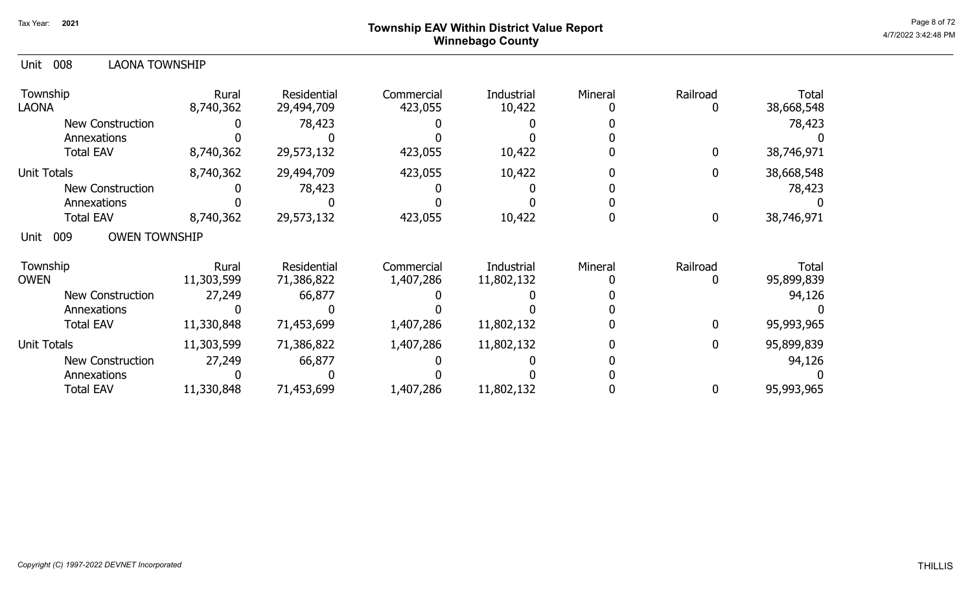## Page 8 of 72  $^{\text{Page 8 of 72}}$ Winnebago County

| 008<br><b>LAONA TOWNSHIP</b><br>Unit |                    |                           |                       |                      |         |               |                     |
|--------------------------------------|--------------------|---------------------------|-----------------------|----------------------|---------|---------------|---------------------|
| Township<br><b>LAONA</b>             | Rural<br>8,740,362 | Residential<br>29,494,709 | Commercial<br>423,055 | Industrial<br>10,422 | Mineral | Railroad<br>0 | Total<br>38,668,548 |
| <b>New Construction</b>              |                    | 78,423                    |                       |                      |         |               | 78,423              |
| Annexations                          |                    |                           |                       |                      |         |               |                     |
| <b>Total EAV</b>                     | 8,740,362          | 29,573,132                | 423,055               | 10,422               |         | $\Omega$      | 38,746,971          |
| Unit Totals                          | 8,740,362          | 29,494,709                | 423,055               | 10,422               |         | $\mathbf{0}$  | 38,668,548          |
| <b>New Construction</b>              |                    | 78,423                    |                       |                      |         |               | 78,423              |
| Annexations                          |                    |                           |                       |                      |         |               |                     |
| <b>Total EAV</b>                     | 8,740,362          | 29,573,132                | 423,055               | 10,422               |         | 0             | 38,746,971          |
| 009<br><b>OWEN TOWNSHIP</b><br>Unit  |                    |                           |                       |                      |         |               |                     |
| Township<br><b>OWEN</b>              | Rural              | Residential               | Commercial            | Industrial           | Mineral | Railroad      | Total               |
|                                      | 11,303,599         | 71,386,822                | 1,407,286             | 11,802,132           |         |               | 95,899,839          |
| <b>New Construction</b>              | 27,249             | 66,877                    |                       |                      |         |               | 94,126              |
| Annexations                          |                    |                           |                       |                      |         | $\mathbf{0}$  |                     |
| <b>Total EAV</b>                     | 11,330,848         | 71,453,699                | 1,407,286             | 11,802,132           |         |               | 95,993,965          |
| Unit Totals                          | 11,303,599         | 71,386,822                | 1,407,286             | 11,802,132           |         | 0             | 95,899,839          |
| <b>New Construction</b>              | 27,249             | 66,877                    |                       |                      |         |               | 94,126              |
| Annexations                          |                    |                           |                       |                      |         |               |                     |
| <b>Total EAV</b>                     | 11,330,848         | 71,453,699                | 1,407,286             | 11,802,132           |         | 0             | 95,993,965          |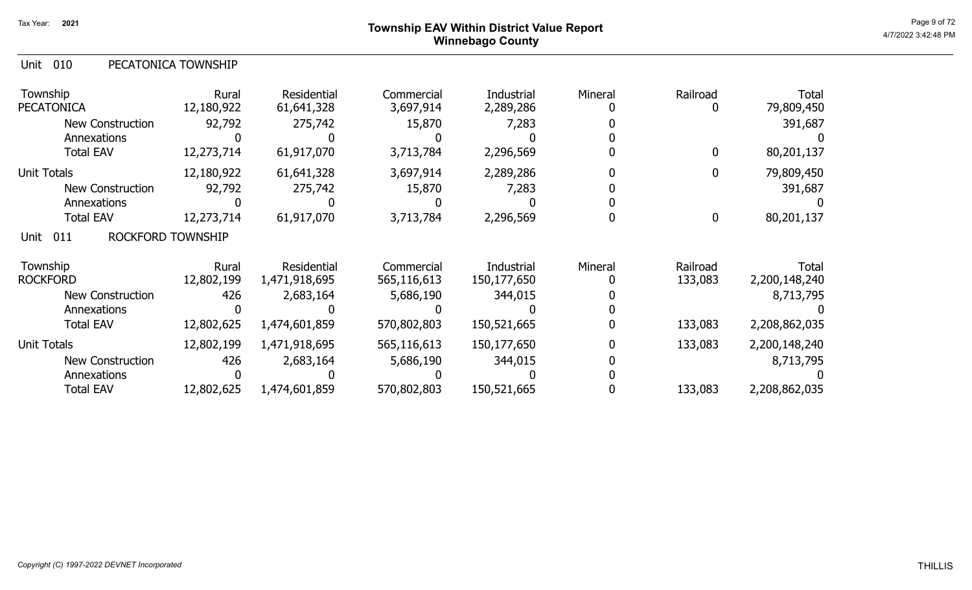### Page 9 of 72  $^{\text{Page 9 of 72}}$ Winnebago County

|  | Unit 010 |  | PECATONICA TOWNSHIP |
|--|----------|--|---------------------|
|--|----------|--|---------------------|

| Township<br><b>PECATONICA</b>    | Rural<br>12,180,922 | <b>Residential</b><br>61,641,328 | Commercial<br>3,697,914 | Industrial<br>2,289,286 | Mineral | Railroad<br>0    | <b>Total</b><br>79,809,450 |
|----------------------------------|---------------------|----------------------------------|-------------------------|-------------------------|---------|------------------|----------------------------|
| <b>New Construction</b>          | 92,792              | 275,742                          | 15,870                  | 7,283                   |         |                  | 391,687                    |
| Annexations                      |                     |                                  |                         |                         |         |                  |                            |
| <b>Total EAV</b>                 | 12,273,714          | 61,917,070                       | 3,713,784               | 2,296,569               |         | 0                | 80,201,137                 |
| <b>Unit Totals</b>               | 12,180,922          | 61,641,328                       | 3,697,914               | 2,289,286               |         | 0                | 79,809,450                 |
| <b>New Construction</b>          | 92,792              | 275,742                          | 15,870                  | 7,283                   |         |                  | 391,687                    |
| Annexations                      |                     |                                  |                         |                         |         |                  |                            |
| <b>Total EAV</b>                 | 12,273,714          | 61,917,070                       | 3,713,784               | 2,296,569               |         | $\boldsymbol{0}$ | 80,201,137                 |
| ROCKFORD TOWNSHIP<br>011<br>Unit |                     |                                  |                         |                         |         |                  |                            |
| Township                         | Rural               | Residential                      | Commercial              | Industrial              | Mineral | Railroad         | Total                      |
| <b>ROCKFORD</b>                  | 12,802,199          | 1,471,918,695                    | 565,116,613             | 150,177,650             |         | 133,083          | 2,200,148,240              |
| <b>New Construction</b>          | 426                 | 2,683,164                        | 5,686,190               | 344,015                 |         |                  | 8,713,795                  |
| Annexations                      |                     |                                  |                         |                         |         |                  |                            |
| <b>Total EAV</b>                 | 12,802,625          | 1,474,601,859                    | 570,802,803             | 150,521,665             |         | 133,083          | 2,208,862,035              |
| <b>Unit Totals</b>               | 12,802,199          | 1,471,918,695                    | 565,116,613             | 150,177,650             |         | 133,083          | 2,200,148,240              |
| <b>New Construction</b>          | 426                 | 2,683,164                        | 5,686,190               | 344,015                 |         |                  | 8,713,795                  |
| Annexations                      |                     |                                  |                         |                         |         |                  |                            |
| <b>Total EAV</b>                 | 12,802,625          | 1,474,601,859                    | 570,802,803             | 150,521,665             |         | 133,083          | 2,208,862,035              |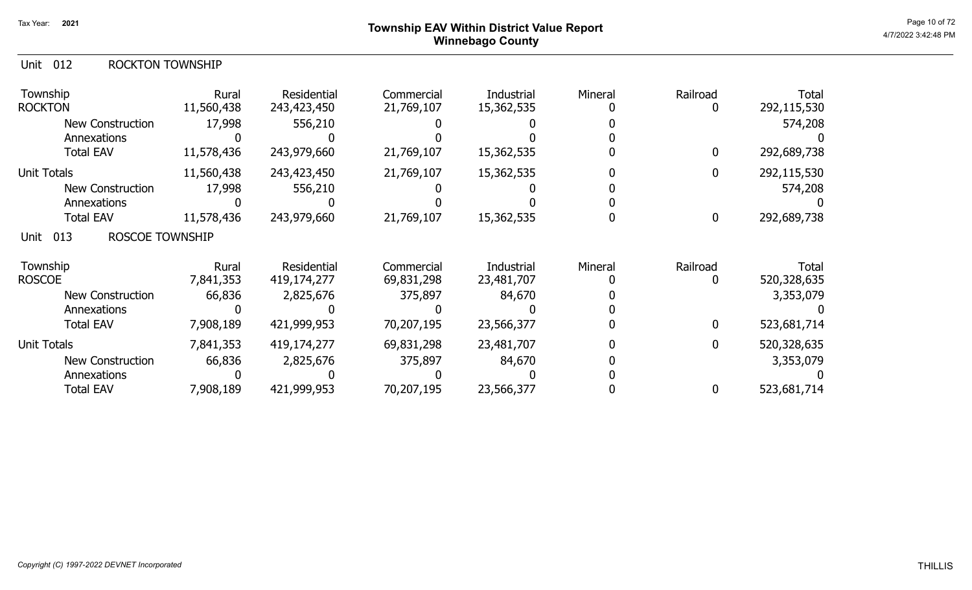## Page 10 of 72 Page 10 of 72  $^{\text{Page 10 of 72}}$ Winnebago County

#### Unit 012 ROCKTON TOWNSHIP

| Township<br><b>ROCKTON</b>            | Rural<br>11,560,438 | Residential<br>243,423,450 | Commercial<br>21,769,107 | Industrial<br>15,362,535 | Mineral | Railroad         | <b>Total</b><br>292,115,530 |
|---------------------------------------|---------------------|----------------------------|--------------------------|--------------------------|---------|------------------|-----------------------------|
| New Construction                      | 17,998              | 556,210                    |                          |                          |         |                  | 574,208                     |
| Annexations                           |                     |                            |                          |                          |         |                  |                             |
| <b>Total EAV</b>                      | 11,578,436          | 243,979,660                | 21,769,107               | 15,362,535               |         | $\mathbf 0$      | 292,689,738                 |
| Unit Totals                           | 11,560,438          | 243,423,450                | 21,769,107               | 15,362,535               |         | 0                | 292,115,530                 |
| New Construction                      | 17,998              | 556,210                    |                          |                          |         |                  | 574,208                     |
| Annexations                           |                     |                            |                          |                          |         |                  |                             |
| <b>Total EAV</b>                      | 11,578,436          | 243,979,660                | 21,769,107               | 15,362,535               |         | $\boldsymbol{0}$ | 292,689,738                 |
| 013<br><b>ROSCOE TOWNSHIP</b><br>Unit |                     |                            |                          |                          |         |                  |                             |
| Township                              | Rural               | Residential                | Commercial               | Industrial               | Mineral | Railroad         | Total                       |
| <b>ROSCOE</b>                         | 7,841,353           | 419,174,277                | 69,831,298               | 23,481,707               |         |                  | 520,328,635                 |
| New Construction                      | 66,836              | 2,825,676                  | 375,897                  | 84,670                   |         |                  | 3,353,079                   |
| Annexations                           |                     |                            |                          |                          |         |                  |                             |
| <b>Total EAV</b>                      | 7,908,189           | 421,999,953                | 70,207,195               | 23,566,377               |         | $\mathbf 0$      | 523,681,714                 |
| <b>Unit Totals</b>                    | 7,841,353           | 419,174,277                | 69,831,298               | 23,481,707               |         | 0                | 520,328,635                 |
| <b>New Construction</b>               | 66,836              | 2,825,676                  | 375,897                  | 84,670                   |         |                  | 3,353,079                   |
| Annexations                           |                     |                            |                          |                          |         |                  |                             |
| <b>Total EAV</b>                      | 7,908,189           | 421,999,953                | 70,207,195               | 23,566,377               |         | 0                | 523,681,714                 |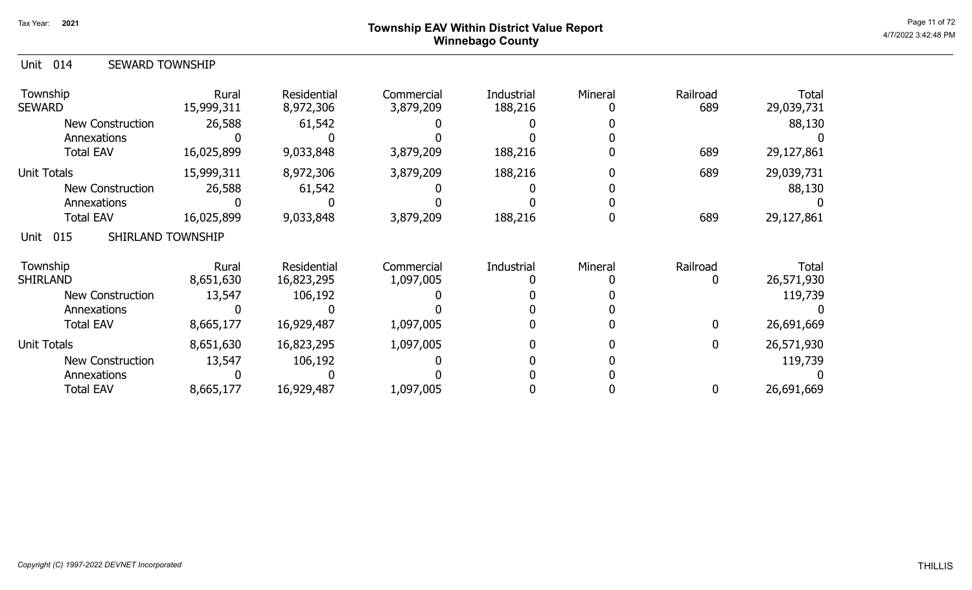### Page 11 of 72 Township EAV Within District Value Report And The Control of the Case of the Case of the Case of Winnebago County

| Unit 014 | <b>SEWARD TOWNSHIP</b> |
|----------|------------------------|
|          |                        |

| Township<br><b>SEWARD</b>        | Rural<br>15,999,311 | Residential<br>8,972,306 | Commercial<br>3,879,209 | Industrial<br>188,216 | Mineral | Railroad<br>689 | <b>Total</b><br>29,039,731 |
|----------------------------------|---------------------|--------------------------|-------------------------|-----------------------|---------|-----------------|----------------------------|
| New Construction                 | 26,588              | 61,542                   |                         |                       |         |                 | 88,130                     |
| Annexations                      |                     |                          |                         |                       |         |                 |                            |
| <b>Total EAV</b>                 | 16,025,899          | 9,033,848                | 3,879,209               | 188,216               |         | 689             | 29,127,861                 |
| <b>Unit Totals</b>               | 15,999,311          | 8,972,306                | 3,879,209               | 188,216               |         | 689             | 29,039,731                 |
| <b>New Construction</b>          | 26,588              | 61,542                   |                         |                       |         |                 | 88,130                     |
| Annexations                      |                     |                          |                         |                       |         |                 |                            |
| <b>Total EAV</b>                 | 16,025,899          | 9,033,848                | 3,879,209               | 188,216               |         | 689             | 29,127,861                 |
| SHIRLAND TOWNSHIP<br>015<br>Unit |                     |                          |                         |                       |         |                 |                            |
| Township                         | Rural               | <b>Residential</b>       | Commercial              | Industrial            | Mineral | Railroad        | Total                      |
| <b>SHIRLAND</b>                  | 8,651,630           | 16,823,295               | 1,097,005               |                       |         |                 | 26,571,930                 |
| <b>New Construction</b>          | 13,547              | 106,192                  |                         |                       |         |                 | 119,739                    |
| Annexations                      |                     |                          |                         |                       |         |                 |                            |
| <b>Total EAV</b>                 | 8,665,177           | 16,929,487               | 1,097,005               |                       |         | 0               | 26,691,669                 |
| <b>Unit Totals</b>               | 8,651,630           | 16,823,295               | 1,097,005               |                       |         | <sup>0</sup>    | 26,571,930                 |
| <b>New Construction</b>          | 13,547              | 106,192                  |                         |                       |         |                 | 119,739                    |
| Annexations                      |                     |                          |                         |                       |         |                 |                            |
| <b>Total EAV</b>                 | 8,665,177           | 16,929,487               | 1,097,005               |                       |         |                 | 26,691,669                 |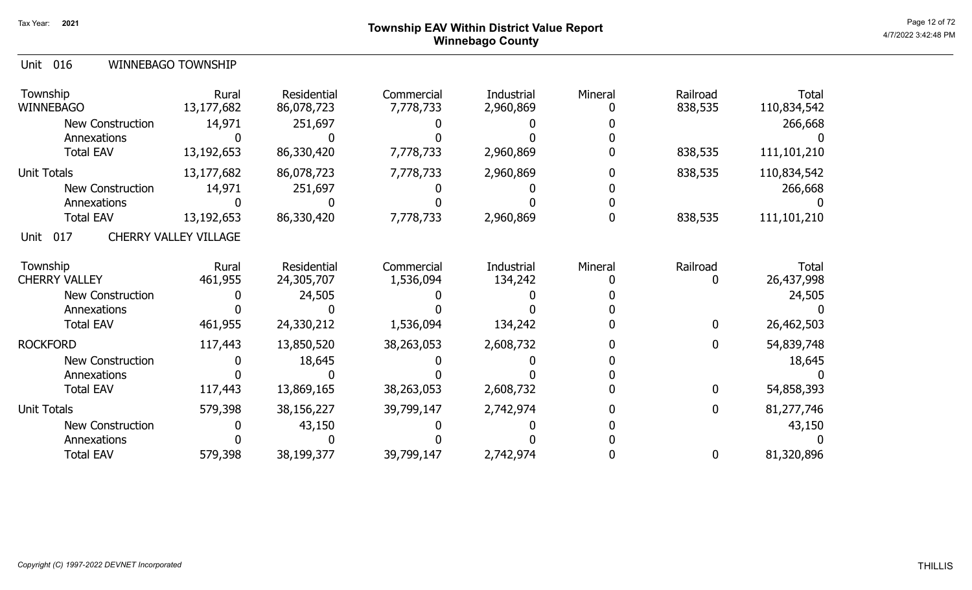## Page 12 of 72<br>Page 12 of 72 Dege 12 of 72 Winnebago County

579,398 38,199,377 0 81,320,896 39,799,147

0 0 0 0 0 0

2,742,974

0

| 016<br>Unit                  | WINNEBAGO TOWNSHIP           |                           |                         |                         |         |                     |                      |
|------------------------------|------------------------------|---------------------------|-------------------------|-------------------------|---------|---------------------|----------------------|
| Township<br><b>WINNEBAGO</b> | Rural<br>13,177,682          | Residential<br>86,078,723 | Commercial<br>7,778,733 | Industrial<br>2,960,869 | Mineral | Railroad<br>838,535 | Total<br>110,834,542 |
| <b>New Construction</b>      | 14,971                       | 251,697                   |                         |                         |         |                     | 266,668              |
| Annexations                  |                              |                           |                         |                         |         |                     |                      |
| <b>Total EAV</b>             | 13,192,653                   | 86,330,420                | 7,778,733               | 2,960,869               |         | 838,535             | 111,101,210          |
| <b>Unit Totals</b>           | 13,177,682                   | 86,078,723                | 7,778,733               | 2,960,869               |         | 838,535             | 110,834,542          |
| <b>New Construction</b>      | 14,971                       | 251,697                   |                         |                         |         |                     | 266,668              |
| Annexations                  |                              |                           |                         |                         |         |                     |                      |
| <b>Total EAV</b>             | 13,192,653                   | 86,330,420                | 7,778,733               | 2,960,869               |         | 838,535             | 111,101,210          |
| 017<br>Unit                  | <b>CHERRY VALLEY VILLAGE</b> |                           |                         |                         |         |                     |                      |
| Township                     | <b>Rural</b>                 | Residential               | Commercial              | Industrial              | Mineral | Railroad            | <b>Total</b>         |
| <b>CHERRY VALLEY</b>         | 461,955                      | 24,305,707                | 1,536,094               | 134,242                 |         | 0                   | 26,437,998           |
| New Construction             |                              | 24,505                    |                         |                         |         |                     | 24,505               |
| Annexations                  |                              |                           |                         |                         |         |                     |                      |
| <b>Total EAV</b>             | 461,955                      | 24,330,212                | 1,536,094               | 134,242                 |         | $\boldsymbol{0}$    | 26,462,503           |
| <b>ROCKFORD</b>              | 117,443                      | 13,850,520                | 38,263,053              | 2,608,732               |         | $\boldsymbol{0}$    | 54,839,748           |
| <b>New Construction</b>      |                              | 18,645                    |                         |                         |         |                     | 18,645               |
| Annexations                  |                              |                           |                         |                         |         |                     |                      |
| <b>Total EAV</b>             | 117,443                      | 13,869,165                | 38,263,053              | 2,608,732               |         | $\mathbf 0$         | 54,858,393           |
| <b>Unit Totals</b>           | 579,398                      | 38,156,227                | 39,799,147              | 2,742,974               |         | $\mathbf{0}$        | 81,277,746           |
| <b>New Construction</b>      |                              | 43,150                    |                         |                         |         |                     | 43,150               |
| Annexations                  |                              |                           |                         |                         |         |                     |                      |

Total EAV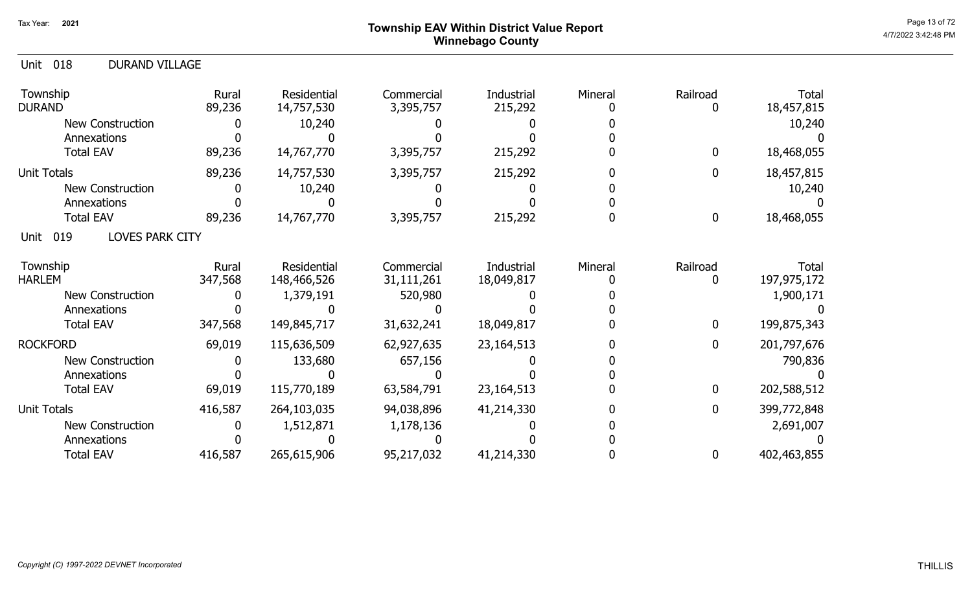### Page 13 of 72 Page 13 of 72  $^{\text{Page 13 of 72}}$ Winnebago County

| 018<br><b>DURAND VILLAGE</b><br>Unit  |                  |                            |                          |                          |         |                          |                               |
|---------------------------------------|------------------|----------------------------|--------------------------|--------------------------|---------|--------------------------|-------------------------------|
| Township<br><b>DURAND</b>             | Rural<br>89,236  | Residential<br>14,757,530  | Commercial<br>3,395,757  | Industrial<br>215,292    | Mineral | Railroad<br>$\mathbf{0}$ | Total<br>18,457,815           |
| <b>New Construction</b>               |                  | 10,240                     |                          |                          |         |                          | 10,240                        |
| Annexations                           |                  |                            |                          |                          |         |                          |                               |
| <b>Total EAV</b>                      | 89,236           | 14,767,770                 | 3,395,757                | 215,292                  |         | 0                        | 18,468,055                    |
| <b>Unit Totals</b>                    | 89,236           | 14,757,530                 | 3,395,757                | 215,292                  |         | 0                        | 18,457,815                    |
| <b>New Construction</b>               |                  | 10,240                     |                          |                          |         |                          | 10,240                        |
| Annexations                           |                  |                            |                          |                          |         |                          |                               |
| <b>Total EAV</b>                      | 89,236           | 14,767,770                 | 3,395,757                | 215,292                  |         | 0                        | 18,468,055                    |
| 019<br><b>LOVES PARK CITY</b><br>Unit |                  |                            |                          |                          |         |                          |                               |
| Township<br><b>HARLEM</b>             | Rural<br>347,568 | Residential<br>148,466,526 | Commercial<br>31,111,261 | Industrial<br>18,049,817 | Mineral | Railroad<br>0            | <b>Total</b><br>197, 975, 172 |
| <b>New Construction</b>               |                  | 1,379,191                  | 520,980                  |                          |         |                          | 1,900,171                     |
| Annexations                           |                  |                            |                          |                          |         |                          |                               |
| <b>Total EAV</b>                      | 347,568          | 149,845,717                | 31,632,241               | 18,049,817               |         | 0                        | 199,875,343                   |
| <b>ROCKFORD</b>                       | 69,019           | 115,636,509                | 62,927,635               | 23, 164, 513             |         | 0                        | 201,797,676                   |
| <b>New Construction</b>               |                  | 133,680                    | 657,156                  |                          |         |                          | 790,836                       |
| Annexations                           |                  |                            |                          |                          |         |                          |                               |
| <b>Total EAV</b>                      | 69,019           | 115,770,189                | 63,584,791               | 23,164,513               |         | 0                        | 202,588,512                   |
| <b>Unit Totals</b>                    | 416,587          | 264,103,035                | 94,038,896               | 41,214,330               |         | 0                        | 399,772,848                   |
| <b>New Construction</b>               |                  | 1,512,871                  | 1,178,136                |                          |         |                          | 2,691,007                     |
| Annexations                           |                  |                            |                          |                          |         |                          |                               |
| <b>Total EAV</b>                      | 416,587          | 265,615,906                | 95,217,032               | 41,214,330               |         | 0                        | 402,463,855                   |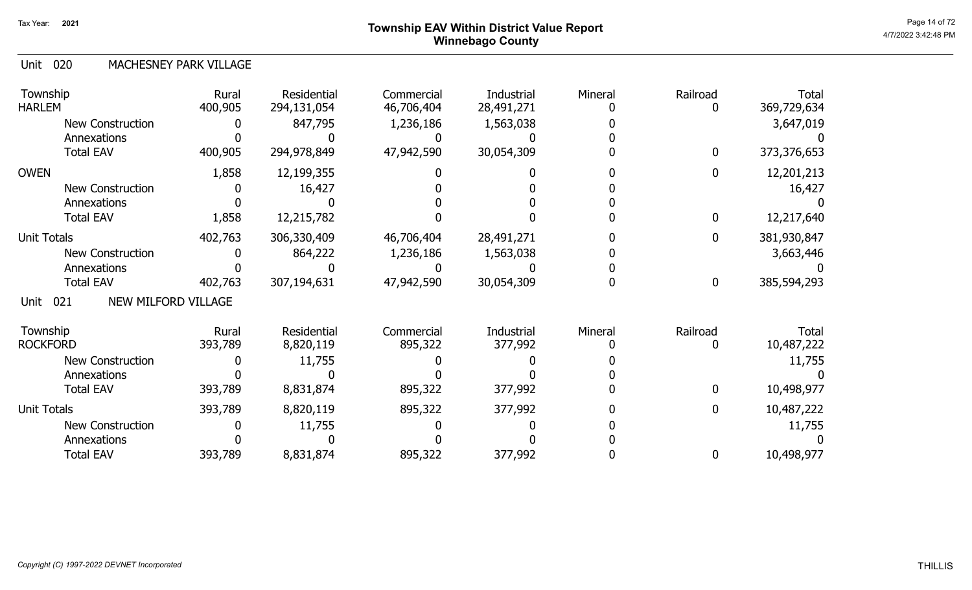## Page 14 of 72 Page 14 of 72  $^{\text{Page 14 of 72}}$ Winnebago County

#### 020 Unit MACHESNEY PARK VILLAGE

| Township<br><b>HARLEM</b>          | Rural<br>400,905 | Residential<br>294,131,054 | Commercial<br>46,706,404 | Industrial<br>28,491,271 | Mineral | Railroad<br>0 | <b>Total</b><br>369,729,634 |
|------------------------------------|------------------|----------------------------|--------------------------|--------------------------|---------|---------------|-----------------------------|
| <b>New Construction</b>            |                  | 847,795                    | 1,236,186                | 1,563,038                |         |               | 3,647,019                   |
| Annexations                        |                  |                            |                          |                          |         |               |                             |
| <b>Total EAV</b>                   | 400,905          | 294,978,849                | 47,942,590               | 30,054,309               |         | $\mathbf 0$   | 373,376,653                 |
| <b>OWEN</b>                        | 1,858            | 12,199,355                 |                          |                          |         | $\mathbf 0$   | 12,201,213                  |
| New Construction                   |                  | 16,427                     |                          |                          |         |               | 16,427                      |
| Annexations                        |                  |                            |                          |                          |         |               |                             |
| <b>Total EAV</b>                   | 1,858            | 12,215,782                 |                          |                          |         | $\mathbf 0$   | 12,217,640                  |
| <b>Unit Totals</b>                 | 402,763          | 306,330,409                | 46,706,404               | 28,491,271               |         | $\mathbf 0$   | 381,930,847                 |
| <b>New Construction</b>            |                  | 864,222                    | 1,236,186                | 1,563,038                |         |               | 3,663,446                   |
| Annexations                        |                  |                            |                          |                          |         |               |                             |
| <b>Total EAV</b>                   | 402,763          | 307,194,631                | 47,942,590               | 30,054,309               |         | $\mathbf 0$   | 385,594,293                 |
| NEW MILFORD VILLAGE<br>021<br>Unit |                  |                            |                          |                          |         |               |                             |
| Township                           | Rural            | Residential                | Commercial               | Industrial               | Mineral | Railroad      | Total                       |
| <b>ROCKFORD</b>                    | 393,789          | 8,820,119                  | 895,322                  | 377,992                  |         | 0             | 10,487,222                  |
| <b>New Construction</b>            |                  | 11,755                     |                          |                          |         |               | 11,755                      |
| Annexations                        |                  |                            |                          |                          |         |               |                             |
| <b>Total EAV</b>                   | 393,789          | 8,831,874                  | 895,322                  | 377,992                  |         | $\mathbf{0}$  | 10,498,977                  |
| <b>Unit Totals</b>                 | 393,789          | 8,820,119                  | 895,322                  | 377,992                  |         | 0             | 10,487,222                  |
| <b>New Construction</b>            |                  | 11,755                     |                          |                          |         |               | 11,755                      |
| Annexations                        |                  |                            |                          |                          |         |               |                             |
| <b>Total EAV</b>                   | 393,789          | 8,831,874                  | 895,322                  | 377,992                  |         | $\mathbf 0$   | 10,498,977                  |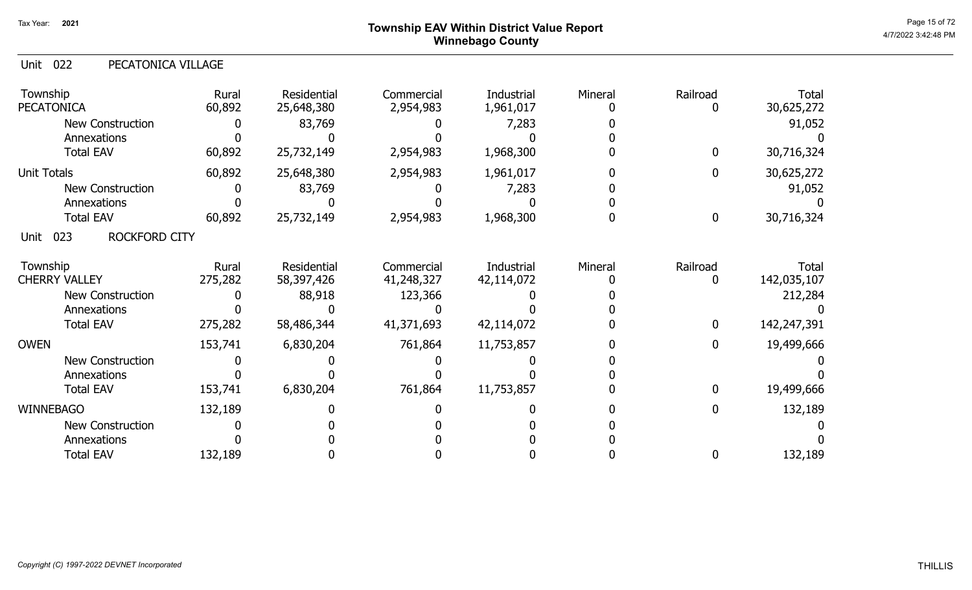# Page 15 of 72<br>Page 15 of 72<br>4/7/2022 3:42:48 PM Winnebago County

| 022<br>Unit<br>PECATONICA VILLAGE   |                  |                           |                          |                                 |         |                  |                             |
|-------------------------------------|------------------|---------------------------|--------------------------|---------------------------------|---------|------------------|-----------------------------|
| Township<br><b>PECATONICA</b>       | Rural<br>60,892  | Residential<br>25,648,380 | Commercial<br>2,954,983  | Industrial<br>1,961,017         | Mineral | Railroad<br>0    | <b>Total</b><br>30,625,272  |
| <b>New Construction</b>             |                  | 83,769                    |                          | 7,283                           |         |                  | 91,052                      |
| Annexations                         |                  |                           |                          |                                 |         |                  |                             |
| <b>Total EAV</b>                    | 60,892           | 25,732,149                | 2,954,983                | 1,968,300                       |         | $\bf{0}$         | 30,716,324                  |
| <b>Unit Totals</b>                  | 60,892           | 25,648,380                | 2,954,983                | 1,961,017                       |         | $\bf{0}$         | 30,625,272                  |
| New Construction                    |                  | 83,769                    |                          | 7,283                           |         |                  | 91,052                      |
| Annexations                         |                  |                           |                          |                                 |         |                  |                             |
| <b>Total EAV</b>                    | 60,892           | 25,732,149                | 2,954,983                | 1,968,300                       |         | $\boldsymbol{0}$ | 30,716,324                  |
| 023<br><b>ROCKFORD CITY</b><br>Unit |                  |                           |                          |                                 |         |                  |                             |
| Township<br><b>CHERRY VALLEY</b>    | Rural<br>275,282 | Residential<br>58,397,426 | Commercial<br>41,248,327 | <b>Industrial</b><br>42,114,072 | Mineral | Railroad<br>0    | <b>Total</b><br>142,035,107 |
| <b>New Construction</b>             |                  | 88,918                    | 123,366                  |                                 |         |                  | 212,284                     |
| Annexations                         |                  |                           |                          |                                 |         |                  |                             |
| <b>Total EAV</b>                    | 275,282          | 58,486,344                | 41,371,693               | 42,114,072                      |         | $\bf{0}$         | 142,247,391                 |
| <b>OWEN</b>                         | 153,741          | 6,830,204                 | 761,864                  | 11,753,857                      |         | $\mathbf 0$      | 19,499,666                  |
| <b>New Construction</b>             |                  |                           |                          |                                 |         |                  |                             |
| Annexations                         |                  |                           |                          |                                 |         |                  |                             |
| <b>Total EAV</b>                    | 153,741          | 6,830,204                 | 761,864                  | 11,753,857                      |         | $\boldsymbol{0}$ | 19,499,666                  |
| <b>WINNEBAGO</b>                    | 132,189          |                           |                          |                                 |         | $\bf{0}$         | 132,189                     |
| <b>New Construction</b>             |                  |                           |                          |                                 |         |                  |                             |
| Annexations                         |                  |                           |                          |                                 |         |                  |                             |
| <b>Total EAV</b>                    | 132,189          |                           |                          |                                 |         | 0                | 132,189                     |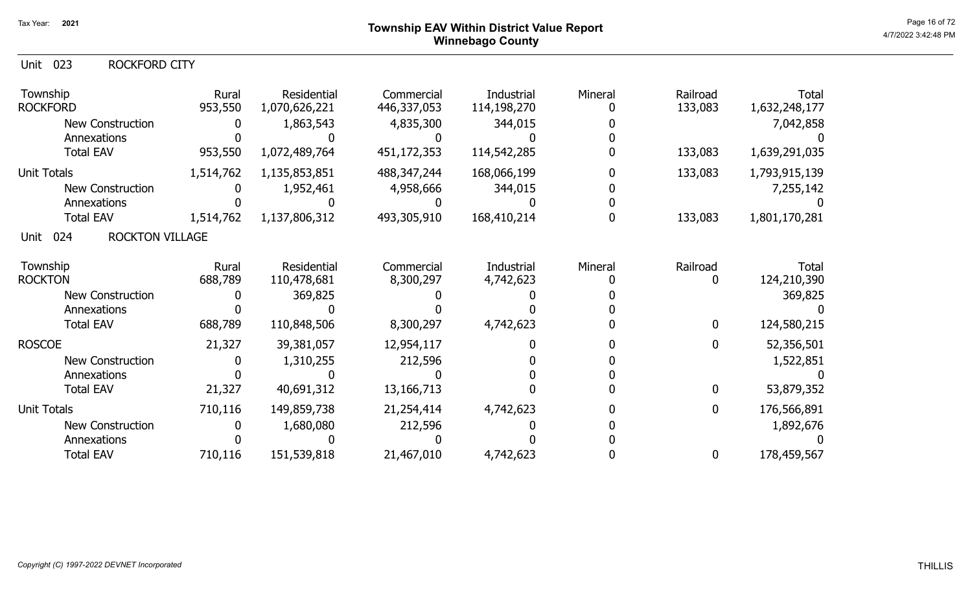| Unit 023 | ROCKFORD CITY |
|----------|---------------|
|          |               |

| Township<br><b>ROCKFORD</b>           | Rural<br>953,550 | Residential<br>1,070,626,221 | Commercial<br>446,337,053 | Industrial<br>114,198,270 | Mineral | Railroad<br>133,083 | <b>Total</b><br>1,632,248,177 |
|---------------------------------------|------------------|------------------------------|---------------------------|---------------------------|---------|---------------------|-------------------------------|
| <b>New Construction</b>               |                  | 1,863,543                    | 4,835,300                 | 344,015                   |         |                     | 7,042,858                     |
| Annexations                           |                  |                              |                           |                           |         |                     |                               |
| <b>Total EAV</b>                      | 953,550          | 1,072,489,764                | 451,172,353               | 114,542,285               |         | 133,083             | 1,639,291,035                 |
| <b>Unit Totals</b>                    | 1,514,762        | 1,135,853,851                | 488, 347, 244             | 168,066,199               |         | 133,083             | 1,793,915,139                 |
| <b>New Construction</b>               |                  | 1,952,461                    | 4,958,666                 | 344,015                   |         |                     | 7,255,142                     |
| Annexations                           |                  |                              |                           |                           |         |                     |                               |
| <b>Total EAV</b>                      | 1,514,762        | 1,137,806,312                | 493,305,910               | 168,410,214               |         | 133,083             | 1,801,170,281                 |
| <b>ROCKTON VILLAGE</b><br>024<br>Unit |                  |                              |                           |                           |         |                     |                               |
| Township                              | Rural            | Residential                  | Commercial                | Industrial                | Mineral | Railroad            | <b>Total</b>                  |
| <b>ROCKTON</b>                        | 688,789          | 110,478,681                  | 8,300,297                 | 4,742,623                 |         |                     | 124,210,390                   |
| <b>New Construction</b>               |                  | 369,825                      |                           |                           |         |                     | 369,825                       |
| Annexations                           |                  |                              |                           |                           |         |                     |                               |
| <b>Total EAV</b>                      | 688,789          | 110,848,506                  | 8,300,297                 | 4,742,623                 |         | $\mathbf 0$         | 124,580,215                   |
| <b>ROSCOE</b>                         | 21,327           | 39,381,057                   | 12,954,117                |                           |         | $\mathbf{0}$        | 52,356,501                    |
| New Construction                      |                  | 1,310,255                    | 212,596                   |                           |         |                     | 1,522,851                     |
| Annexations                           |                  |                              |                           |                           |         |                     |                               |
| <b>Total EAV</b>                      | 21,327           | 40,691,312                   | 13, 166, 713              |                           |         | $\mathbf{0}$        | 53,879,352                    |
| <b>Unit Totals</b>                    | 710,116          | 149,859,738                  | 21,254,414                | 4,742,623                 |         | 0                   | 176,566,891                   |
| <b>New Construction</b>               |                  | 1,680,080                    | 212,596                   |                           |         |                     | 1,892,676                     |
| Annexations                           |                  |                              |                           |                           |         |                     |                               |
| <b>Total EAV</b>                      | 710,116          | 151,539,818                  | 21,467,010                | 4,742,623                 |         | $\bf{0}$            | 178,459,567                   |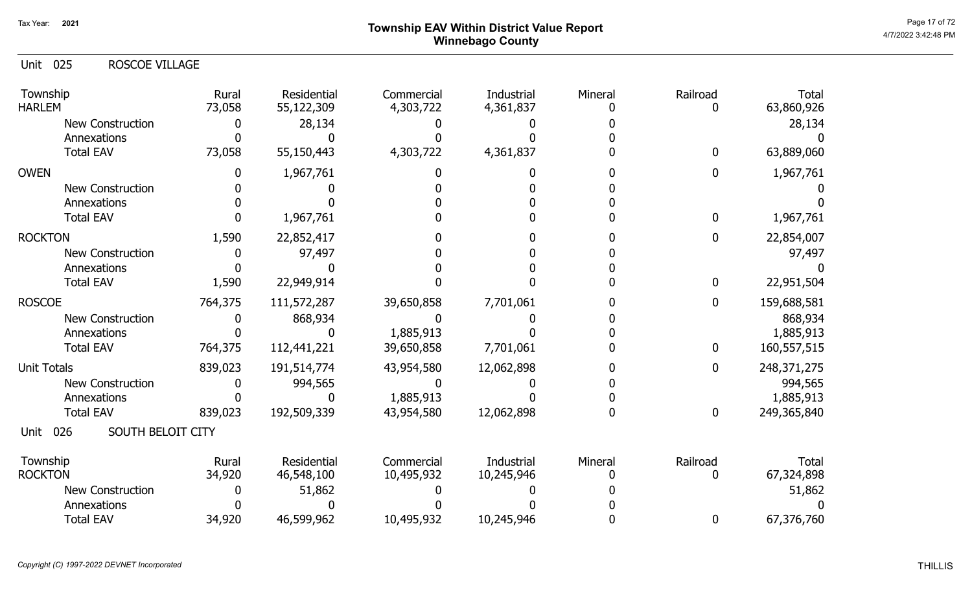## Page 17 of 72<br>Page 17 of 72<br>4/7/2022 3:42:48 PM Winnebago County

| <b>Unit 025</b><br><b>ROSCOE VILLAGE</b> |                 |                           |                         |                         |         |                  |                     |
|------------------------------------------|-----------------|---------------------------|-------------------------|-------------------------|---------|------------------|---------------------|
| Township<br><b>HARLEM</b>                | Rural<br>73,058 | Residential<br>55,122,309 | Commercial<br>4,303,722 | Industrial<br>4,361,837 | Mineral | Railroad<br>0    | Total<br>63,860,926 |
| <b>New Construction</b>                  | 0               | 28,134                    |                         |                         |         |                  | 28,134              |
| Annexations                              |                 |                           |                         |                         |         |                  |                     |
| <b>Total EAV</b>                         | 73,058          | 55,150,443                | 4,303,722               | 4,361,837               |         | $\mathbf 0$      | 63,889,060          |
| <b>OWEN</b>                              | 0               | 1,967,761                 |                         | $\mathbf{0}$            |         | $\mathbf{0}$     | 1,967,761           |
| <b>New Construction</b>                  |                 |                           |                         |                         |         |                  |                     |
| Annexations                              |                 |                           |                         |                         |         |                  |                     |
| <b>Total EAV</b>                         |                 | 1,967,761                 |                         |                         |         | $\mathbf{0}$     | 1,967,761           |
| <b>ROCKTON</b>                           | 1,590           | 22,852,417                |                         |                         |         | $\mathbf{0}$     | 22,854,007          |
| <b>New Construction</b>                  | 0               | 97,497                    |                         |                         |         |                  | 97,497              |
| Annexations                              |                 |                           |                         |                         |         |                  |                     |
| <b>Total EAV</b>                         | 1,590           | 22,949,914                |                         |                         |         | $\boldsymbol{0}$ | 22,951,504          |
| <b>ROSCOE</b>                            | 764,375         | 111,572,287               | 39,650,858              | 7,701,061               |         | $\mathbf{0}$     | 159,688,581         |
| <b>New Construction</b>                  |                 | 868,934                   |                         |                         |         |                  | 868,934             |
| Annexations                              |                 |                           | 1,885,913               |                         |         |                  | 1,885,913           |
| <b>Total EAV</b>                         | 764,375         | 112,441,221               | 39,650,858              | 7,701,061               |         | 0                | 160,557,515         |
| <b>Unit Totals</b>                       | 839,023         | 191,514,774               | 43,954,580              | 12,062,898              |         | $\mathbf{0}$     | 248, 371, 275       |
| <b>New Construction</b>                  |                 | 994,565                   |                         |                         |         |                  | 994,565             |
| Annexations                              |                 |                           | 1,885,913               |                         |         |                  | 1,885,913           |
| <b>Total EAV</b>                         | 839,023         | 192,509,339               | 43,954,580              | 12,062,898              |         | $\mathbf 0$      | 249,365,840         |
| SOUTH BELOIT CITY<br>026<br>Unit         |                 |                           |                         |                         |         |                  |                     |
| Township                                 | Rural           | Residential               | Commercial              | <b>Industrial</b>       | Mineral | Railroad         | Total               |
| <b>ROCKTON</b>                           | 34,920          | 46,548,100                | 10,495,932              | 10,245,946              |         | 0                | 67,324,898          |
| <b>New Construction</b>                  |                 | 51,862                    |                         |                         |         |                  | 51,862              |
| Annexations                              |                 |                           |                         |                         |         |                  |                     |
| <b>Total EAV</b>                         | 34,920          | 46,599,962                | 10,495,932              | 10,245,946              |         | $\boldsymbol{0}$ | 67,376,760          |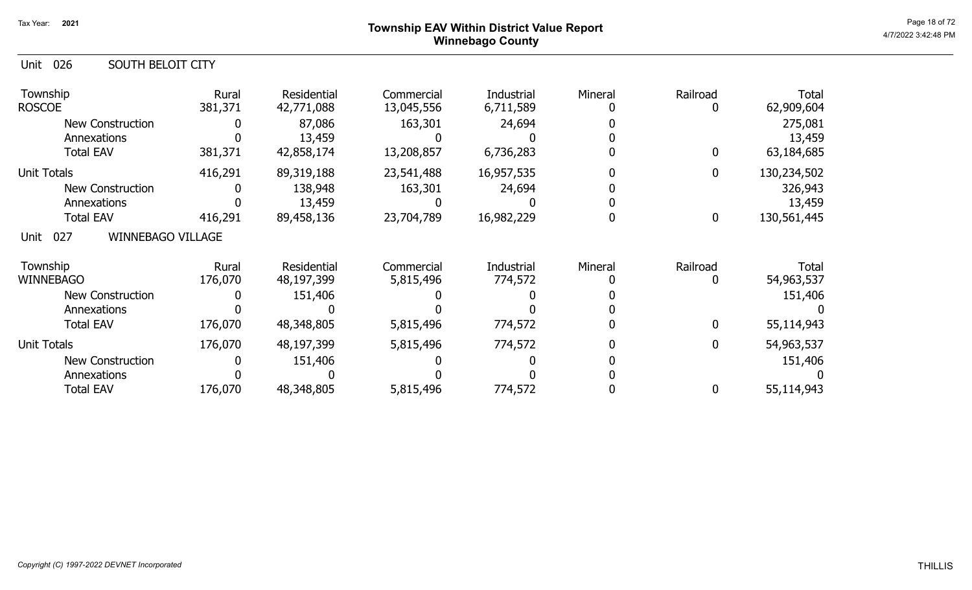#### Page 18 of 72 Township EAV Within District Value Report And The Control of the Case of the Case of the Case of the Case of the Case of the Case of the Case of the Case of the Case of the Case of the Case of the Case of the Winnebago County

| Unit<br>026<br><b>SOUTH BELOIT CITY</b> |                  |                           |                          |                         |         |                  |                     |
|-----------------------------------------|------------------|---------------------------|--------------------------|-------------------------|---------|------------------|---------------------|
| Township<br><b>ROSCOE</b>               | Rural<br>381,371 | Residential<br>42,771,088 | Commercial<br>13,045,556 | Industrial<br>6,711,589 | Mineral | Railroad<br>0    | Total<br>62,909,604 |
| <b>New Construction</b>                 |                  | 87,086                    | 163,301                  | 24,694                  |         |                  | 275,081             |
| Annexations                             |                  | 13,459                    |                          |                         |         |                  | 13,459              |
| <b>Total EAV</b>                        | 381,371          | 42,858,174                | 13,208,857               | 6,736,283               |         | $\boldsymbol{0}$ | 63,184,685          |
| <b>Unit Totals</b>                      | 416,291          | 89,319,188                | 23,541,488               | 16,957,535              |         | $\mathbf 0$      | 130,234,502         |
| <b>New Construction</b>                 |                  | 138,948                   | 163,301                  | 24,694                  |         |                  | 326,943             |
| Annexations                             |                  | 13,459                    |                          |                         |         |                  | 13,459              |
| <b>Total EAV</b>                        | 416,291          | 89,458,136                | 23,704,789               | 16,982,229              |         | $\mathbf 0$      | 130,561,445         |
| <b>WINNEBAGO VILLAGE</b><br>027<br>Unit |                  |                           |                          |                         |         |                  |                     |
| Township                                | Rural            | Residential               | Commercial               | Industrial              | Mineral | Railroad         | Total               |
| <b>WINNEBAGO</b>                        | 176,070          | 48,197,399                | 5,815,496                | 774,572                 |         | 0                | 54,963,537          |
| <b>New Construction</b>                 |                  | 151,406                   |                          |                         |         |                  | 151,406             |
| Annexations                             |                  |                           |                          |                         |         |                  |                     |
| <b>Total EAV</b>                        | 176,070          | 48,348,805                | 5,815,496                | 774,572                 |         | $\mathbf{0}$     | 55,114,943          |
| <b>Unit Totals</b>                      | 176,070          | 48,197,399                | 5,815,496                | 774,572                 |         | 0                | 54,963,537          |
| <b>New Construction</b>                 |                  | 151,406                   |                          |                         |         |                  | 151,406             |
| Annexations                             |                  |                           |                          |                         |         |                  |                     |
| <b>Total EAV</b>                        | 176,070          | 48,348,805                | 5,815,496                | 774,572                 |         | 0                | 55,114,943          |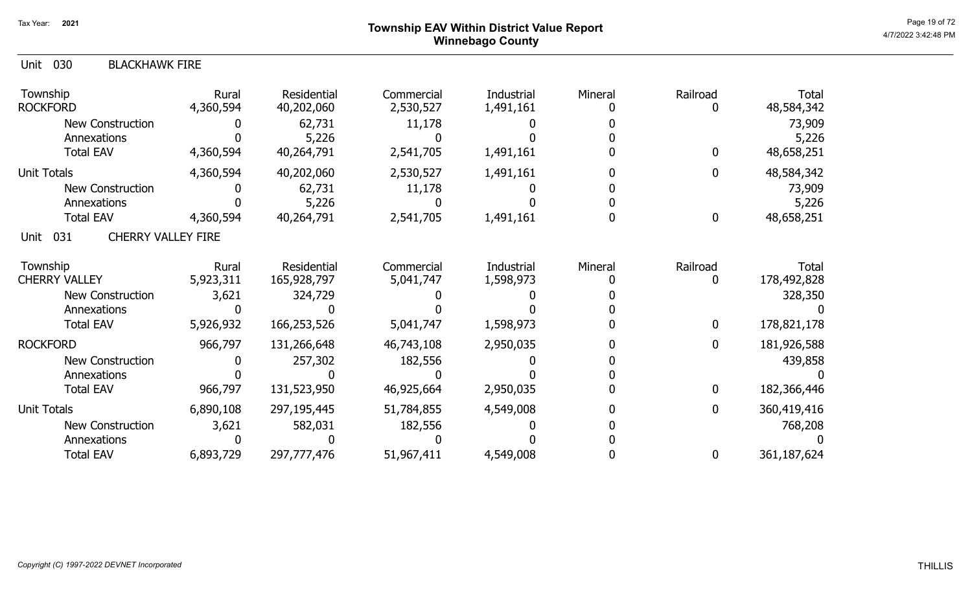# Page 19 of 72<br>Page 19 of 72<br>4/7/2022 3:42:48 PM Winnebago County

| 030<br><b>BLACKHAWK FIRE</b><br>Unit     |                    |                            |                         |                         |         |                  |                      |
|------------------------------------------|--------------------|----------------------------|-------------------------|-------------------------|---------|------------------|----------------------|
| Township<br><b>ROCKFORD</b>              | Rural<br>4,360,594 | Residential<br>40,202,060  | Commercial<br>2,530,527 | Industrial<br>1,491,161 | Mineral | Railroad<br>0    | Total<br>48,584,342  |
| <b>New Construction</b>                  |                    | 62,731                     | 11,178                  |                         |         |                  | 73,909               |
| Annexations                              |                    | 5,226                      |                         |                         |         |                  | 5,226                |
| <b>Total EAV</b>                         | 4,360,594          | 40,264,791                 | 2,541,705               | 1,491,161               |         | 0                | 48,658,251           |
| <b>Unit Totals</b>                       | 4,360,594          | 40,202,060                 | 2,530,527               | 1,491,161               |         | $\mathbf{0}$     | 48,584,342           |
| <b>New Construction</b>                  |                    | 62,731                     | 11,178                  |                         |         |                  | 73,909               |
| Annexations                              |                    | 5,226                      |                         |                         |         |                  | 5,226                |
| <b>Total EAV</b>                         | 4,360,594          | 40,264,791                 | 2,541,705               | 1,491,161               |         | $\boldsymbol{0}$ | 48,658,251           |
| <b>CHERRY VALLEY FIRE</b><br>031<br>Unit |                    |                            |                         |                         |         |                  |                      |
| Township<br><b>CHERRY VALLEY</b>         | Rural<br>5,923,311 | Residential<br>165,928,797 | Commercial<br>5,041,747 | Industrial<br>1,598,973 | Mineral | Railroad<br>0    | Total<br>178,492,828 |
| <b>New Construction</b>                  | 3,621              | 324,729                    |                         |                         |         |                  | 328,350              |
| Annexations                              |                    |                            |                         |                         |         |                  |                      |
| <b>Total EAV</b>                         | 5,926,932          | 166,253,526                | 5,041,747               | 1,598,973               |         | $\mathbf 0$      | 178,821,178          |
| <b>ROCKFORD</b>                          | 966,797            | 131,266,648                | 46,743,108              | 2,950,035               |         | $\mathbf{0}$     | 181,926,588          |
| New Construction                         |                    | 257,302                    | 182,556                 |                         |         |                  | 439,858              |
| Annexations                              |                    |                            |                         |                         |         |                  |                      |
| <b>Total EAV</b>                         | 966,797            | 131,523,950                | 46,925,664              | 2,950,035               |         | $\boldsymbol{0}$ | 182,366,446          |
| <b>Unit Totals</b>                       | 6,890,108          | 297,195,445                | 51,784,855              | 4,549,008               |         | $\mathbf 0$      | 360,419,416          |
| New Construction                         | 3,621              | 582,031                    | 182,556                 |                         |         |                  | 768,208              |
| Annexations                              |                    |                            |                         |                         |         |                  |                      |
| <b>Total EAV</b>                         | 6,893,729          | 297,777,476                | 51,967,411              | 4,549,008               |         | 0                | 361,187,624          |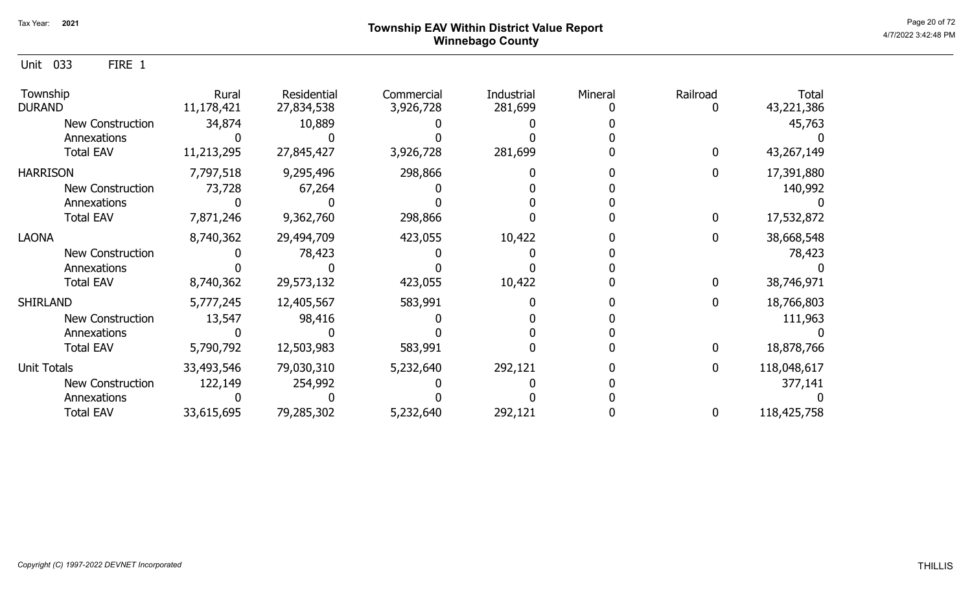Unit 033 FIRE 1

| Township<br><b>DURAND</b> | Rural<br>11,178,421 | Residential<br>27,834,538 | Commercial<br>3,926,728 | <b>Industrial</b><br>281,699 | Mineral | Railroad     | <b>Total</b><br>43,221,386 |
|---------------------------|---------------------|---------------------------|-------------------------|------------------------------|---------|--------------|----------------------------|
| <b>New Construction</b>   | 34,874              | 10,889                    |                         |                              |         |              | 45,763                     |
| Annexations               |                     |                           |                         |                              |         |              |                            |
| <b>Total EAV</b>          | 11,213,295          | 27,845,427                | 3,926,728               | 281,699                      |         | 0            | 43,267,149                 |
| <b>HARRISON</b>           | 7,797,518           | 9,295,496                 | 298,866                 |                              |         | 0            | 17,391,880                 |
| New Construction          | 73,728              | 67,264                    |                         |                              |         |              | 140,992                    |
| Annexations               |                     |                           |                         |                              |         |              |                            |
| <b>Total EAV</b>          | 7,871,246           | 9,362,760                 | 298,866                 |                              |         | $\mathbf{0}$ | 17,532,872                 |
| <b>LAONA</b>              | 8,740,362           | 29,494,709                | 423,055                 | 10,422                       |         | 0            | 38,668,548                 |
| <b>New Construction</b>   |                     | 78,423                    |                         |                              |         |              | 78,423                     |
| Annexations               |                     |                           |                         |                              |         |              |                            |
| <b>Total EAV</b>          | 8,740,362           | 29,573,132                | 423,055                 | 10,422                       |         | 0            | 38,746,971                 |
| <b>SHIRLAND</b>           | 5,777,245           | 12,405,567                | 583,991                 |                              |         | 0            | 18,766,803                 |
| <b>New Construction</b>   | 13,547              | 98,416                    |                         |                              |         |              | 111,963                    |
| Annexations               |                     |                           |                         |                              |         |              |                            |
| <b>Total EAV</b>          | 5,790,792           | 12,503,983                | 583,991                 |                              |         | 0            | 18,878,766                 |
| <b>Unit Totals</b>        | 33,493,546          | 79,030,310                | 5,232,640               | 292,121                      |         | 0            | 118,048,617                |
| New Construction          | 122,149             | 254,992                   |                         |                              |         |              | 377,141                    |
| Annexations               |                     |                           |                         |                              |         |              |                            |
| <b>Total EAV</b>          | 33,615,695          | 79,285,302                | 5,232,640               | 292,121                      |         | 0            | 118,425,758                |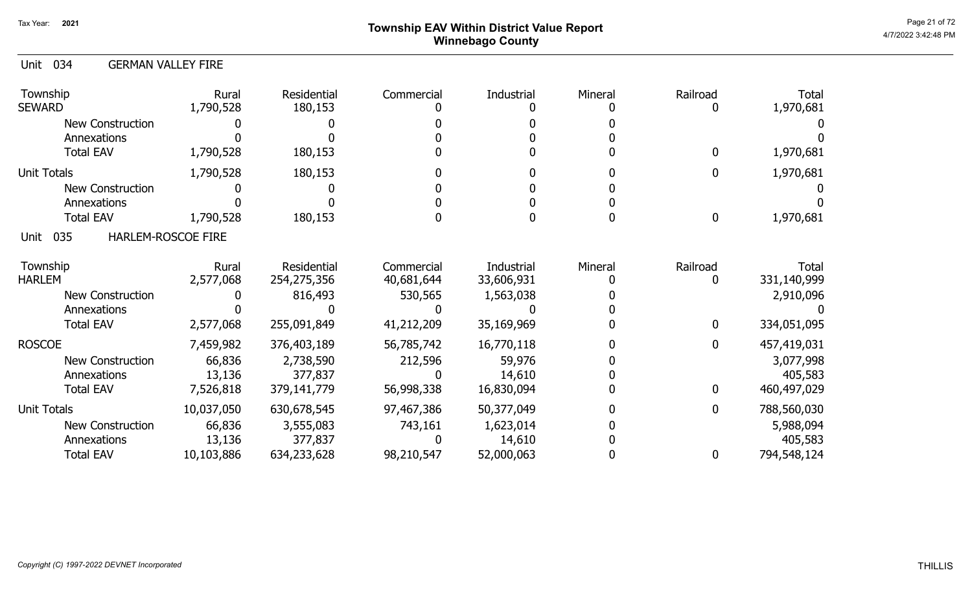## Page 21 of 72  $^{\sf Page\ 21\ of\ 72}$   $^{\sf Page\ 21\ of\ 72}$ Winnebago County

#### Unit 034 GERMAN VALLEY FIRE

| Township<br><b>SEWARD</b>                | Rural<br>1,790,528 | Residential<br>180,153 | Commercial | Industrial | Mineral | Railroad<br>0 | <b>Total</b><br>1,970,681 |
|------------------------------------------|--------------------|------------------------|------------|------------|---------|---------------|---------------------------|
| <b>New Construction</b>                  |                    |                        |            |            |         |               |                           |
| Annexations                              |                    |                        |            |            |         |               |                           |
| <b>Total EAV</b>                         | 1,790,528          | 180,153                |            |            |         | $\mathbf 0$   | 1,970,681                 |
| <b>Unit Totals</b>                       | 1,790,528          | 180,153                |            |            |         | $\mathbf 0$   | 1,970,681                 |
| <b>New Construction</b>                  |                    |                        |            |            |         |               |                           |
| Annexations                              |                    |                        |            |            |         |               |                           |
| <b>Total EAV</b>                         | 1,790,528          | 180,153                |            |            |         | $\mathbf 0$   | 1,970,681                 |
| 035<br><b>HARLEM-ROSCOE FIRE</b><br>Unit |                    |                        |            |            |         |               |                           |
| Township                                 | Rural              | Residential            | Commercial | Industrial | Mineral | Railroad      | Total                     |
| <b>HARLEM</b>                            | 2,577,068          | 254,275,356            | 40,681,644 | 33,606,931 |         | O             | 331,140,999               |
| <b>New Construction</b>                  |                    | 816,493                | 530,565    | 1,563,038  |         |               | 2,910,096                 |
| Annexations                              |                    |                        |            |            |         |               |                           |
| <b>Total EAV</b>                         | 2,577,068          | 255,091,849            | 41,212,209 | 35,169,969 |         | $\mathbf 0$   | 334,051,095               |
| <b>ROSCOE</b>                            | 7,459,982          | 376,403,189            | 56,785,742 | 16,770,118 |         | $\mathbf 0$   | 457,419,031               |
| <b>New Construction</b>                  | 66,836             | 2,738,590              | 212,596    | 59,976     |         |               | 3,077,998                 |
| Annexations                              | 13,136             | 377,837                |            | 14,610     |         |               | 405,583                   |
| <b>Total EAV</b>                         | 7,526,818          | 379,141,779            | 56,998,338 | 16,830,094 |         | $\mathbf 0$   | 460,497,029               |
| <b>Unit Totals</b>                       | 10,037,050         | 630,678,545            | 97,467,386 | 50,377,049 |         | $\mathbf{0}$  | 788,560,030               |
| <b>New Construction</b>                  | 66,836             | 3,555,083              | 743,161    | 1,623,014  |         |               | 5,988,094                 |
| Annexations                              | 13,136             | 377,837                |            | 14,610     |         |               | 405,583                   |
| <b>Total EAV</b>                         | 10,103,886         | 634,233,628            | 98,210,547 | 52,000,063 |         | 0             | 794,548,124               |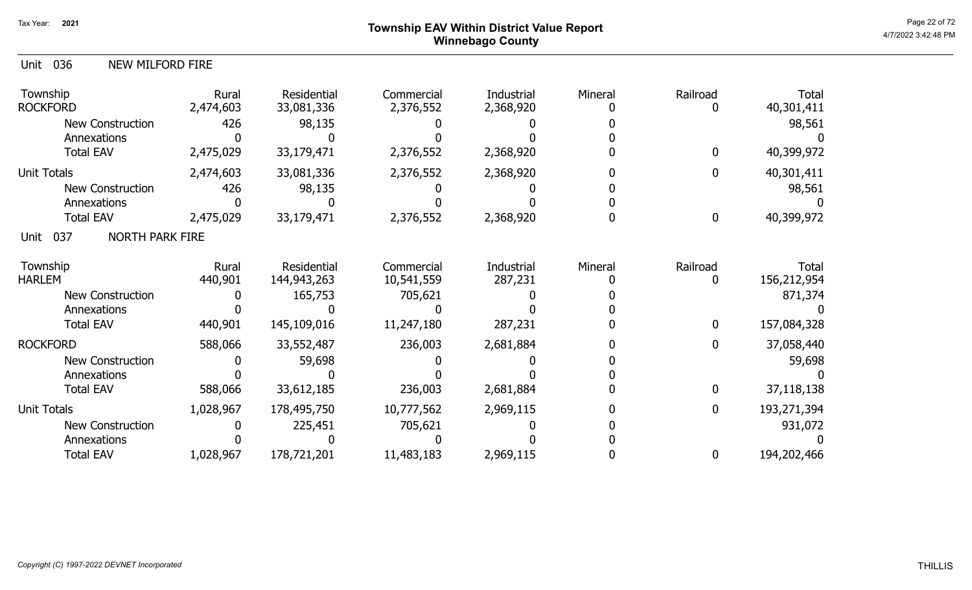# Page 22 of 72<br>Page 22 of 72<br>4/7/2022 3:42:48 PM Winnebago County

| 036<br>Unit<br>NEW MILFORD FIRE       |                    |                           |                         |                         |         |             |                            |
|---------------------------------------|--------------------|---------------------------|-------------------------|-------------------------|---------|-------------|----------------------------|
| Township<br><b>ROCKFORD</b>           | Rural<br>2,474,603 | Residential<br>33,081,336 | Commercial<br>2,376,552 | Industrial<br>2,368,920 | Mineral | Railroad    | <b>Total</b><br>40,301,411 |
| <b>New Construction</b>               | 426                | 98,135                    |                         |                         |         |             | 98,561                     |
| Annexations                           |                    |                           |                         |                         |         |             |                            |
| <b>Total EAV</b>                      | 2,475,029          | 33,179,471                | 2,376,552               | 2,368,920               |         | 0           | 40,399,972                 |
| <b>Unit Totals</b>                    | 2,474,603          | 33,081,336                | 2,376,552               | 2,368,920               |         | 0           | 40,301,411                 |
| <b>New Construction</b>               | 426                | 98,135                    |                         |                         |         |             | 98,561                     |
| Annexations                           |                    |                           |                         |                         |         |             |                            |
| <b>Total EAV</b>                      | 2,475,029          | 33,179,471                | 2,376,552               | 2,368,920               |         | 0           | 40,399,972                 |
| 037<br><b>NORTH PARK FIRE</b><br>Unit |                    |                           |                         |                         |         |             |                            |
| Township                              | Rural              | Residential               | Commercial              | Industrial              | Mineral | Railroad    | <b>Total</b>               |
| <b>HARLEM</b>                         | 440,901            | 144,943,263               | 10,541,559              | 287,231                 |         | 0           | 156,212,954                |
| <b>New Construction</b>               |                    | 165,753                   | 705,621                 |                         |         |             | 871,374                    |
| Annexations<br><b>Total EAV</b>       | 440,901            | 145,109,016               | 11,247,180              | 287,231                 |         | 0           | 157,084,328                |
|                                       |                    |                           |                         |                         |         |             |                            |
| <b>ROCKFORD</b>                       | 588,066            | 33,552,487                | 236,003                 | 2,681,884               |         | 0           | 37,058,440                 |
| New Construction                      |                    | 59,698                    |                         |                         |         |             | 59,698                     |
| Annexations                           |                    |                           |                         |                         |         |             |                            |
| <b>Total EAV</b>                      | 588,066            | 33,612,185                | 236,003                 | 2,681,884               |         | 0           | 37,118,138                 |
| <b>Unit Totals</b>                    | 1,028,967          | 178,495,750               | 10,777,562              | 2,969,115               |         | $\mathbf 0$ | 193,271,394                |
| New Construction                      |                    | 225,451                   | 705,621                 |                         |         |             | 931,072                    |
| Annexations                           |                    |                           |                         |                         |         |             |                            |
| <b>Total EAV</b>                      | 1,028,967          | 178,721,201               | 11,483,183              | 2,969,115               |         | 0           | 194,202,466                |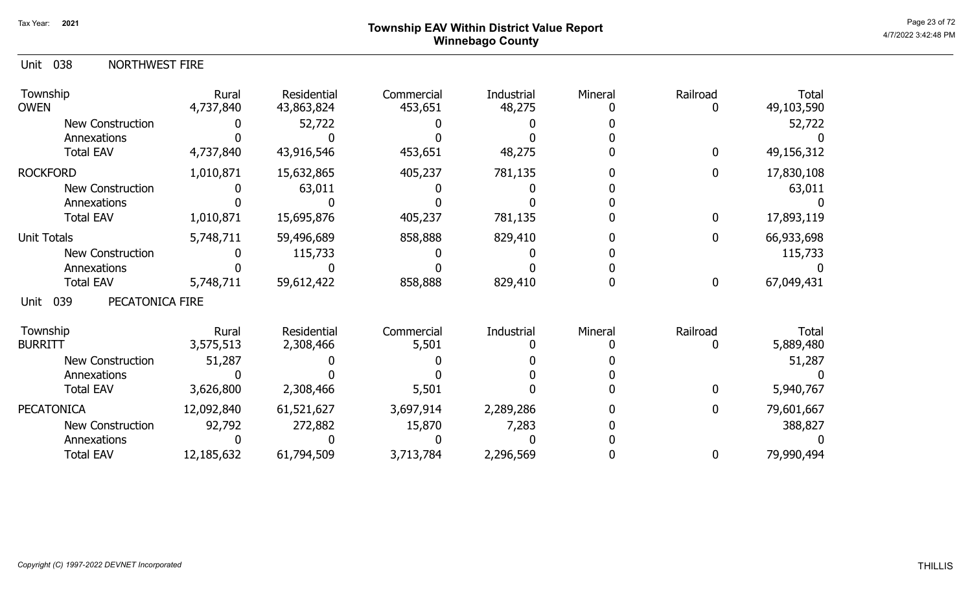## Page 23 of 72 Page 23 of 72  $^{\text{Page 23 of 72}}$ Winnebago County

|  | Unit 038 |  | <b>NORTHWEST FIRE</b> |
|--|----------|--|-----------------------|
|--|----------|--|-----------------------|

| Township<br><b>OWEN</b>        | Rural<br>4,737,840 | Residential<br>43,863,824 | Commercial<br>453,651 | Industrial<br>48,275 | Mineral | Railroad | <b>Total</b><br>49,103,590 |
|--------------------------------|--------------------|---------------------------|-----------------------|----------------------|---------|----------|----------------------------|
| <b>New Construction</b>        |                    | 52,722                    |                       |                      |         |          | 52,722                     |
| Annexations                    |                    |                           |                       |                      |         |          |                            |
| <b>Total EAV</b>               | 4,737,840          | 43,916,546                | 453,651               | 48,275               |         | 0        | 49,156,312                 |
| <b>ROCKFORD</b>                | 1,010,871          | 15,632,865                | 405,237               | 781,135              |         | 0        | 17,830,108                 |
| <b>New Construction</b>        |                    | 63,011                    |                       |                      |         |          | 63,011                     |
| Annexations                    |                    |                           |                       |                      |         |          |                            |
| <b>Total EAV</b>               | 1,010,871          | 15,695,876                | 405,237               | 781,135              |         | 0        | 17,893,119                 |
| Unit Totals                    | 5,748,711          | 59,496,689                | 858,888               | 829,410              |         | 0        | 66,933,698                 |
| New Construction               |                    | 115,733                   |                       |                      |         |          | 115,733                    |
| Annexations                    |                    |                           |                       |                      |         |          |                            |
| <b>Total EAV</b>               | 5,748,711          | 59,612,422                | 858,888               | 829,410              |         | $\bf{0}$ | 67,049,431                 |
| 039<br>PECATONICA FIRE<br>Unit |                    |                           |                       |                      |         |          |                            |
| Township                       | Rural              | Residential               | Commercial            | Industrial           | Mineral | Railroad | Total                      |
| <b>BURRITT</b>                 | 3,575,513          | 2,308,466                 | 5,501                 |                      |         |          | 5,889,480                  |
| <b>New Construction</b>        | 51,287             |                           |                       |                      |         |          | 51,287                     |
| Annexations                    |                    |                           |                       |                      |         |          |                            |
| <b>Total EAV</b>               | 3,626,800          | 2,308,466                 | 5,501                 |                      |         | 0        | 5,940,767                  |
| <b>PECATONICA</b>              | 12,092,840         | 61,521,627                | 3,697,914             | 2,289,286            |         | 0        | 79,601,667                 |
| New Construction               | 92,792             | 272,882                   | 15,870                | 7,283                |         |          | 388,827                    |
| Annexations                    |                    |                           |                       |                      |         |          |                            |
| <b>Total EAV</b>               | 12,185,632         | 61,794,509                | 3,713,784             | 2,296,569            |         | 0        | 79,990,494                 |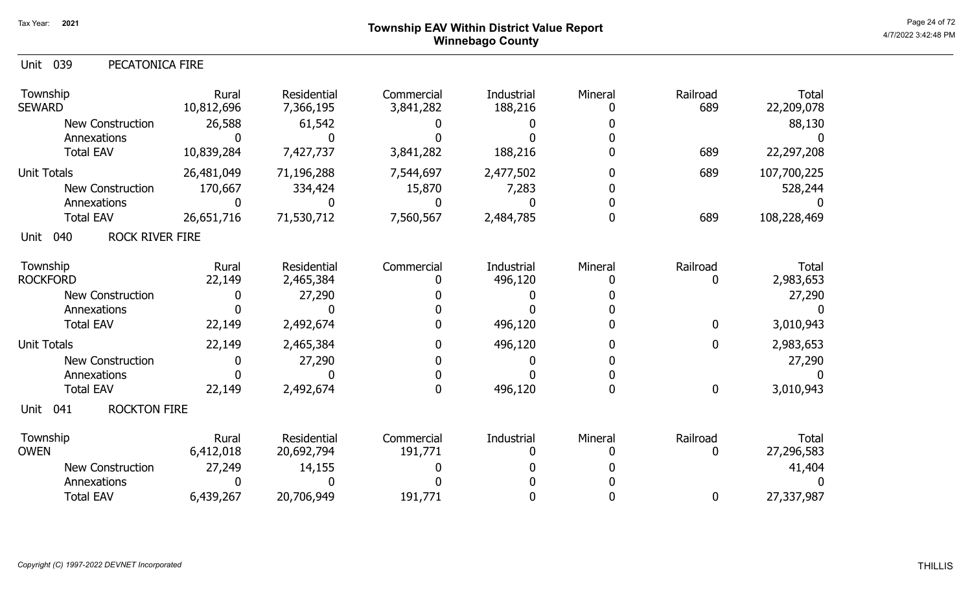# Page 24 of 72<br>Page 24 of 72<br>4/7/2022 3:42:48 PM Winnebago County

| 039<br>PECATONICA FIRE<br>Unit                |                               |                                    |                         |                       |         |                  |                                      |
|-----------------------------------------------|-------------------------------|------------------------------------|-------------------------|-----------------------|---------|------------------|--------------------------------------|
| Township<br><b>SEWARD</b><br>New Construction | Rural<br>10,812,696<br>26,588 | Residential<br>7,366,195<br>61,542 | Commercial<br>3,841,282 | Industrial<br>188,216 | Mineral | Railroad<br>689  | <b>Total</b><br>22,209,078<br>88,130 |
| Annexations                                   | O                             | 0                                  |                         |                       |         |                  |                                      |
| <b>Total EAV</b>                              | 10,839,284                    | 7,427,737                          | 3,841,282               | 188,216               |         | 689              | 22,297,208                           |
| <b>Unit Totals</b>                            | 26,481,049                    | 71,196,288                         | 7,544,697               | 2,477,502             |         | 689              | 107,700,225                          |
| New Construction                              | 170,667                       | 334,424                            | 15,870                  | 7,283                 |         |                  | 528,244                              |
| Annexations                                   | 0                             | O.                                 | O                       |                       |         |                  |                                      |
| <b>Total EAV</b>                              | 26,651,716                    | 71,530,712                         | 7,560,567               | 2,484,785             | 0       | 689              | 108,228,469                          |
| <b>ROCK RIVER FIRE</b><br>040<br>Unit         |                               |                                    |                         |                       |         |                  |                                      |
| Township<br><b>ROCKFORD</b>                   | Rural<br>22,149               | <b>Residential</b><br>2,465,384    | Commercial<br>0         | Industrial<br>496,120 | Mineral | Railroad<br>0    | Total<br>2,983,653                   |
| <b>New Construction</b>                       | 0                             | 27,290                             |                         |                       |         |                  | 27,290                               |
| Annexations                                   |                               |                                    |                         |                       |         |                  |                                      |
| <b>Total EAV</b>                              | 22,149                        | 2,492,674                          |                         | 496,120               |         | 0                | 3,010,943                            |
| <b>Unit Totals</b>                            | 22,149                        | 2,465,384                          | 0                       | 496,120               |         | 0                | 2,983,653                            |
| <b>New Construction</b>                       | 0                             | 27,290                             |                         |                       |         |                  | 27,290                               |
| Annexations                                   |                               |                                    | 0                       |                       |         |                  |                                      |
| <b>Total EAV</b>                              | 22,149                        | 2,492,674                          |                         | 496,120               | 0       | $\boldsymbol{0}$ | 3,010,943                            |
| <b>ROCKTON FIRE</b><br>041<br>Unit            |                               |                                    |                         |                       |         |                  |                                      |
| Township<br><b>OWEN</b>                       | Rural<br>6,412,018            | <b>Residential</b><br>20,692,794   | Commercial<br>191,771   | Industrial<br>0       | Mineral | Railroad<br>0    | <b>Total</b><br>27,296,583           |
| <b>New Construction</b>                       | 27,249                        | 14,155                             |                         |                       |         |                  | 41,404                               |
| Annexations                                   | 0                             |                                    |                         |                       |         |                  |                                      |
| <b>Total EAV</b>                              | 6,439,267                     | 20,706,949                         | 191,771                 |                       |         | 0                | 27,337,987                           |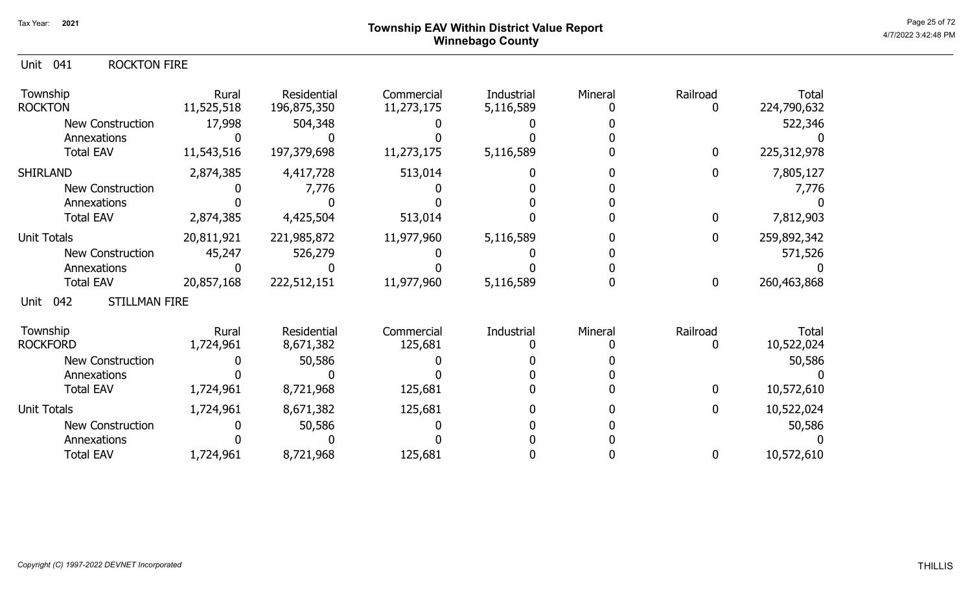## Page 25 of 72 Page 25 of 72  $^{\text{Page 25 of 72}}$ Winnebago County

#### Unit 041 ROCKTON FIRE

| Township<br><b>ROCKTON</b>          | Rural<br>11,525,518 | Residential<br>196,875,350 | Commercial<br>11,273,175 | Industrial<br>5,116,589 | Mineral | Railroad     | Total<br>224,790,632 |
|-------------------------------------|---------------------|----------------------------|--------------------------|-------------------------|---------|--------------|----------------------|
| <b>New Construction</b>             | 17,998              | 504,348                    |                          |                         |         |              | 522,346              |
| Annexations                         |                     |                            |                          |                         |         |              |                      |
| <b>Total EAV</b>                    | 11,543,516          | 197,379,698                | 11,273,175               | 5,116,589               |         | $\mathbf 0$  | 225, 312, 978        |
| <b>SHIRLAND</b>                     | 2,874,385           | 4,417,728                  | 513,014                  |                         |         | 0            | 7,805,127            |
| <b>New Construction</b>             |                     | 7,776                      |                          |                         |         |              | 7,776                |
| Annexations                         |                     |                            |                          |                         |         |              |                      |
| <b>Total EAV</b>                    | 2,874,385           | 4,425,504                  | 513,014                  |                         |         | $\mathbf 0$  | 7,812,903            |
| Unit Totals                         | 20,811,921          | 221,985,872                | 11,977,960               | 5,116,589               |         | $\mathbf{0}$ | 259,892,342          |
| New Construction                    | 45,247              | 526,279                    |                          |                         |         |              | 571,526              |
| Annexations                         |                     |                            |                          |                         |         |              |                      |
| <b>Total EAV</b>                    | 20,857,168          | 222,512,151                | 11,977,960               | 5,116,589               |         | $\mathbf 0$  | 260,463,868          |
| <b>STILLMAN FIRE</b><br>042<br>Unit |                     |                            |                          |                         |         |              |                      |
| Township                            | Rural               | Residential                | Commercial               | Industrial              | Mineral | Railroad     | Total                |
| <b>ROCKFORD</b>                     | 1,724,961           | 8,671,382                  | 125,681                  |                         |         |              | 10,522,024           |
| <b>New Construction</b>             |                     | 50,586                     |                          |                         |         |              | 50,586               |
| Annexations                         |                     |                            |                          |                         |         |              |                      |
| <b>Total EAV</b>                    | 1,724,961           | 8,721,968                  | 125,681                  |                         |         | 0            | 10,572,610           |
| <b>Unit Totals</b>                  | 1,724,961           | 8,671,382                  | 125,681                  |                         |         | $\mathbf 0$  | 10,522,024           |
| <b>New Construction</b>             |                     | 50,586                     |                          |                         |         |              | 50,586               |
| Annexations                         |                     |                            |                          |                         |         |              |                      |
| <b>Total EAV</b>                    | 1,724,961           | 8,721,968                  | 125,681                  |                         |         | 0            | 10,572,610           |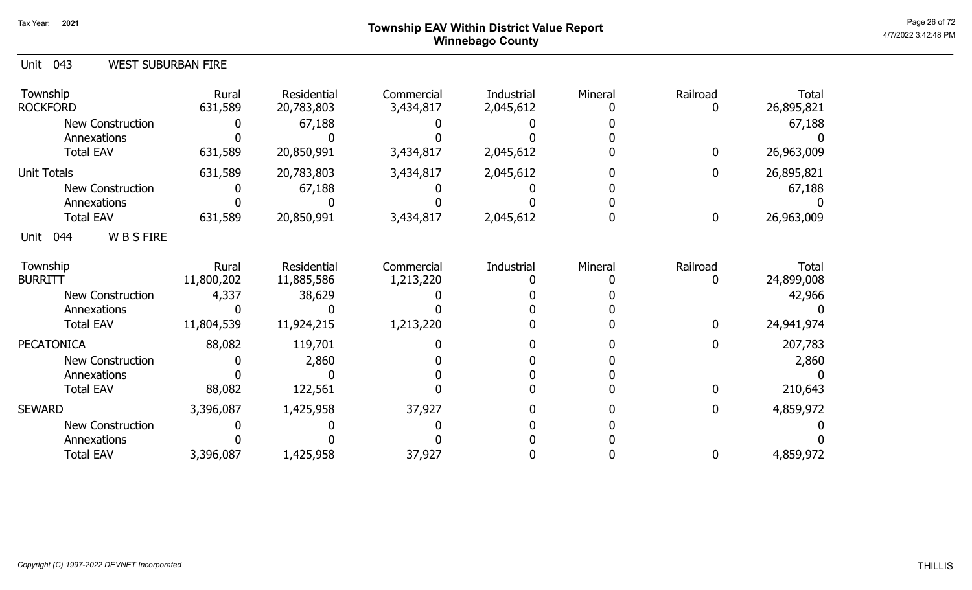# Page 26 of 72<br>Page 26 of 72<br>4/7/2022 3:42:48 PM Winnebago County

| Unit<br>043<br><b>WEST SUBURBAN FIRE</b> |                     |                           |                         |                                |         |                         |                            |
|------------------------------------------|---------------------|---------------------------|-------------------------|--------------------------------|---------|-------------------------|----------------------------|
| Township<br><b>ROCKFORD</b>              | Rural<br>631,589    | Residential<br>20,783,803 | Commercial<br>3,434,817 | <b>Industrial</b><br>2,045,612 | Mineral | Railroad<br>0           | Total<br>26,895,821        |
| <b>New Construction</b>                  |                     | 67,188                    |                         |                                |         |                         | 67,188                     |
| Annexations                              |                     |                           |                         |                                |         |                         |                            |
| <b>Total EAV</b>                         | 631,589             | 20,850,991                | 3,434,817               | 2,045,612                      |         | $\bf{0}$                | 26,963,009                 |
| <b>Unit Totals</b>                       | 631,589             | 20,783,803                | 3,434,817               | 2,045,612                      |         | $\mathbf 0$             | 26,895,821                 |
| <b>New Construction</b>                  |                     | 67,188                    |                         |                                |         |                         | 67,188                     |
| Annexations                              |                     |                           |                         |                                |         |                         |                            |
| <b>Total EAV</b>                         | 631,589             | 20,850,991                | 3,434,817               | 2,045,612                      |         | $\bf{0}$                | 26,963,009                 |
| <b>WBSFIRE</b><br>044<br>Unit            |                     |                           |                         |                                |         |                         |                            |
| Township<br><b>BURRITT</b>               | Rural<br>11,800,202 | Residential<br>11,885,586 | Commercial<br>1,213,220 | Industrial                     | Mineral | Railroad<br>$\mathbf 0$ | <b>Total</b><br>24,899,008 |
| <b>New Construction</b>                  | 4,337               | 38,629                    |                         |                                |         |                         | 42,966                     |
| Annexations                              |                     |                           |                         |                                |         |                         |                            |
| <b>Total EAV</b>                         | 11,804,539          | 11,924,215                | 1,213,220               |                                |         | $\mathbf 0$             | 24,941,974                 |
| <b>PECATONICA</b>                        | 88,082              | 119,701                   |                         |                                |         | $\mathbf 0$             | 207,783                    |
| <b>New Construction</b>                  |                     | 2,860                     |                         |                                |         |                         | 2,860                      |
| Annexations                              |                     |                           |                         |                                |         |                         |                            |
| <b>Total EAV</b>                         | 88,082              | 122,561                   |                         |                                |         | $\mathbf 0$             | 210,643                    |
| <b>SEWARD</b>                            | 3,396,087           | 1,425,958                 | 37,927                  |                                |         | $\boldsymbol{0}$        | 4,859,972                  |
| New Construction                         |                     |                           |                         |                                |         |                         |                            |
| Annexations                              |                     |                           |                         |                                |         |                         |                            |
| <b>Total EAV</b>                         | 3,396,087           | 1,425,958                 | 37,927                  |                                |         | 0                       | 4,859,972                  |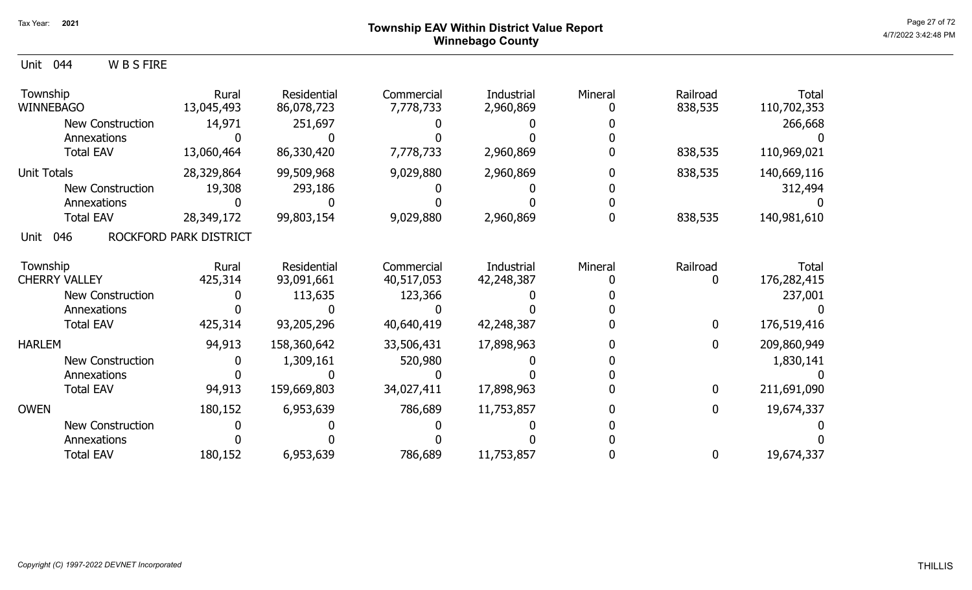### Page 27 of 72 Page 27 of 72  $^{\text{Page 27 of 72}}$ Winnebago County

| 044<br>W B S FIRE<br>Unit    |                        |                           |                         |                         |         |                     |                             |
|------------------------------|------------------------|---------------------------|-------------------------|-------------------------|---------|---------------------|-----------------------------|
| Township<br><b>WINNEBAGO</b> | Rural<br>13,045,493    | Residential<br>86,078,723 | Commercial<br>7,778,733 | Industrial<br>2,960,869 | Mineral | Railroad<br>838,535 | <b>Total</b><br>110,702,353 |
| <b>New Construction</b>      | 14,971                 | 251,697                   |                         |                         |         |                     | 266,668                     |
| Annexations                  |                        |                           |                         |                         |         |                     |                             |
| <b>Total EAV</b>             | 13,060,464             | 86,330,420                | 7,778,733               | 2,960,869               |         | 838,535             | 110,969,021                 |
| <b>Unit Totals</b>           | 28,329,864             | 99,509,968                | 9,029,880               | 2,960,869               |         | 838,535             | 140,669,116                 |
| <b>New Construction</b>      | 19,308                 | 293,186                   |                         |                         |         |                     | 312,494                     |
| Annexations                  |                        |                           |                         |                         |         |                     |                             |
| <b>Total EAV</b>             | 28,349,172             | 99,803,154                | 9,029,880               | 2,960,869               |         | 838,535             | 140,981,610                 |
| 046<br>Unit                  | ROCKFORD PARK DISTRICT |                           |                         |                         |         |                     |                             |
| Township                     | <b>Rural</b>           | Residential               | Commercial              | <b>Industrial</b>       | Mineral | Railroad            | <b>Total</b>                |
| <b>CHERRY VALLEY</b>         | 425,314                | 93,091,661                | 40,517,053              | 42,248,387              |         | 0                   | 176,282,415                 |
| <b>New Construction</b>      |                        | 113,635                   | 123,366                 |                         |         |                     | 237,001                     |
| Annexations                  |                        |                           |                         |                         |         |                     |                             |
| <b>Total EAV</b>             | 425,314                | 93,205,296                | 40,640,419              | 42,248,387              |         | 0                   | 176,519,416                 |
| <b>HARLEM</b>                | 94,913                 | 158,360,642               | 33,506,431              | 17,898,963              |         | 0                   | 209,860,949                 |
| <b>New Construction</b>      |                        | 1,309,161                 | 520,980                 |                         |         |                     | 1,830,141                   |
| Annexations                  |                        |                           |                         |                         |         |                     |                             |
| <b>Total EAV</b>             | 94,913                 | 159,669,803               | 34,027,411              | 17,898,963              |         | 0                   | 211,691,090                 |
| <b>OWEN</b>                  | 180,152                | 6,953,639                 | 786,689                 | 11,753,857              |         | 0                   | 19,674,337                  |
| <b>New Construction</b>      |                        |                           |                         |                         |         |                     |                             |
| Annexations                  |                        |                           |                         |                         |         |                     |                             |
| <b>Total EAV</b>             | 180,152                | 6,953,639                 | 786,689                 | 11,753,857              |         | 0                   | 19,674,337                  |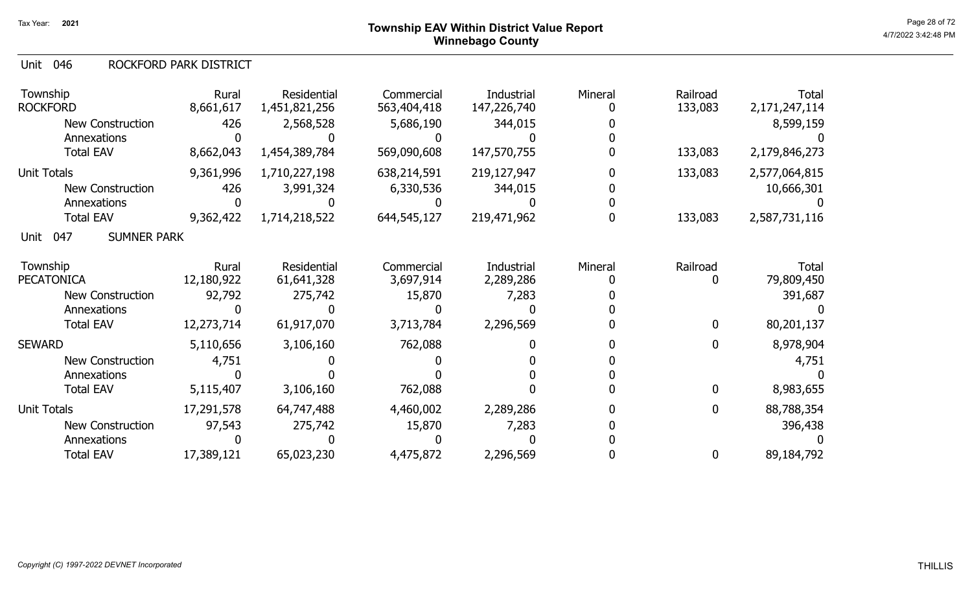#### 046 Unit ROCKFORD PARK DISTRICT

| Township<br><b>ROCKFORD</b>       | Rural<br>8,661,617 | Residential<br>1,451,821,256 | Commercial<br>563,404,418 | Industrial<br>147,226,740 | Mineral | Railroad<br>133,083 | Total<br>2, 171, 247, 114 |
|-----------------------------------|--------------------|------------------------------|---------------------------|---------------------------|---------|---------------------|---------------------------|
| <b>New Construction</b>           | 426                | 2,568,528                    | 5,686,190                 | 344,015                   |         |                     | 8,599,159                 |
| Annexations                       |                    |                              |                           |                           |         |                     |                           |
| <b>Total EAV</b>                  | 8,662,043          | 1,454,389,784                | 569,090,608               | 147,570,755               |         | 133,083             | 2,179,846,273             |
| <b>Unit Totals</b>                | 9,361,996          | 1,710,227,198                | 638,214,591               | 219,127,947               |         | 133,083             | 2,577,064,815             |
| <b>New Construction</b>           | 426                | 3,991,324                    | 6,330,536                 | 344,015                   |         |                     | 10,666,301                |
| Annexations                       |                    |                              |                           |                           |         |                     |                           |
| <b>Total EAV</b>                  | 9,362,422          | 1,714,218,522                | 644,545,127               | 219,471,962               |         | 133,083             | 2,587,731,116             |
| 047<br><b>SUMNER PARK</b><br>Unit |                    |                              |                           |                           |         |                     |                           |
| Township                          | Rural              | Residential                  | Commercial                | Industrial                | Mineral | Railroad            | Total                     |
| <b>PECATONICA</b>                 | 12,180,922         | 61,641,328                   | 3,697,914                 | 2,289,286                 |         |                     | 79,809,450                |
| New Construction                  | 92,792             | 275,742                      | 15,870                    | 7,283                     |         |                     | 391,687                   |
| Annexations                       |                    |                              |                           |                           |         |                     |                           |
| <b>Total EAV</b>                  | 12,273,714         | 61,917,070                   | 3,713,784                 | 2,296,569                 |         | 0                   | 80,201,137                |
| <b>SEWARD</b>                     | 5,110,656          | 3,106,160                    | 762,088                   |                           |         | $\mathbf{0}$        | 8,978,904                 |
| <b>New Construction</b>           | 4,751              |                              |                           |                           |         |                     | 4,751                     |
| Annexations                       |                    |                              |                           |                           |         |                     |                           |
| <b>Total EAV</b>                  | 5,115,407          | 3,106,160                    | 762,088                   |                           |         | $\mathbf{0}$        | 8,983,655                 |
| <b>Unit Totals</b>                | 17,291,578         | 64,747,488                   | 4,460,002                 | 2,289,286                 |         | 0                   | 88,788,354                |
| <b>New Construction</b>           | 97,543             | 275,742                      | 15,870                    | 7,283                     |         |                     | 396,438                   |
| Annexations                       |                    |                              |                           |                           |         |                     |                           |
| <b>Total EAV</b>                  | 17,389,121         | 65,023,230                   | 4,475,872                 | 2,296,569                 |         | 0                   | 89,184,792                |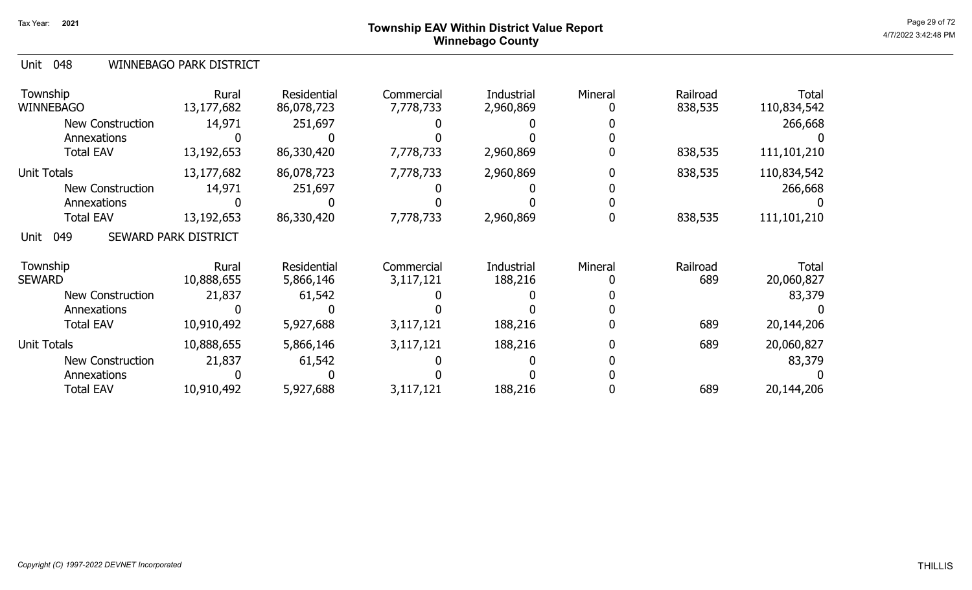## Page 29 of 72 Page 29 of 72  $^{\text{Page 29 of 72}}$ Winnebago County

| Unit 048 | WINNEBAGO PARK DISTRICT |
|----------|-------------------------|
|          |                         |

| Township<br><b>WINNEBAGO</b> | Rural<br>13,177,682  | Residential<br>86,078,723       | Commercial<br>7,778,733 | Industrial<br>2,960,869 | Mineral | Railroad<br>838,535 | <b>Total</b><br>110,834,542 |
|------------------------------|----------------------|---------------------------------|-------------------------|-------------------------|---------|---------------------|-----------------------------|
| <b>New Construction</b>      | 14,971               | 251,697                         |                         |                         |         |                     | 266,668                     |
| Annexations                  |                      |                                 |                         |                         |         |                     |                             |
| <b>Total EAV</b>             | 13,192,653           | 86,330,420                      | 7,778,733               | 2,960,869               |         | 838,535             | 111,101,210                 |
| Unit Totals                  | 13,177,682           | 86,078,723                      | 7,778,733               | 2,960,869               |         | 838,535             | 110,834,542                 |
| <b>New Construction</b>      | 14,971               | 251,697                         |                         |                         |         |                     | 266,668                     |
| Annexations                  |                      |                                 |                         |                         |         |                     |                             |
| <b>Total EAV</b>             | 13,192,653           | 86,330,420                      | 7,778,733               | 2,960,869               |         | 838,535             | 111,101,210                 |
| 049<br>Unit                  | SEWARD PARK DISTRICT |                                 |                         |                         |         |                     |                             |
| Township<br><b>SEWARD</b>    | Rural<br>10,888,655  | <b>Residential</b><br>5,866,146 | Commercial<br>3,117,121 | Industrial<br>188,216   | Mineral | Railroad<br>689     | <b>Total</b><br>20,060,827  |
| <b>New Construction</b>      | 21,837               | 61,542                          |                         |                         |         |                     | 83,379                      |
| Annexations                  |                      |                                 |                         |                         |         |                     |                             |
| <b>Total EAV</b>             | 10,910,492           | 5,927,688                       | 3,117,121               | 188,216                 |         | 689                 | 20,144,206                  |
| <b>Unit Totals</b>           | 10,888,655           | 5,866,146                       | 3,117,121               | 188,216                 |         | 689                 | 20,060,827                  |
| <b>New Construction</b>      | 21,837               | 61,542                          |                         |                         |         |                     | 83,379                      |
| Annexations                  |                      |                                 |                         |                         |         |                     |                             |
| <b>Total EAV</b>             | 10,910,492           | 5,927,688                       | 3,117,121               | 188,216                 |         | 689                 | 20,144,206                  |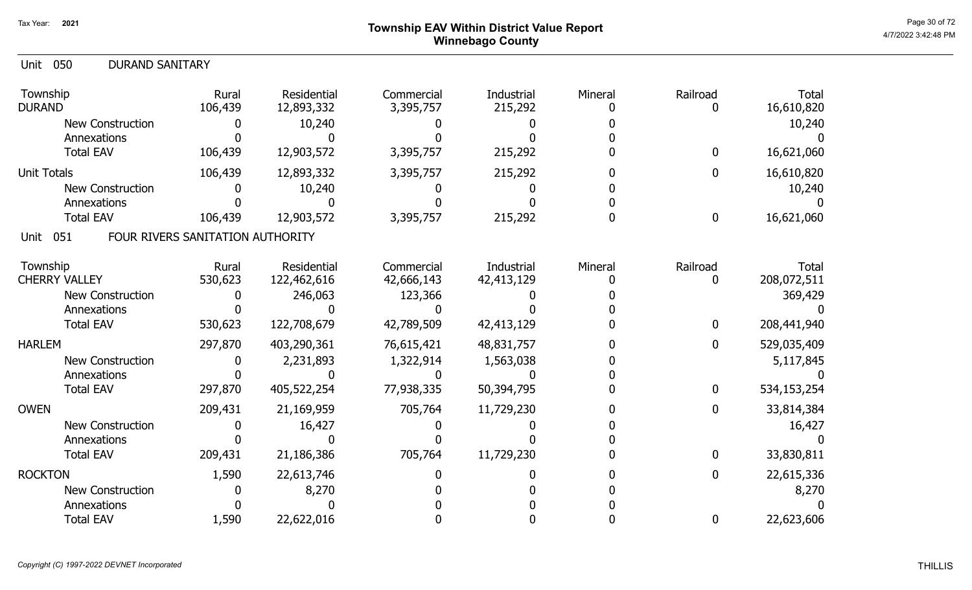## Page 30 of 72<br>Page 30 of 72<br>4/7/2022 3:42:48 PM Winnebago County

| <b>DURAND SANITARY</b><br><b>Unit 050</b> |                                  |                           |                         |                       |         |                              |                            |
|-------------------------------------------|----------------------------------|---------------------------|-------------------------|-----------------------|---------|------------------------------|----------------------------|
| Township<br><b>DURAND</b>                 | Rural<br>106,439                 | Residential<br>12,893,332 | Commercial<br>3,395,757 | Industrial<br>215,292 | Mineral | Railroad<br>$\boldsymbol{0}$ | <b>Total</b><br>16,610,820 |
| New Construction                          |                                  | 10,240                    |                         |                       |         |                              | 10,240                     |
| Annexations                               |                                  |                           |                         |                       |         |                              |                            |
| <b>Total EAV</b>                          | 106,439                          | 12,903,572                | 3,395,757               | 215,292               |         | $\bf{0}$                     | 16,621,060                 |
| <b>Unit Totals</b>                        | 106,439                          | 12,893,332                | 3,395,757               | 215,292               |         | $\bf{0}$                     | 16,610,820                 |
| <b>New Construction</b>                   |                                  | 10,240                    |                         |                       |         |                              | 10,240                     |
| Annexations                               |                                  |                           |                         |                       |         |                              |                            |
| <b>Total EAV</b>                          | 106,439                          | 12,903,572                | 3,395,757               | 215,292               |         | $\bf{0}$                     | 16,621,060                 |
| 051<br>Unit                               | FOUR RIVERS SANITATION AUTHORITY |                           |                         |                       |         |                              |                            |
| Township                                  | Rural                            | Residential               | Commercial              | Industrial            | Mineral | Railroad                     | Total                      |
| <b>CHERRY VALLEY</b>                      | 530,623                          | 122,462,616               | 42,666,143              | 42,413,129            |         | 0                            | 208,072,511                |
| <b>New Construction</b>                   |                                  | 246,063                   | 123,366                 |                       |         |                              | 369,429                    |
| Annexations                               |                                  |                           |                         |                       |         |                              |                            |
| <b>Total EAV</b>                          | 530,623                          | 122,708,679               | 42,789,509              | 42,413,129            |         | $\bf{0}$                     | 208,441,940                |
| <b>HARLEM</b>                             | 297,870                          | 403,290,361               | 76,615,421              | 48,831,757            |         | $\mathbf 0$                  | 529,035,409                |
| <b>New Construction</b>                   |                                  | 2,231,893                 | 1,322,914               | 1,563,038             |         |                              | 5,117,845                  |
| Annexations                               |                                  |                           |                         |                       |         |                              |                            |
| <b>Total EAV</b>                          | 297,870                          | 405,522,254               | 77,938,335              | 50,394,795            |         | $\bf{0}$                     | 534,153,254                |
| <b>OWEN</b>                               | 209,431                          | 21,169,959                | 705,764                 | 11,729,230            |         | $\bf{0}$                     | 33,814,384                 |
| New Construction                          |                                  | 16,427                    |                         |                       |         |                              | 16,427                     |
| Annexations                               |                                  |                           |                         |                       |         |                              |                            |
| <b>Total EAV</b>                          | 209,431                          | 21,186,386                | 705,764                 | 11,729,230            |         | $\bf{0}$                     | 33,830,811                 |
| <b>ROCKTON</b>                            | 1,590                            | 22,613,746                |                         |                       |         | $\bf{0}$                     | 22,615,336                 |
| <b>New Construction</b>                   |                                  | 8,270                     |                         |                       |         |                              | 8,270                      |
| Annexations                               |                                  |                           |                         |                       |         |                              |                            |
| <b>Total EAV</b>                          | 1,590                            | 22,622,016                |                         |                       |         | $\mathbf 0$                  | 22,623,606                 |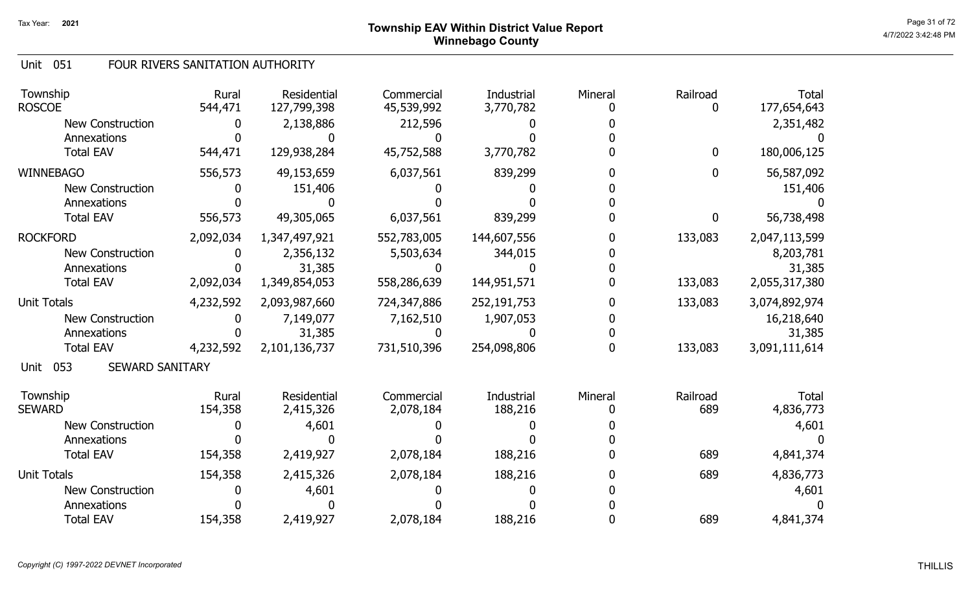#### Unit 051 FOUR RIVERS SANITATION AUTHORITY

| Township<br><b>ROSCOE</b>             | Rural<br>544,471 | Residential<br>127,799,398 | Commercial<br>45,539,992 | Industrial<br>3,770,782 | Mineral | Railroad    | <b>Total</b><br>177,654,643 |
|---------------------------------------|------------------|----------------------------|--------------------------|-------------------------|---------|-------------|-----------------------------|
| <b>New Construction</b>               | 0                | 2,138,886                  | 212,596                  |                         |         |             | 2,351,482                   |
| Annexations                           |                  |                            |                          |                         |         |             |                             |
| <b>Total EAV</b>                      | 544,471          | 129,938,284                | 45,752,588               | 3,770,782               |         | $\mathbf 0$ | 180,006,125                 |
| <b>WINNEBAGO</b>                      | 556,573          | 49,153,659                 | 6,037,561                | 839,299                 |         | 0           | 56,587,092                  |
| <b>New Construction</b>               |                  | 151,406                    |                          |                         |         |             | 151,406                     |
| Annexations                           |                  |                            |                          |                         |         |             |                             |
| <b>Total EAV</b>                      | 556,573          | 49,305,065                 | 6,037,561                | 839,299                 |         | 0           | 56,738,498                  |
| <b>ROCKFORD</b>                       | 2,092,034        | 1,347,497,921              | 552,783,005              | 144,607,556             |         | 133,083     | 2,047,113,599               |
| New Construction                      |                  | 2,356,132                  | 5,503,634                | 344,015                 |         |             | 8,203,781                   |
| Annexations                           |                  | 31,385                     |                          |                         |         |             | 31,385                      |
| <b>Total EAV</b>                      | 2,092,034        | 1,349,854,053              | 558,286,639              | 144,951,571             |         | 133,083     | 2,055,317,380               |
| <b>Unit Totals</b>                    | 4,232,592        | 2,093,987,660              | 724,347,886              | 252,191,753             |         | 133,083     | 3,074,892,974               |
| <b>New Construction</b>               |                  | 7,149,077                  | 7,162,510                | 1,907,053               |         |             | 16,218,640                  |
| Annexations                           |                  | 31,385                     |                          |                         |         |             | 31,385                      |
| <b>Total EAV</b>                      | 4,232,592        | 2,101,136,737              | 731,510,396              | 254,098,806             |         | 133,083     | 3,091,111,614               |
| 053<br><b>SEWARD SANITARY</b><br>Unit |                  |                            |                          |                         |         |             |                             |
| Township                              | Rural            | Residential                | Commercial               | Industrial              | Mineral | Railroad    | <b>Total</b>                |
| <b>SEWARD</b>                         | 154,358          | 2,415,326                  | 2,078,184                | 188,216                 |         | 689         | 4,836,773                   |
| <b>New Construction</b>               |                  | 4,601                      |                          |                         |         |             | 4,601                       |
| Annexations                           |                  |                            |                          |                         |         |             |                             |
| <b>Total EAV</b>                      | 154,358          | 2,419,927                  | 2,078,184                | 188,216                 |         | 689         | 4,841,374                   |
| <b>Unit Totals</b>                    | 154,358          | 2,415,326                  | 2,078,184                | 188,216                 |         | 689         | 4,836,773                   |
| New Construction                      |                  | 4,601                      |                          |                         |         |             | 4,601                       |
| Annexations                           |                  |                            |                          |                         |         |             |                             |
| <b>Total EAV</b>                      | 154,358          | 2,419,927                  | 2,078,184                | 188,216                 |         | 689         | 4,841,374                   |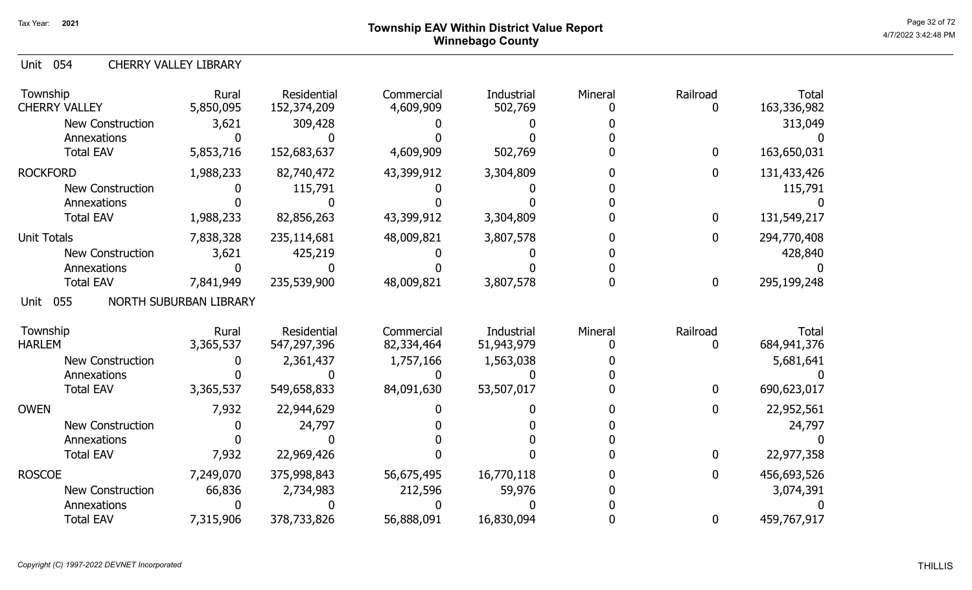Unit 054 CHERRY VALLEY LIBRARY

| Township<br><b>CHERRY VALLEY</b> | Rural<br>5,850,095     | Residential<br>152,374,209 | Commercial<br>4,609,909 | Industrial<br>502,769 | Mineral | Railroad | <b>Total</b><br>163,336,982 |
|----------------------------------|------------------------|----------------------------|-------------------------|-----------------------|---------|----------|-----------------------------|
| New Construction                 | 3,621                  | 309,428                    |                         |                       |         |          | 313,049                     |
| Annexations                      |                        |                            |                         |                       |         |          |                             |
| <b>Total EAV</b>                 | 5,853,716              | 152,683,637                | 4,609,909               | 502,769               |         | 0        | 163,650,031                 |
| <b>ROCKFORD</b>                  | 1,988,233              | 82,740,472                 | 43,399,912              | 3,304,809             |         | 0        | 131,433,426                 |
| <b>New Construction</b>          |                        | 115,791                    |                         |                       |         |          | 115,791                     |
| Annexations                      |                        |                            |                         |                       |         |          |                             |
| <b>Total EAV</b>                 | 1,988,233              | 82,856,263                 | 43,399,912              | 3,304,809             |         | 0        | 131,549,217                 |
| <b>Unit Totals</b>               | 7,838,328              | 235,114,681                | 48,009,821              | 3,807,578             |         | 0        | 294,770,408                 |
| <b>New Construction</b>          | 3,621                  | 425,219                    |                         |                       |         |          | 428,840                     |
| Annexations                      |                        |                            |                         |                       |         |          |                             |
| <b>Total EAV</b>                 | 7,841,949              | 235,539,900                | 48,009,821              | 3,807,578             |         | 0        | 295,199,248                 |
| 055<br>Unit                      | NORTH SUBURBAN LIBRARY |                            |                         |                       |         |          |                             |
| Township                         | Rural                  | Residential                | Commercial              | Industrial            | Mineral | Railroad | <b>Total</b>                |
| <b>HARLEM</b>                    | 3,365,537              | 547,297,396                | 82,334,464              | 51,943,979            |         | 0        | 684, 941, 376               |
| <b>New Construction</b>          |                        | 2,361,437                  | 1,757,166               | 1,563,038             |         |          | 5,681,641                   |
| Annexations                      |                        |                            |                         |                       |         |          |                             |
| <b>Total EAV</b>                 | 3,365,537              | 549,658,833                | 84,091,630              | 53,507,017            |         | 0        | 690,623,017                 |
| <b>OWEN</b>                      | 7,932                  | 22,944,629                 |                         |                       |         | 0        | 22,952,561                  |
| <b>New Construction</b>          |                        | 24,797                     |                         |                       |         |          | 24,797                      |
| Annexations                      |                        |                            |                         |                       |         |          |                             |
| <b>Total EAV</b>                 | 7,932                  | 22,969,426                 |                         |                       |         | 0        | 22,977,358                  |
| <b>ROSCOE</b>                    | 7,249,070              | 375,998,843                | 56,675,495              | 16,770,118            |         | 0        | 456,693,526                 |
| <b>New Construction</b>          | 66,836                 | 2,734,983                  | 212,596                 | 59,976                |         |          | 3,074,391                   |
| Annexations                      |                        |                            |                         |                       |         |          |                             |
| <b>Total EAV</b>                 | 7,315,906              | 378,733,826                | 56,888,091              | 16,830,094            |         | 0        | 459,767,917                 |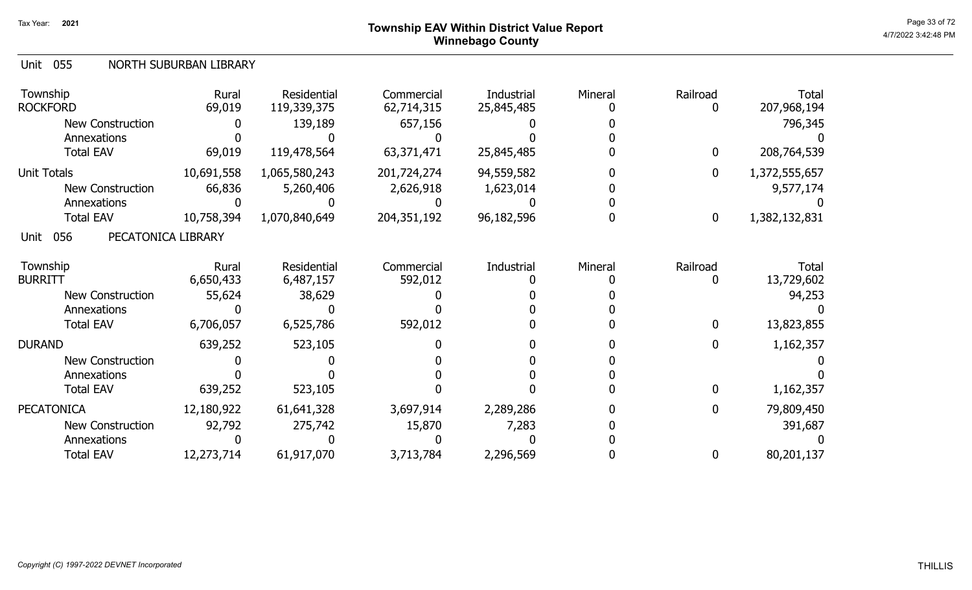## Page 33 of 72 Page 33 of 72  $^{\text{Page 33 of 72}}$ Winnebago County

#### Unit 055 NORTH SUBURBAN LIBRARY

| Township<br><b>ROCKFORD</b>       | Rural<br>69,019 | <b>Residential</b><br>119,339,375 | Commercial<br>62,714,315 | Industrial<br>25,845,485 | Mineral | Railroad    | <b>Total</b><br>207,968,194 |
|-----------------------------------|-----------------|-----------------------------------|--------------------------|--------------------------|---------|-------------|-----------------------------|
| <b>New Construction</b>           |                 | 139,189                           | 657,156                  |                          |         |             | 796,345                     |
| Annexations                       |                 |                                   |                          |                          |         |             |                             |
| <b>Total EAV</b>                  | 69,019          | 119,478,564                       | 63,371,471               | 25,845,485               |         | $\bf{0}$    | 208,764,539                 |
| <b>Unit Totals</b>                | 10,691,558      | 1,065,580,243                     | 201,724,274              | 94,559,582               |         | $\mathbf 0$ | 1,372,555,657               |
| <b>New Construction</b>           | 66,836          | 5,260,406                         | 2,626,918                | 1,623,014                |         |             | 9,577,174                   |
| Annexations                       |                 |                                   |                          |                          |         |             |                             |
| <b>Total EAV</b>                  | 10,758,394      | 1,070,840,649                     | 204, 351, 192            | 96, 182, 596             |         | $\bf{0}$    | 1,382,132,831               |
| 056<br>PECATONICA LIBRARY<br>Unit |                 |                                   |                          |                          |         |             |                             |
| Township                          | Rural           | Residential                       | Commercial               | Industrial               | Mineral | Railroad    | Total                       |
| <b>BURRITT</b>                    | 6,650,433       | 6,487,157                         | 592,012                  |                          |         |             | 13,729,602                  |
| New Construction                  | 55,624          | 38,629                            |                          |                          |         |             | 94,253                      |
| Annexations                       |                 |                                   |                          |                          |         |             |                             |
| <b>Total EAV</b>                  | 6,706,057       | 6,525,786                         | 592,012                  |                          |         | 0           | 13,823,855                  |
| <b>DURAND</b>                     | 639,252         | 523,105                           |                          |                          |         | $\bf{0}$    | 1,162,357                   |
| <b>New Construction</b>           |                 |                                   |                          |                          |         |             |                             |
| Annexations                       |                 |                                   |                          |                          |         |             |                             |
| <b>Total EAV</b>                  | 639,252         | 523,105                           |                          |                          |         | 0           | 1,162,357                   |
| <b>PECATONICA</b>                 | 12,180,922      | 61,641,328                        | 3,697,914                | 2,289,286                |         | $\bf{0}$    | 79,809,450                  |
| New Construction                  | 92,792          | 275,742                           | 15,870                   | 7,283                    |         |             | 391,687                     |
| Annexations                       |                 |                                   |                          |                          |         |             |                             |
| <b>Total EAV</b>                  | 12,273,714      | 61,917,070                        | 3,713,784                | 2,296,569                |         | $\bf{0}$    | 80,201,137                  |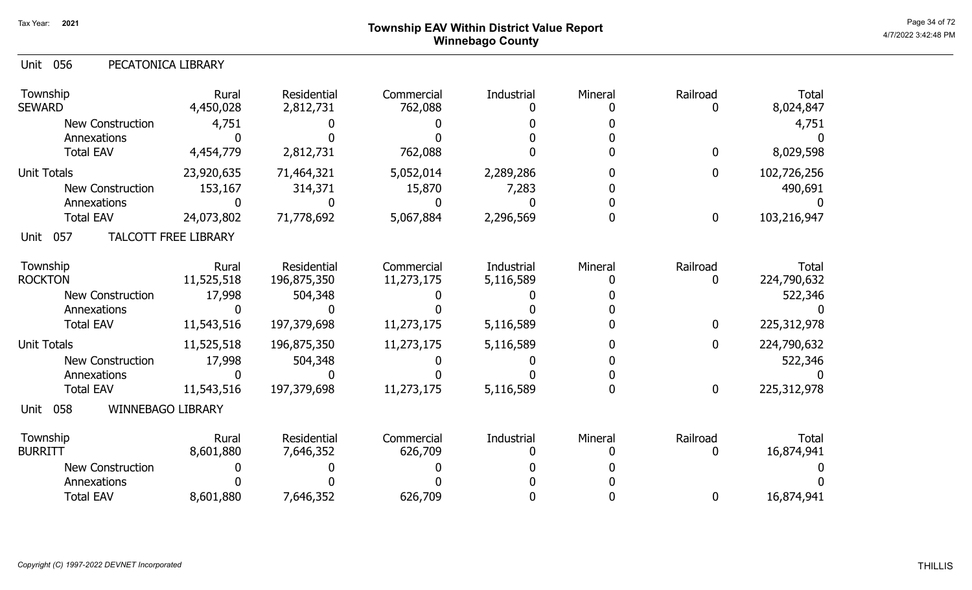## Page 34 of 72 Page 34 of 72  $^{\text{Page 34 of 72}}$ Winnebago County

|  | Unit 056 | PECATONICA LIBRARY |
|--|----------|--------------------|
|--|----------|--------------------|

| Township<br><b>SEWARD</b>              | Rural<br>4,450,028          | Residential<br>2,812,731   | Commercial<br>762,088    | Industrial              | Mineral | Railroad      | <b>Total</b><br>8,024,847 |
|----------------------------------------|-----------------------------|----------------------------|--------------------------|-------------------------|---------|---------------|---------------------------|
| <b>New Construction</b>                | 4,751                       |                            |                          |                         |         |               | 4,751                     |
| Annexations                            |                             |                            |                          |                         |         |               |                           |
| <b>Total EAV</b>                       | 4,454,779                   | 2,812,731                  | 762,088                  |                         |         | $\mathbf 0$   | 8,029,598                 |
| <b>Unit Totals</b>                     | 23,920,635                  | 71,464,321                 | 5,052,014                | 2,289,286               |         | $\mathbf 0$   | 102,726,256               |
| New Construction                       | 153,167                     | 314,371                    | 15,870                   | 7,283                   |         |               | 490,691                   |
| Annexations                            |                             |                            |                          |                         |         |               |                           |
| <b>Total EAV</b>                       | 24,073,802                  | 71,778,692                 | 5,067,884                | 2,296,569               |         | $\bf{0}$      | 103,216,947               |
| 057<br>Unit                            | <b>TALCOTT FREE LIBRARY</b> |                            |                          |                         |         |               |                           |
| Township<br><b>ROCKTON</b>             | Rural<br>11,525,518         | Residential<br>196,875,350 | Commercial<br>11,273,175 | Industrial<br>5,116,589 | Mineral | Railroad<br>0 | Total<br>224,790,632      |
|                                        |                             |                            |                          |                         |         |               |                           |
| <b>New Construction</b><br>Annexations | 17,998                      | 504,348                    |                          |                         |         |               | 522,346                   |
| <b>Total EAV</b>                       | 11,543,516                  | 197,379,698                | 11,273,175               | 5,116,589               |         | $\mathbf 0$   | 225,312,978               |
|                                        |                             |                            |                          |                         |         |               |                           |
| <b>Unit Totals</b>                     | 11,525,518                  | 196,875,350                | 11,273,175               | 5,116,589               |         | $\mathbf{0}$  | 224,790,632               |
| <b>New Construction</b>                | 17,998                      | 504,348                    |                          |                         |         |               | 522,346                   |
| Annexations                            |                             |                            |                          |                         |         |               |                           |
| <b>Total EAV</b>                       | 11,543,516                  | 197,379,698                | 11,273,175               | 5,116,589               |         | $\mathbf 0$   | 225,312,978               |
| WINNEBAGO LIBRARY<br>Unit<br>058       |                             |                            |                          |                         |         |               |                           |
| Township                               | Rural                       | <b>Residential</b>         | Commercial               | Industrial              | Mineral | Railroad      | <b>Total</b>              |
| <b>BURRITT</b>                         | 8,601,880                   | 7,646,352                  | 626,709                  |                         |         | 0             | 16,874,941                |
| <b>New Construction</b>                |                             |                            |                          |                         |         |               |                           |
| Annexations                            |                             |                            |                          |                         |         |               |                           |
| <b>Total EAV</b>                       | 8,601,880                   | 7,646,352                  | 626,709                  |                         |         | $\mathbf 0$   | 16,874,941                |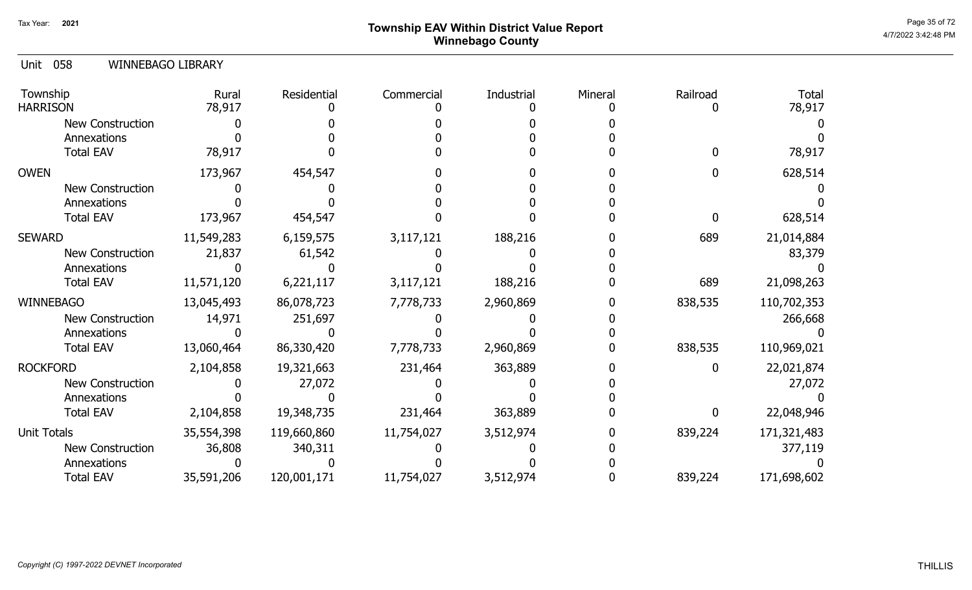## Page 35 of 72 Page 35 of 72  $^{\text{Page 35 of 72}}$ Winnebago County

#### 058 Unit WINNEBAGO LIBRARY

| Township<br><b>HARRISON</b> | Rural<br>78,917 | Residential | Commercial | Industrial | Mineral | Railroad | <b>Total</b><br>78,917 |
|-----------------------------|-----------------|-------------|------------|------------|---------|----------|------------------------|
| New Construction            |                 |             |            |            |         |          |                        |
| Annexations                 |                 |             |            |            |         |          |                        |
| <b>Total EAV</b>            | 78,917          |             |            |            |         |          | 78,917                 |
| <b>OWEN</b>                 | 173,967         | 454,547     |            |            |         |          | 628,514                |
| <b>New Construction</b>     |                 |             |            |            |         |          |                        |
| Annexations                 |                 |             |            |            |         |          |                        |
| <b>Total EAV</b>            | 173,967         | 454,547     |            |            |         |          | 628,514                |
| <b>SEWARD</b>               | 11,549,283      | 6,159,575   | 3,117,121  | 188,216    |         | 689      | 21,014,884             |
| New Construction            | 21,837          | 61,542      |            |            |         |          | 83,379                 |
| Annexations                 |                 |             |            |            |         |          |                        |
| <b>Total EAV</b>            | 11,571,120      | 6,221,117   | 3,117,121  | 188,216    |         | 689      | 21,098,263             |
| <b>WINNEBAGO</b>            | 13,045,493      | 86,078,723  | 7,778,733  | 2,960,869  |         | 838,535  | 110,702,353            |
| New Construction            | 14,971          | 251,697     |            |            |         |          | 266,668                |
| Annexations                 |                 |             |            |            |         |          |                        |
| <b>Total EAV</b>            | 13,060,464      | 86,330,420  | 7,778,733  | 2,960,869  |         | 838,535  | 110,969,021            |
| <b>ROCKFORD</b>             | 2,104,858       | 19,321,663  | 231,464    | 363,889    |         | 0        | 22,021,874             |
| New Construction            |                 | 27,072      |            |            |         |          | 27,072                 |
| Annexations                 |                 |             |            |            |         |          |                        |
| <b>Total EAV</b>            | 2,104,858       | 19,348,735  | 231,464    | 363,889    |         | 0        | 22,048,946             |
| Unit Totals                 | 35,554,398      | 119,660,860 | 11,754,027 | 3,512,974  |         | 839,224  | 171,321,483            |
| New Construction            | 36,808          | 340,311     |            |            |         |          | 377,119                |
| Annexations                 |                 |             |            |            |         |          |                        |
| <b>Total EAV</b>            | 35,591,206      | 120,001,171 | 11,754,027 | 3,512,974  |         | 839,224  | 171,698,602            |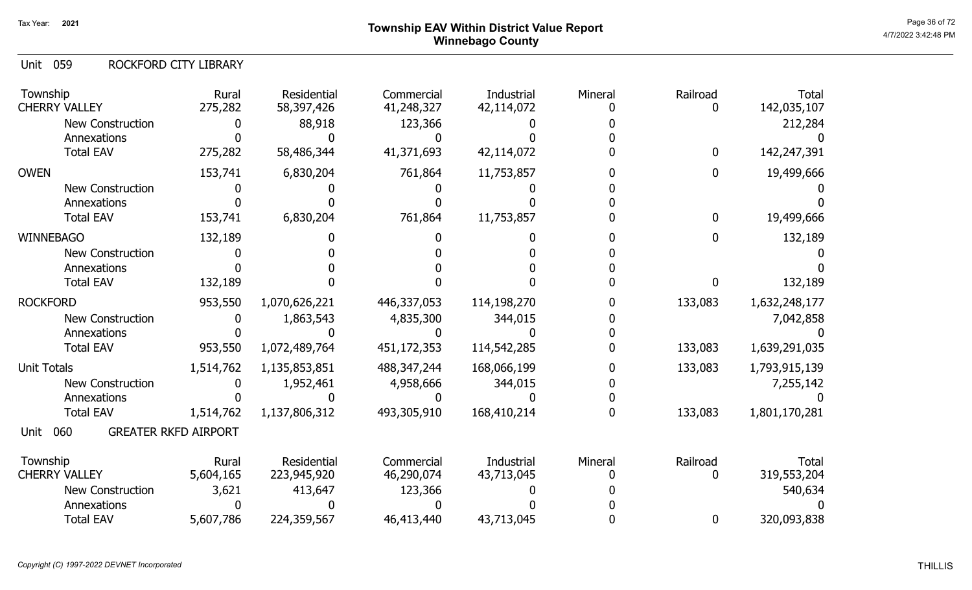## Page 36 of 72 Page 36 of 72  $^{\text{Page 36 of 72}}$ Winnebago County

059 Unit ROCKFORD CITY LIBRARY

| Township<br><b>CHERRY VALLEY</b>           | Rural<br>275,282 | <b>Residential</b><br>58,397,426 | Commercial<br>41,248,327 | Industrial<br>42,114,072 | Mineral | Railroad<br>O | <b>Total</b><br>142,035,107 |
|--------------------------------------------|------------------|----------------------------------|--------------------------|--------------------------|---------|---------------|-----------------------------|
| <b>New Construction</b>                    |                  | 88,918                           | 123,366                  |                          |         |               | 212,284                     |
| Annexations                                |                  |                                  |                          |                          |         |               |                             |
| <b>Total EAV</b>                           | 275,282          | 58,486,344                       | 41,371,693               | 42,114,072               |         | $\mathbf 0$   | 142,247,391                 |
| <b>OWEN</b>                                | 153,741          | 6,830,204                        | 761,864                  | 11,753,857               |         | $\mathbf 0$   | 19,499,666                  |
| <b>New Construction</b>                    |                  |                                  |                          |                          |         |               |                             |
| Annexations                                |                  |                                  |                          |                          |         |               |                             |
| <b>Total EAV</b>                           | 153,741          | 6,830,204                        | 761,864                  | 11,753,857               |         | $\mathbf 0$   | 19,499,666                  |
| <b>WINNEBAGO</b>                           | 132,189          |                                  |                          |                          |         | 0             | 132,189                     |
| <b>New Construction</b>                    |                  |                                  |                          |                          |         |               |                             |
| Annexations                                |                  |                                  |                          |                          |         |               |                             |
| <b>Total EAV</b>                           | 132,189          |                                  |                          |                          |         | 0             | 132,189                     |
| <b>ROCKFORD</b>                            | 953,550          | 1,070,626,221                    | 446,337,053              | 114,198,270              |         | 133,083       | 1,632,248,177               |
| <b>New Construction</b>                    |                  | 1,863,543                        | 4,835,300                | 344,015                  |         |               | 7,042,858                   |
| Annexations                                |                  |                                  |                          |                          |         |               |                             |
| <b>Total EAV</b>                           | 953,550          | 1,072,489,764                    | 451,172,353              | 114,542,285              |         | 133,083       | 1,639,291,035               |
| <b>Unit Totals</b>                         | 1,514,762        | 1,135,853,851                    | 488, 347, 244            | 168,066,199              |         | 133,083       | 1,793,915,139               |
| <b>New Construction</b>                    |                  | 1,952,461                        | 4,958,666                | 344,015                  |         |               | 7,255,142                   |
| Annexations                                |                  |                                  |                          |                          |         |               |                             |
| <b>Total EAV</b>                           | 1,514,762        | 1,137,806,312                    | 493,305,910              | 168,410,214              |         | 133,083       | 1,801,170,281               |
| <b>GREATER RKFD AIRPORT</b><br>060<br>Unit |                  |                                  |                          |                          |         |               |                             |
| Township                                   | Rural            | Residential                      | Commercial               | Industrial               | Mineral | Railroad      | <b>Total</b>                |
| <b>CHERRY VALLEY</b>                       | 5,604,165        | 223,945,920                      | 46,290,074               | 43,713,045               |         | 0             | 319,553,204                 |
| <b>New Construction</b>                    | 3,621            | 413,647                          | 123,366                  |                          |         |               | 540,634                     |
| Annexations                                |                  |                                  |                          |                          |         |               |                             |
| <b>Total EAV</b>                           | 5,607,786        | 224,359,567                      | 46,413,440               | 43,713,045               |         | 0             | 320,093,838                 |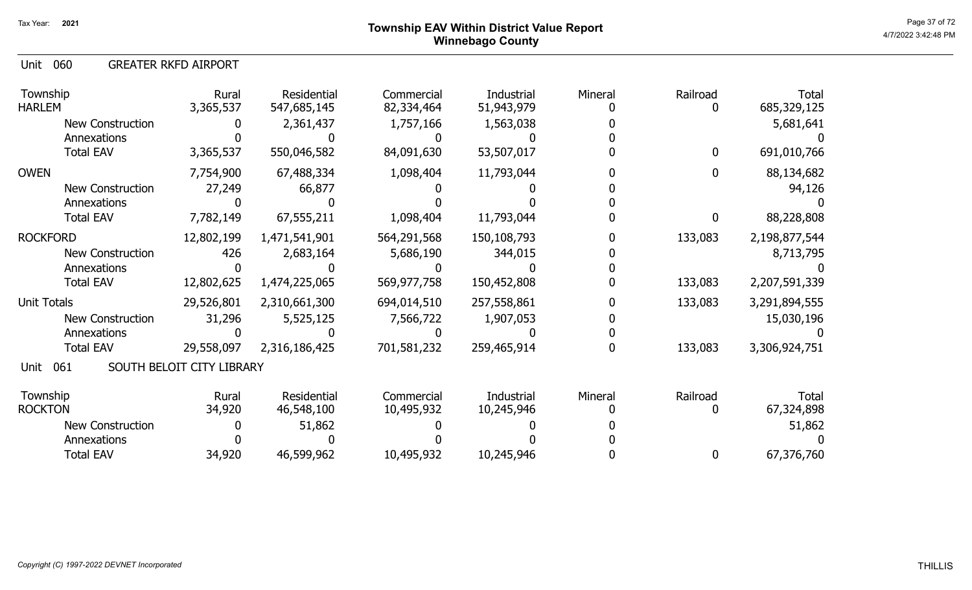060 Unit GREATER RKFD AIRPORT

| Township<br><b>HARLEM</b> | Rural<br>3,365,537        | Residential<br>547,685,145 | Commercial<br>82,334,464 | Industrial<br>51,943,979 | Mineral | Railroad<br>0 | Total<br>685,329,125 |
|---------------------------|---------------------------|----------------------------|--------------------------|--------------------------|---------|---------------|----------------------|
| <b>New Construction</b>   |                           | 2,361,437                  | 1,757,166                | 1,563,038                |         |               | 5,681,641            |
| Annexations               |                           |                            |                          |                          |         |               |                      |
| <b>Total EAV</b>          | 3,365,537                 | 550,046,582                | 84,091,630               | 53,507,017               |         | $\mathbf{0}$  | 691,010,766          |
| <b>OWEN</b>               | 7,754,900                 | 67,488,334                 | 1,098,404                | 11,793,044               |         | 0             | 88,134,682           |
| <b>New Construction</b>   | 27,249                    | 66,877                     |                          |                          |         |               | 94,126               |
| Annexations               |                           |                            |                          |                          |         |               |                      |
| <b>Total EAV</b>          | 7,782,149                 | 67,555,211                 | 1,098,404                | 11,793,044               |         | 0             | 88,228,808           |
| <b>ROCKFORD</b>           | 12,802,199                | 1,471,541,901              | 564,291,568              | 150,108,793              |         | 133,083       | 2,198,877,544        |
| <b>New Construction</b>   | 426                       | 2,683,164                  | 5,686,190                | 344,015                  |         |               | 8,713,795            |
| Annexations               |                           |                            |                          |                          |         |               |                      |
| <b>Total EAV</b>          | 12,802,625                | 1,474,225,065              | 569,977,758              | 150,452,808              |         | 133,083       | 2,207,591,339        |
| Unit Totals               | 29,526,801                | 2,310,661,300              | 694,014,510              | 257,558,861              |         | 133,083       | 3,291,894,555        |
| <b>New Construction</b>   | 31,296                    | 5,525,125                  | 7,566,722                | 1,907,053                |         |               | 15,030,196           |
| Annexations               |                           |                            |                          |                          |         |               |                      |
| <b>Total EAV</b>          | 29,558,097                | 2,316,186,425              | 701,581,232              | 259,465,914              |         | 133,083       | 3,306,924,751        |
| 061<br>Unit               | SOUTH BELOIT CITY LIBRARY |                            |                          |                          |         |               |                      |
| Township                  | Rural                     | Residential                | Commercial               | Industrial               | Mineral | Railroad      | Total                |
| <b>ROCKTON</b>            | 34,920                    | 46,548,100                 | 10,495,932               | 10,245,946               |         |               | 67,324,898           |
| <b>New Construction</b>   |                           | 51,862                     |                          |                          |         |               | 51,862               |
| Annexations               |                           |                            |                          |                          |         |               |                      |
| <b>Total EAV</b>          | 34,920                    | 46,599,962                 | 10,495,932               | 10,245,946               |         | $\bf{0}$      | 67,376,760           |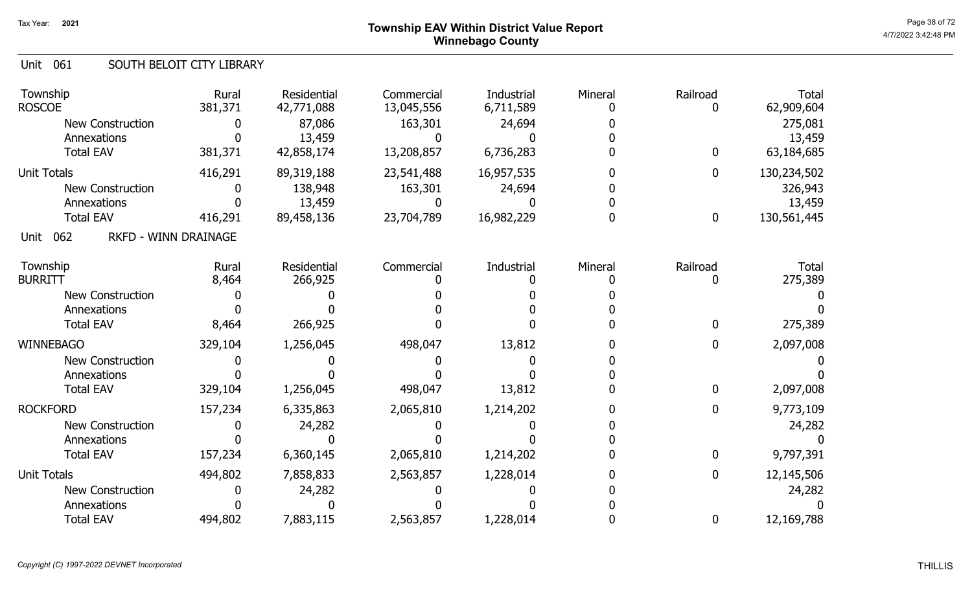## Page 38 of 72 Page 38 of 72  $^{\text{Page 38 of 72}}$ Winnebago County

### Unit 061 SOUTH BELOIT CITY LIBRARY

| Township<br><b>ROSCOE</b>                  | Rural<br>381,371 | Residential<br>42,771,088 | Commercial<br>13,045,556 | Industrial<br>6,711,589 | Mineral | Railroad<br>0    | <b>Total</b><br>62,909,604 |
|--------------------------------------------|------------------|---------------------------|--------------------------|-------------------------|---------|------------------|----------------------------|
| <b>New Construction</b>                    |                  | 87,086                    | 163,301                  | 24,694                  |         |                  | 275,081                    |
| Annexations                                |                  | 13,459                    |                          |                         |         |                  | 13,459                     |
| <b>Total EAV</b>                           | 381,371          | 42,858,174                | 13,208,857               | 6,736,283               |         | $\bf{0}$         | 63,184,685                 |
| <b>Unit Totals</b>                         | 416,291          | 89,319,188                | 23,541,488               | 16,957,535              |         | 0                | 130,234,502                |
| <b>New Construction</b>                    |                  | 138,948                   | 163,301                  | 24,694                  |         |                  | 326,943                    |
| Annexations                                |                  | 13,459                    |                          |                         |         |                  | 13,459                     |
| <b>Total EAV</b>                           | 416,291          | 89,458,136                | 23,704,789               | 16,982,229              | O       | $\boldsymbol{0}$ | 130,561,445                |
| 062<br><b>RKFD - WINN DRAINAGE</b><br>Unit |                  |                           |                          |                         |         |                  |                            |
| Township                                   | Rural            | Residential               | Commercial               | Industrial              | Mineral | Railroad         | <b>Total</b>               |
| <b>BURRITT</b>                             | 8,464            | 266,925                   |                          |                         |         | 0                | 275,389                    |
| New Construction                           |                  |                           |                          |                         |         |                  |                            |
| Annexations                                |                  |                           |                          |                         |         |                  |                            |
| <b>Total EAV</b>                           | 8,464            | 266,925                   |                          |                         |         | 0                | 275,389                    |
| <b>WINNEBAGO</b>                           | 329,104          | 1,256,045                 | 498,047                  | 13,812                  |         | 0                | 2,097,008                  |
| New Construction                           |                  |                           |                          |                         |         |                  |                            |
| Annexations                                |                  |                           |                          |                         |         |                  |                            |
| <b>Total EAV</b>                           | 329,104          | 1,256,045                 | 498,047                  | 13,812                  |         | $\bf{0}$         | 2,097,008                  |
| <b>ROCKFORD</b>                            | 157,234          | 6,335,863                 | 2,065,810                | 1,214,202               |         | 0                | 9,773,109                  |
| <b>New Construction</b>                    |                  | 24,282                    |                          |                         |         |                  | 24,282                     |
| Annexations                                |                  |                           |                          |                         |         |                  |                            |
| <b>Total EAV</b>                           | 157,234          | 6,360,145                 | 2,065,810                | 1,214,202               |         | 0                | 9,797,391                  |
| <b>Unit Totals</b>                         | 494,802          | 7,858,833                 | 2,563,857                | 1,228,014               |         | 0                | 12,145,506                 |
| New Construction                           |                  | 24,282                    |                          |                         |         |                  | 24,282                     |
| Annexations                                |                  |                           |                          |                         |         |                  |                            |
| <b>Total EAV</b>                           | 494,802          | 7,883,115                 | 2,563,857                | 1,228,014               |         | 0                | 12,169,788                 |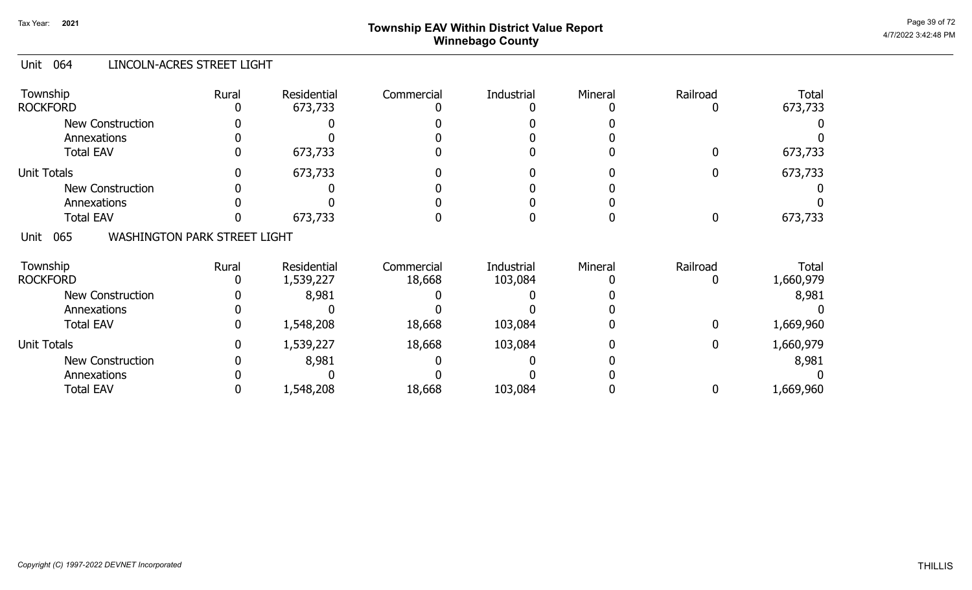# Page 39 of 72 Page 39 of 72  $^{\text{Page 39 of 72}}$ Winnebago County

### Unit 064 LINCOLN-ACRES STREET LIGHT

| Township<br><b>ROCKFORD</b>                        | Rural | Residential<br>673,733 | Commercial | <b>Industrial</b> | Mineral | Railroad    | <b>Total</b><br>673,733 |
|----------------------------------------------------|-------|------------------------|------------|-------------------|---------|-------------|-------------------------|
| <b>New Construction</b>                            |       |                        |            |                   |         |             |                         |
| Annexations                                        |       |                        |            |                   |         |             |                         |
| <b>Total EAV</b>                                   |       | 673,733                |            |                   |         | 0           | 673,733                 |
| <b>Unit Totals</b>                                 |       | 673,733                |            |                   |         |             | 673,733                 |
| <b>New Construction</b>                            |       |                        |            |                   |         |             |                         |
| Annexations                                        |       |                        |            |                   |         |             |                         |
| <b>Total EAV</b>                                   |       | 673,733                |            |                   |         | 0           | 673,733                 |
| 065<br><b>WASHINGTON PARK STREET LIGHT</b><br>Unit |       |                        |            |                   |         |             |                         |
| Township                                           | Rural | Residential            | Commercial | Industrial        | Mineral | Railroad    | <b>Total</b>            |
| <b>ROCKFORD</b>                                    |       | 1,539,227              | 18,668     | 103,084           |         | 0           | 1,660,979               |
| <b>New Construction</b>                            |       | 8,981                  |            |                   |         |             | 8,981                   |
| Annexations                                        |       |                        |            |                   |         |             |                         |
| <b>Total EAV</b>                                   | 0     | 1,548,208              | 18,668     | 103,084           |         | 0           | 1,669,960               |
| <b>Unit Totals</b>                                 | 0     | 1,539,227              | 18,668     | 103,084           |         | $\mathbf 0$ | 1,660,979               |
| <b>New Construction</b>                            |       | 8,981                  |            |                   |         |             | 8,981                   |
| Annexations                                        |       |                        |            |                   |         |             |                         |
| <b>Total EAV</b>                                   |       | 1,548,208              | 18,668     | 103,084           |         | 0           | 1,669,960               |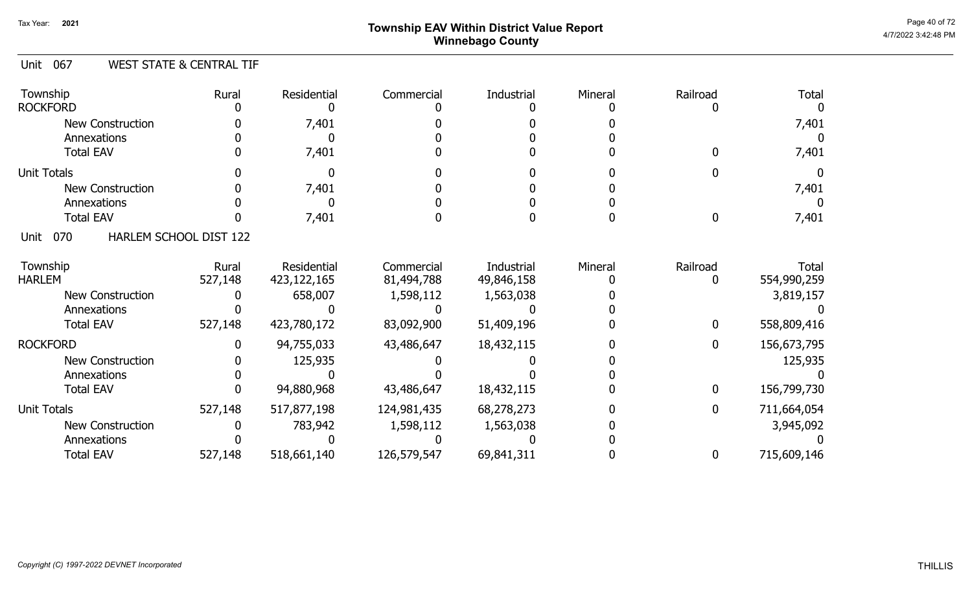# Page 40 of 72 Page 40 of 72  $^{\text{Page 40 of 72}}$ Winnebago County

### Unit 067 WEST STATE & CENTRAL TIF

| Township<br><b>ROCKFORD</b> | Rural                  | Residential | Commercial  | Industrial | Mineral | Railroad | <b>Total</b> |
|-----------------------------|------------------------|-------------|-------------|------------|---------|----------|--------------|
| <b>New Construction</b>     |                        | 7,401       |             |            |         |          | 7,401        |
| Annexations                 |                        |             |             |            |         |          |              |
| <b>Total EAV</b>            |                        | 7,401       |             |            |         |          | 7,401        |
| <b>Unit Totals</b>          |                        |             |             |            |         |          |              |
| <b>New Construction</b>     |                        | 7,401       |             |            |         |          | 7,401        |
| Annexations                 |                        |             |             |            |         |          |              |
| <b>Total EAV</b>            |                        | 7,401       |             |            |         |          | 7,401        |
| 070<br>Unit                 | HARLEM SCHOOL DIST 122 |             |             |            |         |          |              |
| Township                    | Rural                  | Residential | Commercial  | Industrial | Mineral | Railroad | Total        |
| <b>HARLEM</b>               | 527,148                | 423,122,165 | 81,494,788  | 49,846,158 |         |          | 554,990,259  |
| <b>New Construction</b>     |                        | 658,007     | 1,598,112   | 1,563,038  |         |          | 3,819,157    |
| Annexations                 |                        |             |             |            |         |          |              |
| <b>Total EAV</b>            | 527,148                | 423,780,172 | 83,092,900  | 51,409,196 |         | 0        | 558,809,416  |
| <b>ROCKFORD</b>             | O                      | 94,755,033  | 43,486,647  | 18,432,115 |         | 0        | 156,673,795  |
| New Construction            |                        | 125,935     |             |            |         |          | 125,935      |
| Annexations                 |                        |             |             |            |         |          |              |
| <b>Total EAV</b>            |                        | 94,880,968  | 43,486,647  | 18,432,115 |         | 0        | 156,799,730  |
| <b>Unit Totals</b>          | 527,148                | 517,877,198 | 124,981,435 | 68,278,273 |         | 0        | 711,664,054  |
| New Construction            |                        | 783,942     | 1,598,112   | 1,563,038  |         |          | 3,945,092    |
| Annexations                 |                        |             |             |            |         |          |              |
| <b>Total EAV</b>            | 527,148                | 518,661,140 | 126,579,547 | 69,841,311 |         | 0        | 715,609,146  |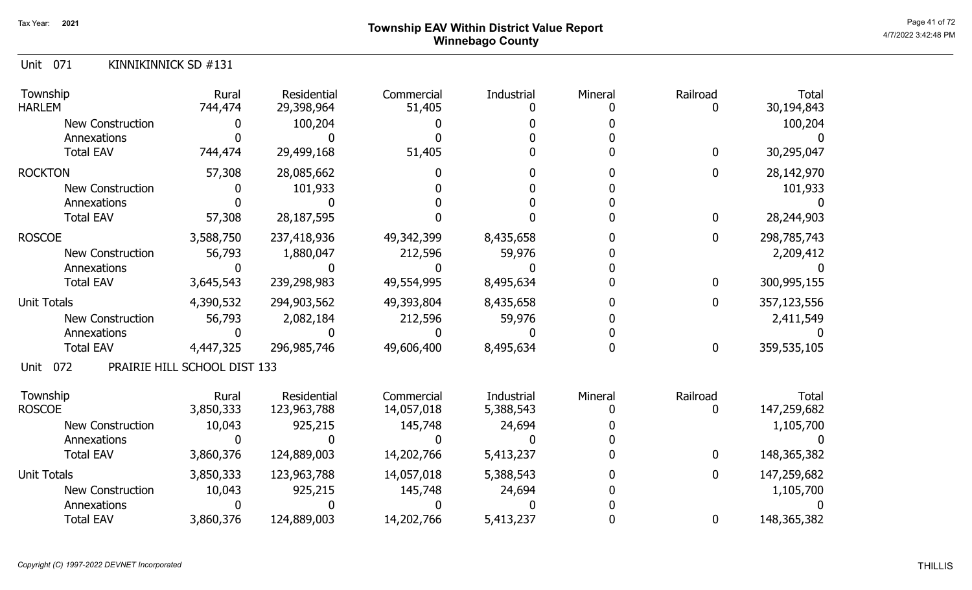# Page 41 of 72 Township EAV Within District Value Report And The Control of the Case of the Case of the Case of Winnebago County

| KINNIKINNICK SD #131<br>Unit 071 |
|----------------------------------|
|----------------------------------|

| Township<br><b>HARLEM</b> | Rural<br>744,474             | Residential<br>29,398,964 | Commercial<br>51,405 | Industrial | Mineral | Railroad     | <b>Total</b><br>30,194,843 |
|---------------------------|------------------------------|---------------------------|----------------------|------------|---------|--------------|----------------------------|
| <b>New Construction</b>   |                              | 100,204                   |                      |            |         |              | 100,204                    |
| Annexations               |                              |                           |                      |            |         |              |                            |
| <b>Total EAV</b>          | 744,474                      | 29,499,168                | 51,405               |            |         | $\mathbf 0$  | 30,295,047                 |
| <b>ROCKTON</b>            | 57,308                       | 28,085,662                |                      |            |         | $\mathbf{0}$ | 28,142,970                 |
| <b>New Construction</b>   |                              | 101,933                   |                      |            |         |              | 101,933                    |
| Annexations               |                              |                           |                      |            |         |              |                            |
| <b>Total EAV</b>          | 57,308                       | 28, 187, 595              |                      |            |         | 0            | 28,244,903                 |
| <b>ROSCOE</b>             | 3,588,750                    | 237,418,936               | 49,342,399           | 8,435,658  |         | 0            | 298,785,743                |
| <b>New Construction</b>   | 56,793                       | 1,880,047                 | 212,596              | 59,976     |         |              | 2,209,412                  |
| Annexations               |                              |                           |                      |            |         |              |                            |
| <b>Total EAV</b>          | 3,645,543                    | 239,298,983               | 49,554,995           | 8,495,634  |         | 0            | 300,995,155                |
| <b>Unit Totals</b>        | 4,390,532                    | 294,903,562               | 49,393,804           | 8,435,658  |         | 0            | 357,123,556                |
| <b>New Construction</b>   | 56,793                       | 2,082,184                 | 212,596              | 59,976     |         |              | 2,411,549                  |
| Annexations               |                              |                           |                      |            |         |              |                            |
| <b>Total EAV</b>          | 4,447,325                    | 296,985,746               | 49,606,400           | 8,495,634  |         | 0            | 359,535,105                |
| 072<br>Unit               | PRAIRIE HILL SCHOOL DIST 133 |                           |                      |            |         |              |                            |
| Township                  | Rural                        | Residential               | Commercial           | Industrial | Mineral | Railroad     | <b>Total</b>               |
| <b>ROSCOE</b>             | 3,850,333                    | 123,963,788               | 14,057,018           | 5,388,543  |         | $\Omega$     | 147,259,682                |
| <b>New Construction</b>   | 10,043                       | 925,215                   | 145,748              | 24,694     |         |              | 1,105,700                  |
| Annexations               |                              |                           |                      |            |         |              |                            |
| <b>Total EAV</b>          | 3,860,376                    | 124,889,003               | 14,202,766           | 5,413,237  |         | 0            | 148, 365, 382              |
| <b>Unit Totals</b>        | 3,850,333                    | 123,963,788               | 14,057,018           | 5,388,543  |         | 0            | 147,259,682                |
| <b>New Construction</b>   | 10,043                       | 925,215                   | 145,748              | 24,694     |         |              | 1,105,700                  |
| Annexations               |                              |                           |                      |            |         |              |                            |
| <b>Total EAV</b>          | 3,860,376                    | 124,889,003               | 14,202,766           | 5,413,237  |         | 0            | 148, 365, 382              |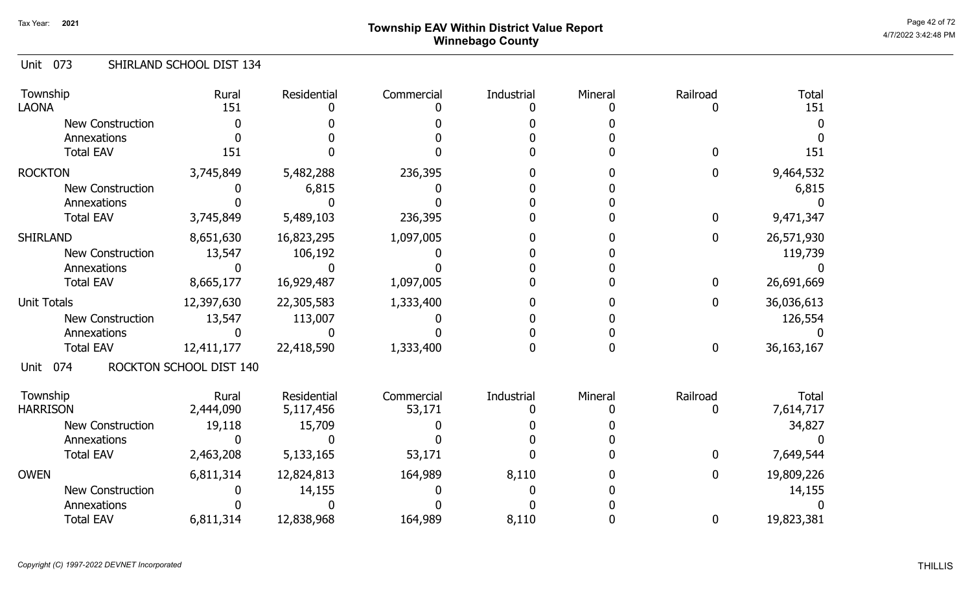#### Unit 073 SHIRLAND SCHOOL DIST 134

| Township<br><b>LAONA</b> | Rural<br>151            | Residential | Commercial | Industrial | Mineral | Railroad         | <b>Total</b><br>151 |
|--------------------------|-------------------------|-------------|------------|------------|---------|------------------|---------------------|
| <b>New Construction</b>  |                         |             |            |            |         |                  |                     |
| Annexations              |                         |             |            |            |         |                  |                     |
| <b>Total EAV</b>         | 151                     |             |            |            |         |                  | 151                 |
| <b>ROCKTON</b>           | 3,745,849               | 5,482,288   | 236,395    |            |         | 0                | 9,464,532           |
| <b>New Construction</b>  |                         | 6,815       |            |            |         |                  | 6,815               |
| Annexations              |                         |             |            |            |         |                  |                     |
| <b>Total EAV</b>         | 3,745,849               | 5,489,103   | 236,395    |            |         | $\mathbf 0$      | 9,471,347           |
| <b>SHIRLAND</b>          | 8,651,630               | 16,823,295  | 1,097,005  |            |         | $\boldsymbol{0}$ | 26,571,930          |
| New Construction         | 13,547                  | 106,192     |            |            |         |                  | 119,739             |
| Annexations              |                         |             |            |            |         |                  |                     |
| <b>Total EAV</b>         | 8,665,177               | 16,929,487  | 1,097,005  |            |         | $\mathbf 0$      | 26,691,669          |
| <b>Unit Totals</b>       | 12,397,630              | 22,305,583  | 1,333,400  |            |         | $\boldsymbol{0}$ | 36,036,613          |
| New Construction         | 13,547                  | 113,007     |            |            |         |                  | 126,554             |
| Annexations              |                         |             |            |            |         |                  |                     |
| <b>Total EAV</b>         | 12,411,177              | 22,418,590  | 1,333,400  |            |         | $\mathbf 0$      | 36, 163, 167        |
| 074<br>Unit              | ROCKTON SCHOOL DIST 140 |             |            |            |         |                  |                     |
| Township                 | Rural                   | Residential | Commercial | Industrial | Mineral | Railroad         | <b>Total</b>        |
| <b>HARRISON</b>          | 2,444,090               | 5,117,456   | 53,171     |            |         | 0                | 7,614,717           |
| <b>New Construction</b>  | 19,118                  | 15,709      |            |            |         |                  | 34,827              |
| Annexations              |                         |             |            |            |         |                  |                     |
| <b>Total EAV</b>         | 2,463,208               | 5,133,165   | 53,171     |            |         | $\bf{0}$         | 7,649,544           |
| <b>OWEN</b>              | 6,811,314               | 12,824,813  | 164,989    | 8,110      |         | $\bf{0}$         | 19,809,226          |
| <b>New Construction</b>  |                         | 14,155      |            |            |         |                  | 14,155              |
| Annexations              |                         |             |            |            |         |                  |                     |
| <b>Total EAV</b>         | 6,811,314               | 12,838,968  | 164,989    | 8,110      |         | $\bf{0}$         | 19,823,381          |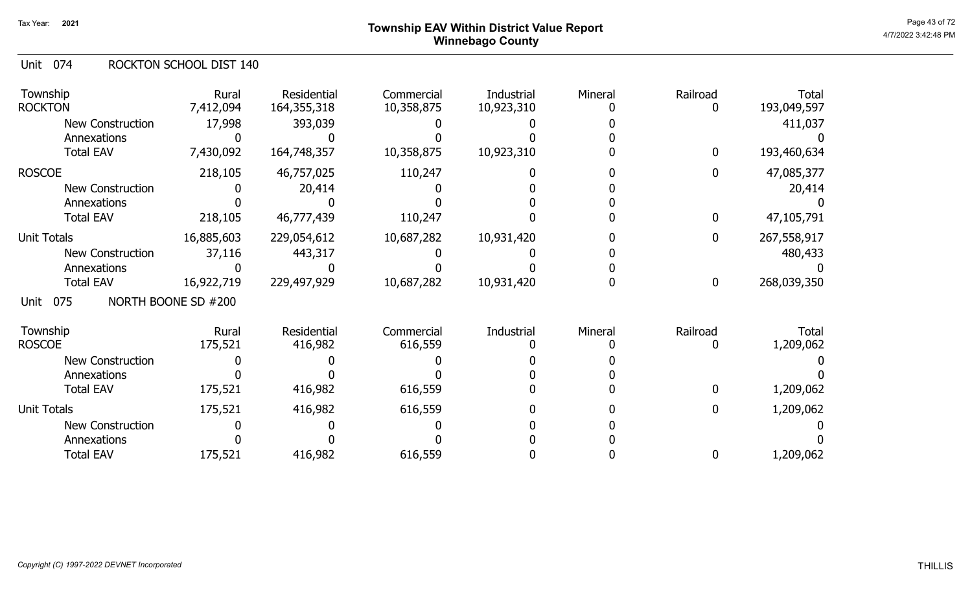# Page 43 of 72 Page 43 of 72  $^{\text{Page 43 of 72}}$ Winnebago County

#### Unit 074 ROCKTON SCHOOL DIST 140

| Township<br><b>ROCKTON</b> | Rural<br>7,412,094  | Residential<br>164, 355, 318 | Commercial<br>10,358,875 | Industrial<br>10,923,310 | Mineral | Railroad<br>0    | <b>Total</b><br>193,049,597 |
|----------------------------|---------------------|------------------------------|--------------------------|--------------------------|---------|------------------|-----------------------------|
| <b>New Construction</b>    | 17,998              | 393,039                      |                          |                          |         |                  | 411,037                     |
| Annexations                |                     |                              |                          |                          |         |                  |                             |
| <b>Total EAV</b>           | 7,430,092           | 164,748,357                  | 10,358,875               | 10,923,310               |         | $\bf{0}$         | 193,460,634                 |
| <b>ROSCOE</b>              | 218,105             | 46,757,025                   | 110,247                  |                          |         | $\bf{0}$         | 47,085,377                  |
| <b>New Construction</b>    |                     | 20,414                       |                          |                          |         |                  | 20,414                      |
| Annexations                |                     |                              |                          |                          |         |                  |                             |
| <b>Total EAV</b>           | 218,105             | 46,777,439                   | 110,247                  |                          |         | $\mathbf{0}$     | 47,105,791                  |
| Unit Totals                | 16,885,603          | 229,054,612                  | 10,687,282               | 10,931,420               |         | 0                | 267,558,917                 |
| New Construction           | 37,116              | 443,317                      |                          |                          |         |                  | 480,433                     |
| Annexations                |                     |                              |                          |                          |         |                  |                             |
| <b>Total EAV</b>           | 16,922,719          | 229,497,929                  | 10,687,282               | 10,931,420               |         | $\boldsymbol{0}$ | 268,039,350                 |
| 075<br>Unit                | NORTH BOONE SD #200 |                              |                          |                          |         |                  |                             |
| Township                   | Rural               | Residential                  | Commercial               | Industrial               | Mineral | Railroad         | Total                       |
| <b>ROSCOE</b>              | 175,521             | 416,982                      | 616,559                  |                          |         |                  | 1,209,062                   |
| <b>New Construction</b>    |                     |                              |                          |                          |         |                  |                             |
| Annexations                |                     |                              |                          |                          |         |                  |                             |
| <b>Total EAV</b>           | 175,521             | 416,982                      | 616,559                  |                          |         | 0                | 1,209,062                   |
| <b>Unit Totals</b>         | 175,521             | 416,982                      | 616,559                  |                          |         | 0                | 1,209,062                   |
| <b>New Construction</b>    |                     |                              |                          |                          |         |                  |                             |
| Annexations                |                     |                              |                          |                          |         |                  |                             |
| <b>Total EAV</b>           | 175,521             | 416,982                      | 616,559                  |                          |         | 0                | 1,209,062                   |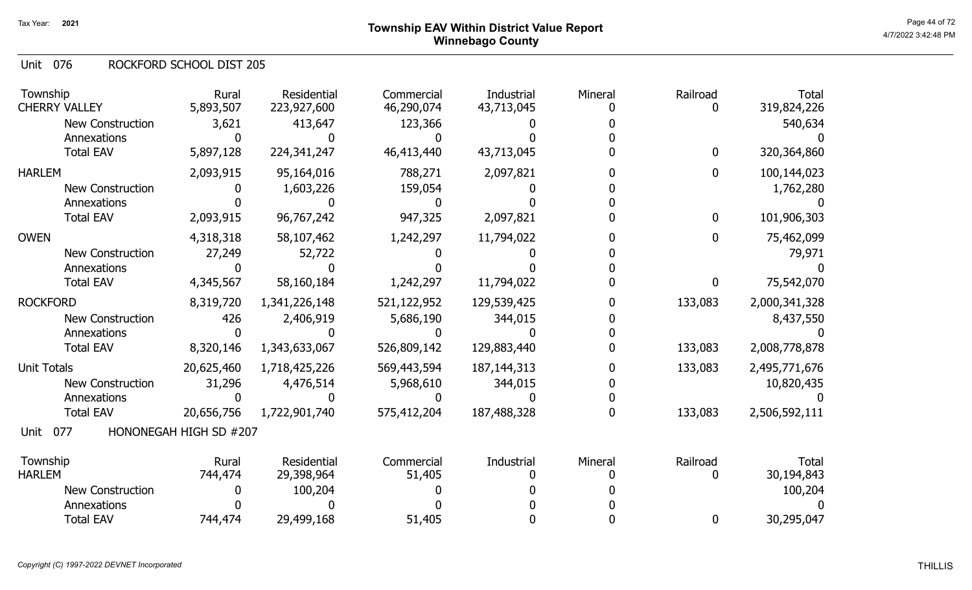076 Unit ROCKFORD SCHOOL DIST 205

| Township<br><b>CHERRY VALLEY</b> | Rural<br>5,893,507     | Residential<br>223,927,600 | Commercial<br>46,290,074 | Industrial<br>43,713,045 | Mineral | Railroad<br>0    | <b>Total</b><br>319,824,226 |
|----------------------------------|------------------------|----------------------------|--------------------------|--------------------------|---------|------------------|-----------------------------|
| <b>New Construction</b>          | 3,621                  | 413,647                    | 123,366                  |                          |         |                  | 540,634                     |
| Annexations                      | 0                      |                            |                          |                          |         |                  |                             |
| <b>Total EAV</b>                 | 5,897,128              | 224,341,247                | 46,413,440               | 43,713,045               |         | $\mathbf 0$      | 320,364,860                 |
| <b>HARLEM</b>                    | 2,093,915              | 95,164,016                 | 788,271                  | 2,097,821                |         | $\mathbf 0$      | 100,144,023                 |
| <b>New Construction</b>          |                        | 1,603,226                  | 159,054                  |                          |         |                  | 1,762,280                   |
| Annexations                      |                        |                            |                          |                          |         |                  |                             |
| <b>Total EAV</b>                 | 2,093,915              | 96,767,242                 | 947,325                  | 2,097,821                |         | $\bf{0}$         | 101,906,303                 |
| <b>OWEN</b>                      | 4,318,318              | 58,107,462                 | 1,242,297                | 11,794,022               |         | $\boldsymbol{0}$ | 75,462,099                  |
| <b>New Construction</b>          | 27,249                 | 52,722                     |                          |                          |         |                  | 79,971                      |
| Annexations                      |                        |                            |                          |                          |         |                  |                             |
| <b>Total EAV</b>                 | 4,345,567              | 58,160,184                 | 1,242,297                | 11,794,022               |         | $\mathbf 0$      | 75,542,070                  |
| <b>ROCKFORD</b>                  | 8,319,720              | 1,341,226,148              | 521,122,952              | 129,539,425              |         | 133,083          | 2,000,341,328               |
| <b>New Construction</b>          | 426                    | 2,406,919                  | 5,686,190                | 344,015                  |         |                  | 8,437,550                   |
| Annexations                      |                        |                            |                          |                          |         |                  |                             |
| <b>Total EAV</b>                 | 8,320,146              | 1,343,633,067              | 526,809,142              | 129,883,440              |         | 133,083          | 2,008,778,878               |
| <b>Unit Totals</b>               | 20,625,460             | 1,718,425,226              | 569,443,594              | 187, 144, 313            |         | 133,083          | 2,495,771,676               |
| <b>New Construction</b>          | 31,296                 | 4,476,514                  | 5,968,610                | 344,015                  |         |                  | 10,820,435                  |
| Annexations                      |                        |                            |                          |                          |         |                  |                             |
| <b>Total EAV</b>                 | 20,656,756             | 1,722,901,740              | 575,412,204              | 187,488,328              |         | 133,083          | 2,506,592,111               |
| 077<br>Unit                      | HONONEGAH HIGH SD #207 |                            |                          |                          |         |                  |                             |
| Township                         | Rural                  | Residential                | Commercial               | Industrial               | Mineral | Railroad         | <b>Total</b>                |
| <b>HARLEM</b>                    | 744,474                | 29,398,964                 | 51,405                   |                          |         | 0                | 30,194,843                  |
| New Construction                 |                        | 100,204                    |                          |                          |         |                  | 100,204                     |
| Annexations                      |                        |                            |                          |                          |         |                  |                             |
| <b>Total EAV</b>                 | 744,474                | 29,499,168                 | 51,405                   |                          |         | 0                | 30,295,047                  |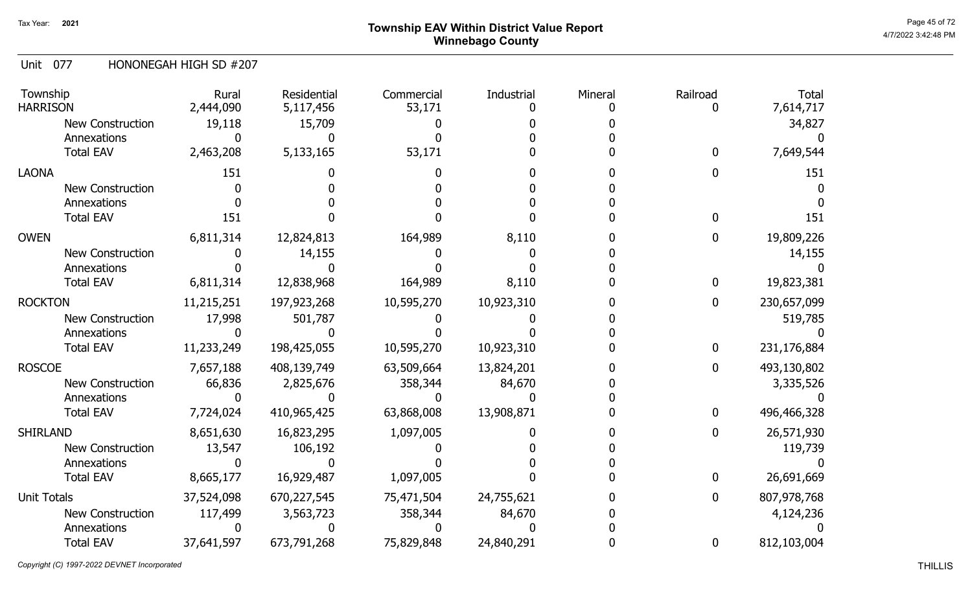Unit 077 HONONEGAH HIGH SD #207

| Township<br><b>HARRISON</b> | Rural<br>2,444,090 | Residential<br>5,117,456 | Commercial<br>53,171 | Industrial | Mineral | Railroad     | <b>Total</b><br>7,614,717 |
|-----------------------------|--------------------|--------------------------|----------------------|------------|---------|--------------|---------------------------|
| New Construction            | 19,118             | 15,709                   |                      |            |         |              | 34,827                    |
| Annexations                 |                    |                          |                      |            |         |              |                           |
| <b>Total EAV</b>            | 2,463,208          | 5,133,165                | 53,171               |            |         | 0            | 7,649,544                 |
| <b>LAONA</b>                | 151                |                          |                      |            |         |              | 151                       |
| <b>New Construction</b>     |                    |                          |                      |            |         |              |                           |
| Annexations                 |                    |                          |                      |            |         |              |                           |
| <b>Total EAV</b>            | 151                |                          |                      |            |         |              | 151                       |
| <b>OWEN</b>                 | 6,811,314          | 12,824,813               | 164,989              | 8,110      |         | 0            | 19,809,226                |
| <b>New Construction</b>     |                    | 14,155                   |                      |            |         |              | 14,155                    |
| Annexations                 |                    |                          |                      |            |         |              |                           |
| <b>Total EAV</b>            | 6,811,314          | 12,838,968               | 164,989              | 8,110      |         | 0            | 19,823,381                |
| <b>ROCKTON</b>              | 11,215,251         | 197,923,268              | 10,595,270           | 10,923,310 |         | 0            | 230,657,099               |
| <b>New Construction</b>     | 17,998             | 501,787                  |                      |            |         |              | 519,785                   |
| Annexations                 |                    |                          |                      |            |         |              |                           |
| <b>Total EAV</b>            | 11,233,249         | 198,425,055              | 10,595,270           | 10,923,310 |         | $\mathbf{0}$ | 231,176,884               |
| <b>ROSCOE</b>               | 7,657,188          | 408,139,749              | 63,509,664           | 13,824,201 |         | 0            | 493,130,802               |
| <b>New Construction</b>     | 66,836             | 2,825,676                | 358,344              | 84,670     |         |              | 3,335,526                 |
| Annexations                 |                    |                          |                      |            |         |              |                           |
| <b>Total EAV</b>            | 7,724,024          | 410,965,425              | 63,868,008           | 13,908,871 |         | 0            | 496,466,328               |
| <b>SHIRLAND</b>             | 8,651,630          | 16,823,295               | 1,097,005            |            |         |              | 26,571,930                |
| <b>New Construction</b>     | 13,547             | 106,192                  |                      |            |         |              | 119,739                   |
| Annexations                 |                    |                          |                      |            |         |              |                           |
| <b>Total EAV</b>            | 8,665,177          | 16,929,487               | 1,097,005            |            |         | 0            | 26,691,669                |
| <b>Unit Totals</b>          | 37,524,098         | 670,227,545              | 75,471,504           | 24,755,621 |         | 0            | 807,978,768               |
| <b>New Construction</b>     | 117,499            | 3,563,723                | 358,344              | 84,670     |         |              | 4,124,236                 |
| Annexations                 |                    |                          |                      |            |         |              |                           |
| <b>Total EAV</b>            | 37,641,597         | 673,791,268              | 75,829,848           | 24,840,291 |         | $\mathbf 0$  | 812,103,004               |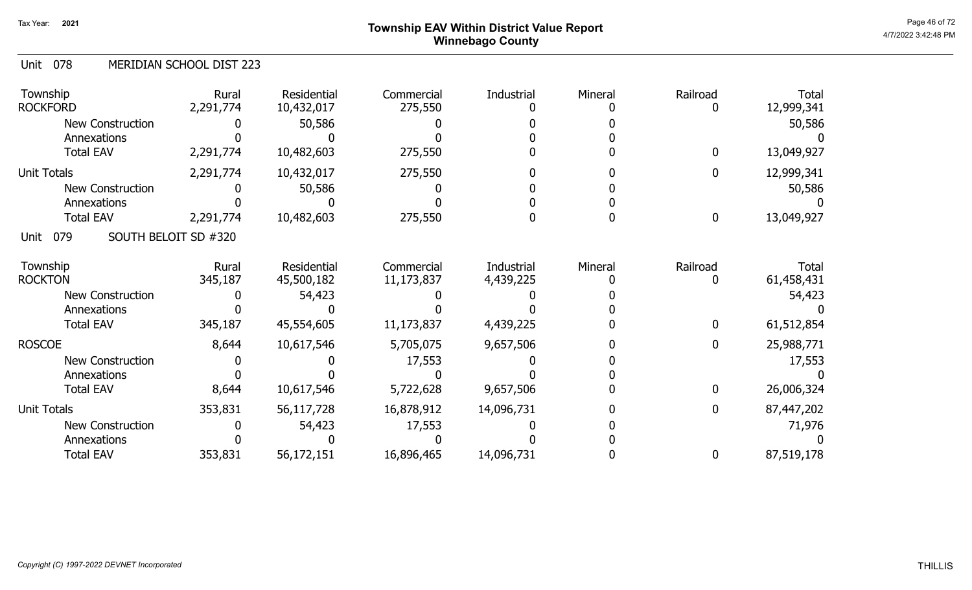## Page 46 of 72 Page 46 of 72  $^{\text{Page 46 of 72}}$ Winnebago County

### 078 Unit MERIDIAN SCHOOL DIST 223

| Township<br><b>ROCKFORD</b>         | Rural<br>2,291,774 | Residential<br>10,432,017 | Commercial<br>275,550 | Industrial | Mineral | Railroad<br>O | <b>Total</b><br>12,999,341 |
|-------------------------------------|--------------------|---------------------------|-----------------------|------------|---------|---------------|----------------------------|
| <b>New Construction</b>             |                    | 50,586                    |                       |            |         |               | 50,586                     |
| Annexations                         |                    |                           |                       |            |         |               |                            |
| <b>Total EAV</b>                    | 2,291,774          | 10,482,603                | 275,550               |            |         | $\mathbf 0$   | 13,049,927                 |
| <b>Unit Totals</b>                  | 2,291,774          | 10,432,017                | 275,550               |            |         | $\mathbf{0}$  | 12,999,341                 |
| <b>New Construction</b>             |                    | 50,586                    |                       |            |         |               | 50,586                     |
| Annexations                         |                    |                           |                       |            |         |               |                            |
| <b>Total EAV</b>                    | 2,291,774          | 10,482,603                | 275,550               |            |         | $\mathbf 0$   | 13,049,927                 |
| 079<br>SOUTH BELOIT SD #320<br>Unit |                    |                           |                       |            |         |               |                            |
| Township                            | Rural              | Residential               | Commercial            | Industrial | Mineral | Railroad      | Total                      |
| <b>ROCKTON</b>                      | 345,187            | 45,500,182                | 11,173,837            | 4,439,225  |         |               | 61,458,431                 |
| <b>New Construction</b>             |                    | 54,423                    |                       |            |         |               | 54,423                     |
| Annexations                         |                    |                           |                       |            |         |               |                            |
| <b>Total EAV</b>                    | 345,187            | 45,554,605                | 11,173,837            | 4,439,225  |         | $\mathbf 0$   | 61,512,854                 |
| <b>ROSCOE</b>                       | 8,644              | 10,617,546                | 5,705,075             | 9,657,506  |         | $\mathbf 0$   | 25,988,771                 |
| <b>New Construction</b>             |                    |                           | 17,553                |            |         |               | 17,553                     |
| Annexations                         |                    |                           |                       |            |         |               |                            |
| <b>Total EAV</b>                    | 8,644              | 10,617,546                | 5,722,628             | 9,657,506  |         | $\mathbf 0$   | 26,006,324                 |
| Unit Totals                         | 353,831            | 56,117,728                | 16,878,912            | 14,096,731 |         | $\mathbf 0$   | 87,447,202                 |
| <b>New Construction</b>             |                    | 54,423                    | 17,553                |            |         |               | 71,976                     |
| Annexations                         |                    |                           |                       |            |         |               |                            |
| <b>Total EAV</b>                    | 353,831            | 56,172,151                | 16,896,465            | 14,096,731 |         | 0             | 87,519,178                 |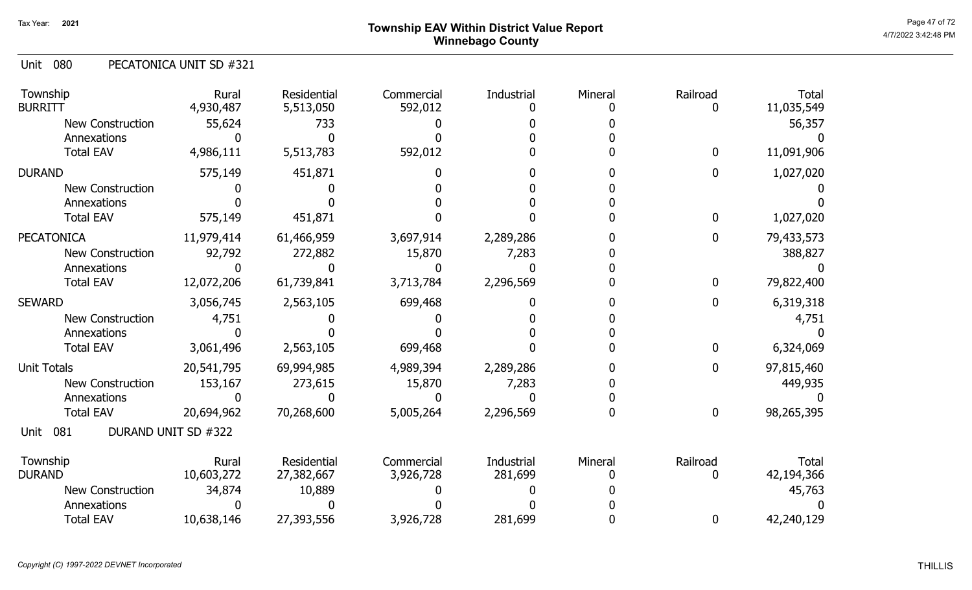080 Unit PECATONICA UNIT SD #321

| Township<br><b>BURRITT</b> | Rural<br>4,930,487  | Residential<br>5,513,050 | Commercial<br>592,012 | Industrial | Mineral | Railroad     | Total<br>11,035,549 |
|----------------------------|---------------------|--------------------------|-----------------------|------------|---------|--------------|---------------------|
| New Construction           | 55,624              | 733                      |                       |            |         |              | 56,357              |
| Annexations                |                     |                          |                       |            |         |              |                     |
| <b>Total EAV</b>           | 4,986,111           | 5,513,783                | 592,012               |            |         | $\mathbf{0}$ | 11,091,906          |
| <b>DURAND</b>              | 575,149             | 451,871                  |                       |            |         | 0            | 1,027,020           |
| <b>New Construction</b>    |                     |                          |                       |            |         |              |                     |
| Annexations                |                     |                          |                       |            |         |              |                     |
| <b>Total EAV</b>           | 575,149             | 451,871                  |                       |            |         | $\mathbf{0}$ | 1,027,020           |
| <b>PECATONICA</b>          | 11,979,414          | 61,466,959               | 3,697,914             | 2,289,286  |         | 0            | 79,433,573          |
| <b>New Construction</b>    | 92,792              | 272,882                  | 15,870                | 7,283      |         |              | 388,827             |
| Annexations                |                     |                          |                       |            |         |              |                     |
| <b>Total EAV</b>           | 12,072,206          | 61,739,841               | 3,713,784             | 2,296,569  |         | $\mathbf 0$  | 79,822,400          |
| <b>SEWARD</b>              | 3,056,745           | 2,563,105                | 699,468               |            |         | $\mathbf{0}$ | 6,319,318           |
| <b>New Construction</b>    | 4,751               |                          |                       |            |         |              | 4,751               |
| Annexations                |                     |                          |                       |            |         |              |                     |
| <b>Total EAV</b>           | 3,061,496           | 2,563,105                | 699,468               |            |         | 0            | 6,324,069           |
| <b>Unit Totals</b>         | 20,541,795          | 69,994,985               | 4,989,394             | 2,289,286  |         | 0            | 97,815,460          |
| <b>New Construction</b>    | 153,167             | 273,615                  | 15,870                | 7,283      |         |              | 449,935             |
| Annexations                |                     |                          |                       |            |         |              |                     |
| <b>Total EAV</b>           | 20,694,962          | 70,268,600               | 5,005,264             | 2,296,569  |         | $\bf{0}$     | 98,265,395          |
| 081<br>Unit                | DURAND UNIT SD #322 |                          |                       |            |         |              |                     |
| Township                   | Rural               | Residential              | Commercial            | Industrial | Mineral | Railroad     | Total               |
| <b>DURAND</b>              | 10,603,272          | 27,382,667               | 3,926,728             | 281,699    |         | 0            | 42,194,366          |
| <b>New Construction</b>    | 34,874              | 10,889                   |                       |            |         |              | 45,763              |
| Annexations                |                     |                          |                       |            |         |              |                     |
| <b>Total EAV</b>           | 10,638,146          | 27,393,556               | 3,926,728             | 281,699    |         | 0            | 42,240,129          |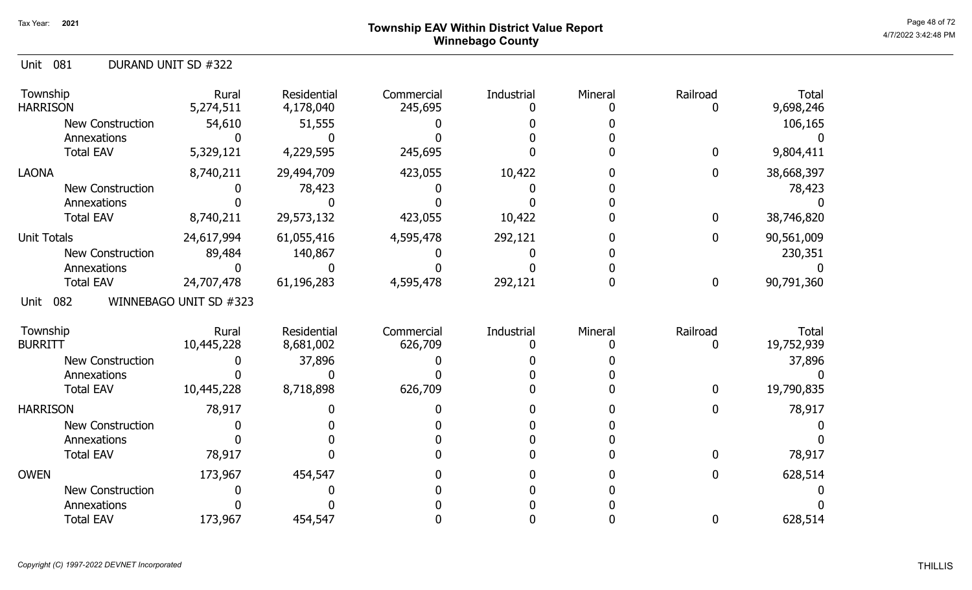# Page 48 of 72 Township EAV Within District Value Report And the Control of the Case of Tagge 48 of 72 Winnebago County

| DURAND UNIT SD #322<br>Unit 081 |
|---------------------------------|
|---------------------------------|

| Township<br><b>HARRISON</b> | Rural<br>5,274,511     | Residential<br>4,178,040 | Commercial<br>245,695 | Industrial | Mineral | Railroad         | <b>Total</b><br>9,698,246 |
|-----------------------------|------------------------|--------------------------|-----------------------|------------|---------|------------------|---------------------------|
| <b>New Construction</b>     | 54,610                 | 51,555                   |                       |            |         |                  | 106,165                   |
| Annexations                 |                        |                          |                       |            |         |                  |                           |
| <b>Total EAV</b>            | 5,329,121              | 4,229,595                | 245,695               |            |         | $\mathbf{0}$     | 9,804,411                 |
| <b>LAONA</b>                | 8,740,211              | 29,494,709               | 423,055               | 10,422     |         | $\mathbf 0$      | 38,668,397                |
| <b>New Construction</b>     |                        | 78,423                   |                       |            |         |                  | 78,423                    |
| Annexations                 |                        |                          |                       |            |         |                  |                           |
| <b>Total EAV</b>            | 8,740,211              | 29,573,132               | 423,055               | 10,422     |         | $\mathbf 0$      | 38,746,820                |
| <b>Unit Totals</b>          | 24,617,994             | 61,055,416               | 4,595,478             | 292,121    |         | 0                | 90,561,009                |
| <b>New Construction</b>     | 89,484                 | 140,867                  |                       |            |         |                  | 230,351                   |
| Annexations                 |                        |                          |                       |            |         |                  |                           |
| <b>Total EAV</b>            | 24,707,478             | 61,196,283               | 4,595,478             | 292,121    |         | $\boldsymbol{0}$ | 90,791,360                |
| 082<br>Unit                 | WINNEBAGO UNIT SD #323 |                          |                       |            |         |                  |                           |
| Township                    | Rural                  | Residential              | Commercial            | Industrial | Mineral | Railroad         | <b>Total</b>              |
| <b>BURRITT</b>              | 10,445,228             | 8,681,002                | 626,709               |            |         | 0                | 19,752,939                |
| <b>New Construction</b>     |                        | 37,896                   |                       |            |         |                  | 37,896                    |
| Annexations                 |                        |                          |                       |            |         |                  |                           |
| <b>Total EAV</b>            | 10,445,228             | 8,718,898                | 626,709               |            |         | $\bf{0}$         | 19,790,835                |
| <b>HARRISON</b>             | 78,917                 |                          |                       |            |         | 0                | 78,917                    |
| <b>New Construction</b>     |                        |                          |                       |            |         |                  |                           |
| Annexations                 |                        |                          |                       |            |         |                  |                           |
| <b>Total EAV</b>            | 78,917                 |                          |                       |            |         | 0                | 78,917                    |
| <b>OWEN</b>                 | 173,967                | 454,547                  |                       |            |         | 0                | 628,514                   |
| <b>New Construction</b>     |                        |                          |                       |            |         |                  |                           |
| Annexations                 |                        |                          |                       |            |         |                  |                           |
| <b>Total EAV</b>            | 173,967                | 454,547                  |                       |            |         | $\mathbf{0}$     | 628,514                   |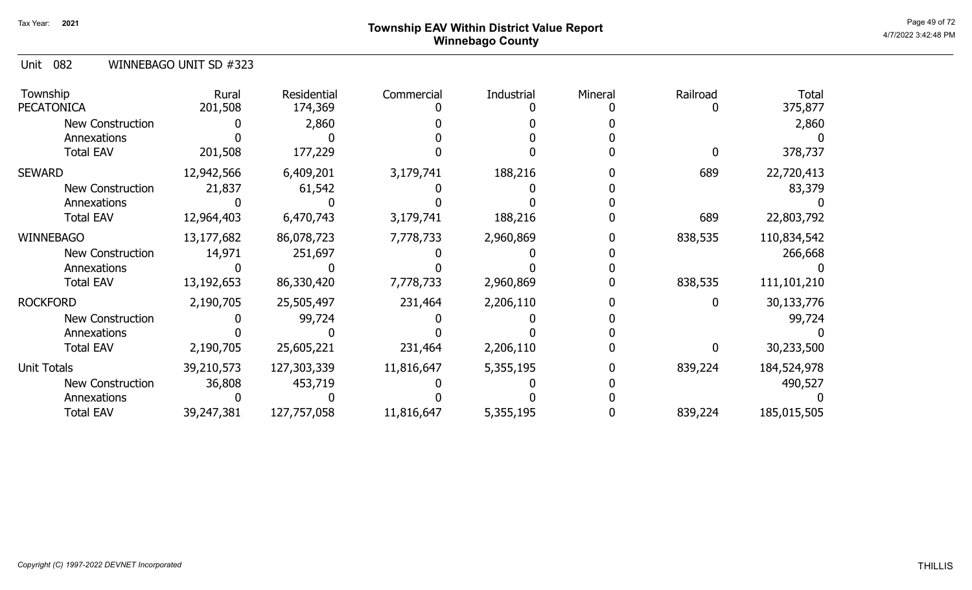# Page 49 of 72 Page 49 of 72  $^{\text{Page 49 of 72}}$ Winnebago County

Unit 082 WINNEBAGO UNIT SD #323

| Township<br><b>PECATONICA</b> | Rural<br>201,508 | <b>Residential</b><br>174,369 | Commercial | Industrial | Mineral | Railroad | <b>Total</b><br>375,877 |
|-------------------------------|------------------|-------------------------------|------------|------------|---------|----------|-------------------------|
| <b>New Construction</b>       |                  | 2,860                         |            |            |         |          | 2,860                   |
| Annexations                   |                  |                               |            |            |         |          |                         |
| <b>Total EAV</b>              | 201,508          | 177,229                       |            |            |         |          | 378,737                 |
| <b>SEWARD</b>                 | 12,942,566       | 6,409,201                     | 3,179,741  | 188,216    |         | 689      | 22,720,413              |
| <b>New Construction</b>       | 21,837           | 61,542                        |            |            |         |          | 83,379                  |
| Annexations                   |                  |                               |            |            |         |          |                         |
| <b>Total EAV</b>              | 12,964,403       | 6,470,743                     | 3,179,741  | 188,216    |         | 689      | 22,803,792              |
| <b>WINNEBAGO</b>              | 13,177,682       | 86,078,723                    | 7,778,733  | 2,960,869  |         | 838,535  | 110,834,542             |
| <b>New Construction</b>       | 14,971           | 251,697                       |            |            |         |          | 266,668                 |
| Annexations                   |                  |                               |            |            |         |          |                         |
| <b>Total EAV</b>              | 13,192,653       | 86,330,420                    | 7,778,733  | 2,960,869  |         | 838,535  | 111,101,210             |
| <b>ROCKFORD</b>               | 2,190,705        | 25,505,497                    | 231,464    | 2,206,110  |         |          | 30,133,776              |
| New Construction              |                  | 99,724                        |            |            |         |          | 99,724                  |
| Annexations                   |                  |                               |            |            |         |          |                         |
| <b>Total EAV</b>              | 2,190,705        | 25,605,221                    | 231,464    | 2,206,110  |         |          | 30,233,500              |
| <b>Unit Totals</b>            | 39,210,573       | 127,303,339                   | 11,816,647 | 5,355,195  |         | 839,224  | 184,524,978             |
| New Construction              | 36,808           | 453,719                       |            |            |         |          | 490,527                 |
| Annexations                   |                  |                               |            |            |         |          |                         |
| <b>Total EAV</b>              | 39,247,381       | 127,757,058                   | 11,816,647 | 5,355,195  |         | 839,224  | 185,015,505             |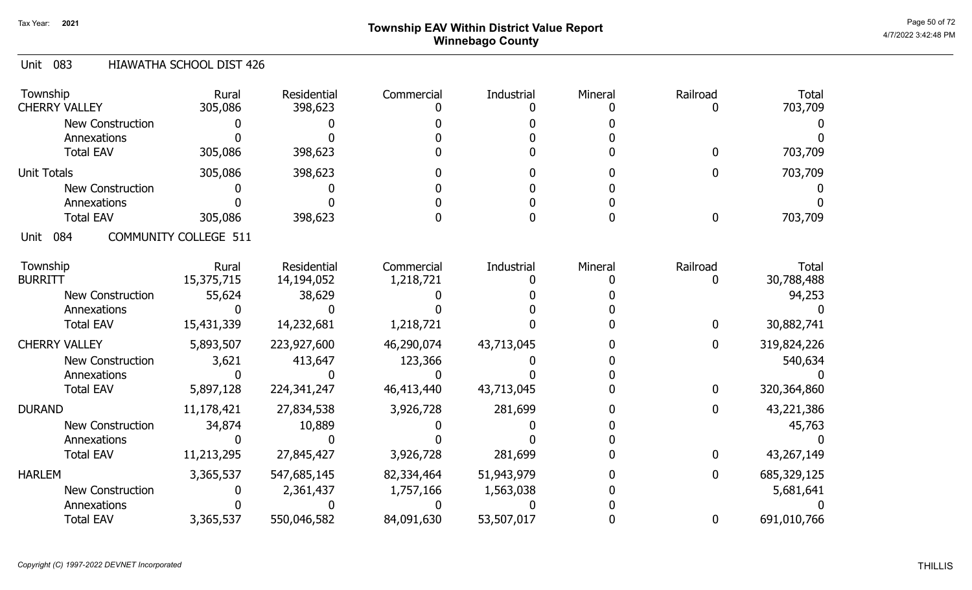# Page 50 of 72 Page 50 of 72  $^{\text{Page 50 of 72}}$ Winnebago County

### Unit 083 HIAWATHA SCHOOL DIST 426

| Township<br><b>CHERRY VALLEY</b> | Rural<br>305,086             | <b>Residential</b><br>398,623 | Commercial | Industrial | Mineral | Railroad | <b>Total</b><br>703,709 |
|----------------------------------|------------------------------|-------------------------------|------------|------------|---------|----------|-------------------------|
| <b>New Construction</b>          |                              |                               |            |            |         |          |                         |
| Annexations                      |                              |                               |            |            |         |          |                         |
| <b>Total EAV</b>                 | 305,086                      | 398,623                       |            |            |         | 0        | 703,709                 |
| <b>Unit Totals</b>               | 305,086                      | 398,623                       |            |            |         | 0        | 703,709                 |
| <b>New Construction</b>          |                              |                               |            |            |         |          |                         |
| Annexations                      |                              |                               |            |            |         |          |                         |
| <b>Total EAV</b>                 | 305,086                      | 398,623                       |            |            |         | 0        | 703,709                 |
| 084<br>Unit                      | <b>COMMUNITY COLLEGE 511</b> |                               |            |            |         |          |                         |
| Township                         | Rural                        | Residential                   | Commercial | Industrial | Mineral | Railroad | <b>Total</b>            |
| <b>BURRITT</b>                   | 15,375,715                   | 14,194,052                    | 1,218,721  |            |         |          | 30,788,488              |
| <b>New Construction</b>          | 55,624                       | 38,629                        |            |            |         |          | 94,253                  |
| Annexations                      |                              |                               |            |            |         |          |                         |
| <b>Total EAV</b>                 | 15,431,339                   | 14,232,681                    | 1,218,721  |            |         | 0        | 30,882,741              |
| <b>CHERRY VALLEY</b>             | 5,893,507                    | 223,927,600                   | 46,290,074 | 43,713,045 |         | 0        | 319,824,226             |
| <b>New Construction</b>          | 3,621                        | 413,647                       | 123,366    |            |         |          | 540,634                 |
| Annexations                      |                              |                               |            |            |         |          |                         |
| <b>Total EAV</b>                 | 5,897,128                    | 224,341,247                   | 46,413,440 | 43,713,045 |         | 0        | 320,364,860             |
| <b>DURAND</b>                    | 11,178,421                   | 27,834,538                    | 3,926,728  | 281,699    |         | 0        | 43,221,386              |
| New Construction                 | 34,874                       | 10,889                        |            |            |         |          | 45,763                  |
| Annexations                      |                              |                               |            |            |         |          |                         |
| <b>Total EAV</b>                 | 11,213,295                   | 27,845,427                    | 3,926,728  | 281,699    |         | 0        | 43,267,149              |
| <b>HARLEM</b>                    | 3,365,537                    | 547,685,145                   | 82,334,464 | 51,943,979 |         | 0        | 685,329,125             |
| <b>New Construction</b>          |                              | 2,361,437                     | 1,757,166  | 1,563,038  |         |          | 5,681,641               |
| Annexations                      |                              |                               |            |            |         |          |                         |
| <b>Total EAV</b>                 | 3,365,537                    | 550,046,582                   | 84,091,630 | 53,507,017 |         | 0        | 691,010,766             |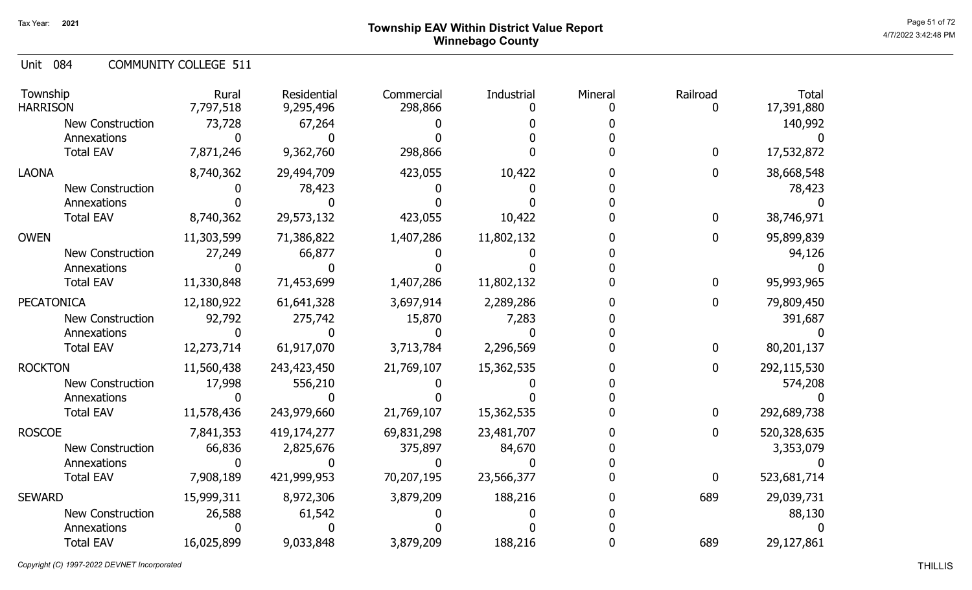Unit 084 COMMUNITY COLLEGE 511

| Township<br><b>HARRISON</b> | Rural<br>7,797,518 | Residential<br>9,295,496 | Commercial<br>298,866 | Industrial | Mineral | Railroad<br>0 | <b>Total</b><br>17,391,880 |
|-----------------------------|--------------------|--------------------------|-----------------------|------------|---------|---------------|----------------------------|
| <b>New Construction</b>     | 73,728             | 67,264                   |                       |            |         |               | 140,992                    |
| Annexations                 |                    |                          |                       |            |         |               |                            |
| <b>Total EAV</b>            | 7,871,246          | 9,362,760                | 298,866               |            |         | $\mathbf 0$   | 17,532,872                 |
| <b>LAONA</b>                | 8,740,362          | 29,494,709               | 423,055               | 10,422     |         | 0             | 38,668,548                 |
| <b>New Construction</b>     |                    | 78,423                   |                       |            |         |               | 78,423                     |
| Annexations                 |                    |                          |                       |            |         |               |                            |
| <b>Total EAV</b>            | 8,740,362          | 29,573,132               | 423,055               | 10,422     |         | $\mathbf 0$   | 38,746,971                 |
| <b>OWEN</b>                 | 11,303,599         | 71,386,822               | 1,407,286             | 11,802,132 |         | 0             | 95,899,839                 |
| <b>New Construction</b>     | 27,249             | 66,877                   |                       |            |         |               | 94,126                     |
| Annexations                 |                    |                          |                       |            |         |               |                            |
| <b>Total EAV</b>            | 11,330,848         | 71,453,699               | 1,407,286             | 11,802,132 |         | 0             | 95,993,965                 |
| <b>PECATONICA</b>           | 12,180,922         | 61,641,328               | 3,697,914             | 2,289,286  |         | 0             | 79,809,450                 |
| New Construction            | 92,792             | 275,742                  | 15,870                | 7,283      |         |               | 391,687                    |
| Annexations                 |                    |                          |                       |            |         |               |                            |
| <b>Total EAV</b>            | 12,273,714         | 61,917,070               | 3,713,784             | 2,296,569  |         | $\bf{0}$      | 80,201,137                 |
| <b>ROCKTON</b>              | 11,560,438         | 243,423,450              | 21,769,107            | 15,362,535 |         | 0             | 292,115,530                |
| <b>New Construction</b>     | 17,998             | 556,210                  |                       |            |         |               | 574,208                    |
| Annexations                 |                    |                          |                       |            |         |               |                            |
| <b>Total EAV</b>            | 11,578,436         | 243,979,660              | 21,769,107            | 15,362,535 |         | $\bf{0}$      | 292,689,738                |
| <b>ROSCOE</b>               | 7,841,353          | 419,174,277              | 69,831,298            | 23,481,707 |         | 0             | 520,328,635                |
| <b>New Construction</b>     | 66,836             | 2,825,676                | 375,897               | 84,670     |         |               | 3,353,079                  |
| Annexations                 |                    |                          |                       |            |         |               |                            |
| <b>Total EAV</b>            | 7,908,189          | 421,999,953              | 70,207,195            | 23,566,377 |         | $\mathbf{0}$  | 523,681,714                |
| <b>SEWARD</b>               | 15,999,311         | 8,972,306                | 3,879,209             | 188,216    |         | 689           | 29,039,731                 |
| <b>New Construction</b>     | 26,588             | 61,542                   |                       |            |         |               | 88,130                     |
| Annexations                 |                    |                          |                       |            |         |               |                            |
| <b>Total EAV</b>            | 16,025,899         | 9,033,848                | 3,879,209             | 188,216    |         | 689           | 29,127,861                 |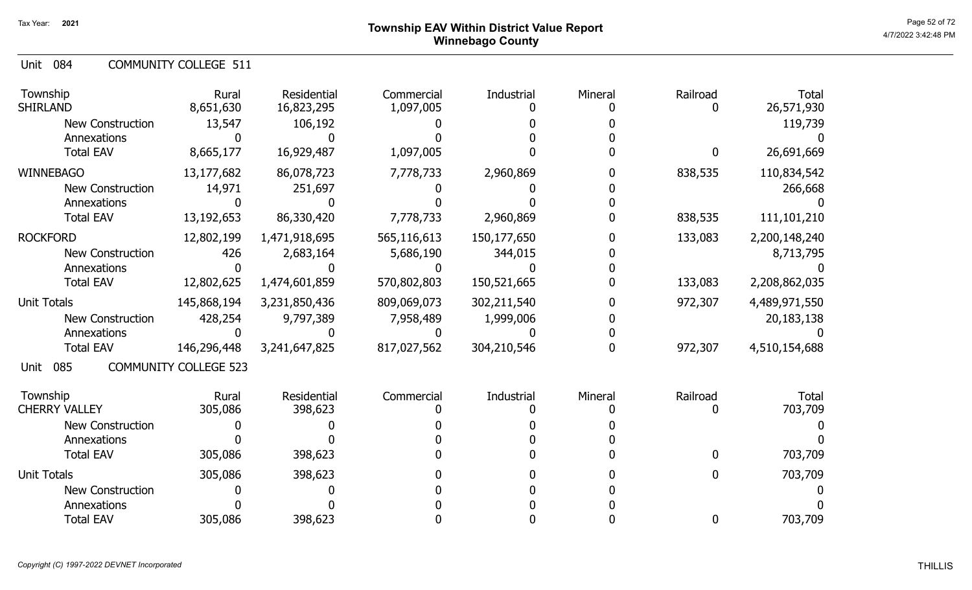Unit 084 COMMUNITY COLLEGE 511

| Township<br><b>SHIRLAND</b> | Rural<br>8,651,630           | Residential<br>16,823,295 | Commercial<br>1,097,005 | Industrial  | Mineral | Railroad    | <b>Total</b><br>26,571,930 |
|-----------------------------|------------------------------|---------------------------|-------------------------|-------------|---------|-------------|----------------------------|
| <b>New Construction</b>     | 13,547                       | 106,192                   |                         |             |         |             | 119,739                    |
| Annexations                 |                              |                           |                         |             |         |             |                            |
| <b>Total EAV</b>            | 8,665,177                    | 16,929,487                | 1,097,005               |             |         | $\mathbf 0$ | 26,691,669                 |
| <b>WINNEBAGO</b>            | 13,177,682                   | 86,078,723                | 7,778,733               | 2,960,869   |         | 838,535     | 110,834,542                |
| <b>New Construction</b>     | 14,971                       | 251,697                   |                         |             |         |             | 266,668                    |
| Annexations                 |                              |                           |                         |             |         |             |                            |
| <b>Total EAV</b>            | 13, 192, 653                 | 86,330,420                | 7,778,733               | 2,960,869   |         | 838,535     | 111,101,210                |
| <b>ROCKFORD</b>             | 12,802,199                   | 1,471,918,695             | 565,116,613             | 150,177,650 |         | 133,083     | 2,200,148,240              |
| <b>New Construction</b>     | 426                          | 2,683,164                 | 5,686,190               | 344,015     |         |             | 8,713,795                  |
| Annexations                 |                              |                           |                         |             |         |             |                            |
| <b>Total EAV</b>            | 12,802,625                   | 1,474,601,859             | 570,802,803             | 150,521,665 |         | 133,083     | 2,208,862,035              |
| <b>Unit Totals</b>          | 145,868,194                  | 3,231,850,436             | 809,069,073             | 302,211,540 |         | 972,307     | 4,489,971,550              |
| <b>New Construction</b>     | 428,254                      | 9,797,389                 | 7,958,489               | 1,999,006   |         |             | 20, 183, 138               |
| Annexations                 |                              |                           |                         |             |         |             |                            |
| <b>Total EAV</b>            | 146,296,448                  | 3,241,647,825             | 817,027,562             | 304,210,546 |         | 972,307     | 4,510,154,688              |
| 085<br>Unit                 | <b>COMMUNITY COLLEGE 523</b> |                           |                         |             |         |             |                            |
| Township                    | Rural                        | Residential               | Commercial              | Industrial  | Mineral | Railroad    | <b>Total</b>               |
| <b>CHERRY VALLEY</b>        | 305,086                      | 398,623                   |                         |             |         | 0           | 703,709                    |
| <b>New Construction</b>     |                              |                           |                         |             |         |             |                            |
| Annexations                 |                              |                           |                         |             |         |             |                            |
| <b>Total EAV</b>            | 305,086                      | 398,623                   |                         |             |         | $\Omega$    | 703,709                    |
| <b>Unit Totals</b>          | 305,086                      | 398,623                   |                         |             |         | 0           | 703,709                    |
| <b>New Construction</b>     |                              |                           |                         |             |         |             |                            |
| Annexations                 |                              |                           |                         |             |         |             |                            |
| <b>Total EAV</b>            | 305,086                      | 398,623                   |                         |             |         | 0           | 703,709                    |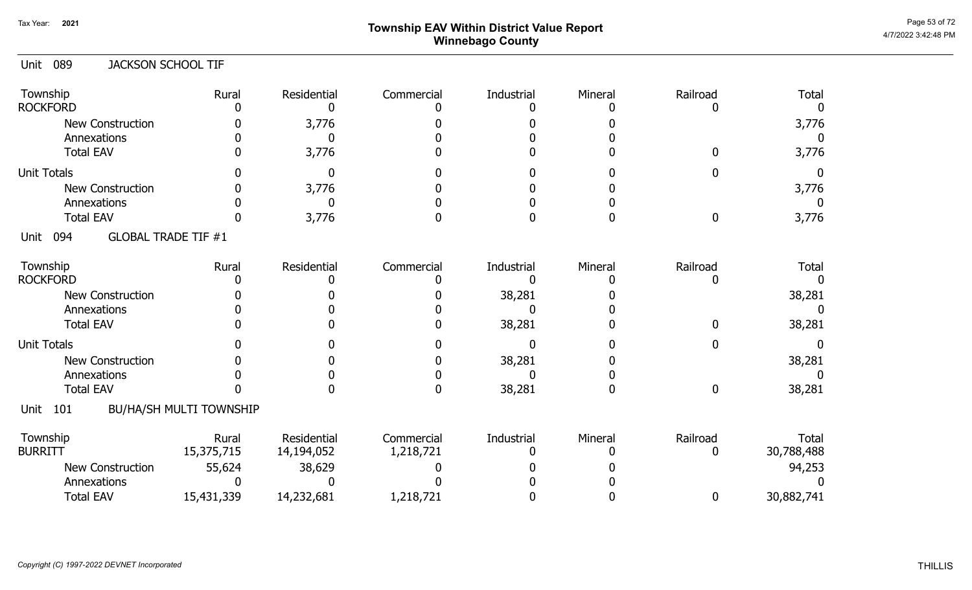# Page 53 of 72<br>Page 53 of 72<br>4/7/2022 3:42:48 PM Winnebago County

| 089<br><b>JACKSON SCHOOL TIF</b><br>Unit  |                                |                           |                         |                 |         |               |                              |
|-------------------------------------------|--------------------------------|---------------------------|-------------------------|-----------------|---------|---------------|------------------------------|
| Township<br><b>ROCKFORD</b>               | Rural                          | Residential<br>0          | Commercial              | Industrial      | Mineral | Railroad      | <b>Total</b><br><sup>0</sup> |
| <b>New Construction</b>                   |                                | 3,776                     |                         |                 |         |               | 3,776                        |
| Annexations                               |                                | $\Omega$                  |                         |                 |         |               | $\Omega$                     |
| <b>Total EAV</b>                          |                                | 3,776                     |                         |                 |         | U             | 3,776                        |
| <b>Unit Totals</b>                        |                                | $\mathbf 0$               |                         |                 |         |               | $\Omega$                     |
| <b>New Construction</b>                   |                                | 3,776                     |                         |                 |         |               | 3,776                        |
| Annexations                               |                                | $\Omega$                  |                         |                 |         |               | $\Omega$                     |
| <b>Total EAV</b>                          |                                | 3,776                     |                         |                 |         | $\Omega$      | 3,776                        |
| <b>GLOBAL TRADE TIF #1</b><br>094<br>Unit |                                |                           |                         |                 |         |               |                              |
| Township                                  | Rural                          | Residential               | Commercial              | Industrial      | Mineral | Railroad      | <b>Total</b>                 |
| <b>ROCKFORD</b>                           |                                |                           |                         | n               |         |               |                              |
| <b>New Construction</b>                   |                                |                           |                         | 38,281          |         |               | 38,281                       |
| Annexations                               |                                |                           |                         | $\Omega$        |         |               | $\Omega$                     |
| <b>Total EAV</b>                          |                                |                           |                         | 38,281          |         | <sup>n</sup>  | 38,281                       |
| <b>Unit Totals</b>                        |                                |                           |                         | 0               |         |               |                              |
| New Construction                          |                                |                           |                         | 38,281          |         |               | 38,281                       |
| Annexations                               |                                |                           |                         |                 |         |               |                              |
| <b>Total EAV</b>                          |                                |                           | <sup>0</sup>            | 38,281          |         | 0             | 38,281                       |
| Unit<br>101                               | <b>BU/HA/SH MULTI TOWNSHIP</b> |                           |                         |                 |         |               |                              |
| Township<br><b>BURRITT</b>                | Rural<br>15,375,715            | Residential<br>14,194,052 | Commercial<br>1,218,721 | Industrial<br>O | Mineral | Railroad<br>0 | Total<br>30,788,488          |
| <b>New Construction</b>                   | 55,624                         | 38,629                    |                         |                 |         |               | 94,253                       |
| Annexations                               |                                |                           |                         |                 |         |               |                              |
| <b>Total EAV</b>                          | 15,431,339                     | 14,232,681                | 1,218,721               |                 |         | $\mathbf{0}$  | 30,882,741                   |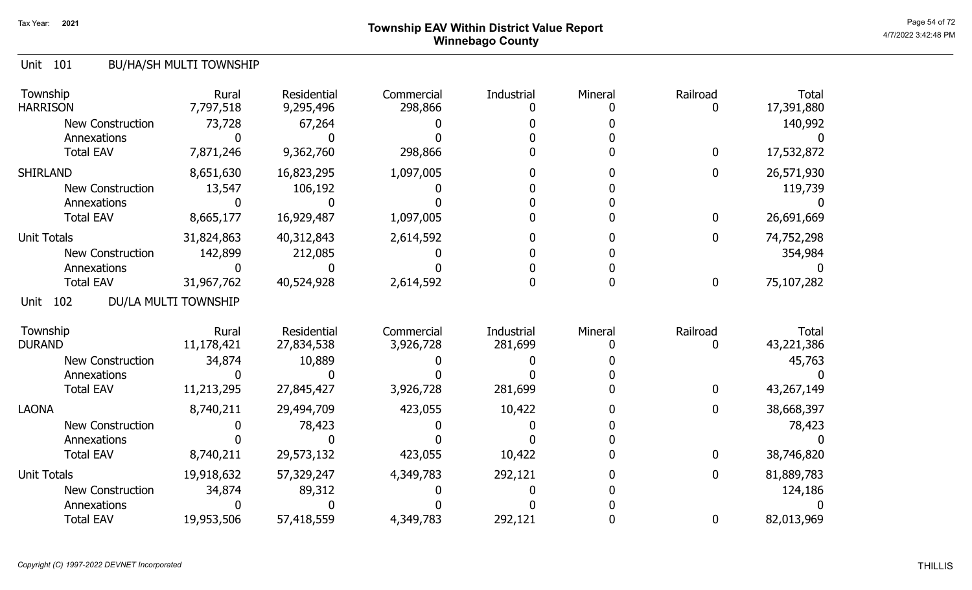# Page 54 of 72 Page 54 of 72  $^{\text{Page 54 of 72}}$ Winnebago County

## Unit 101 BU/HA/SH MULTI TOWNSHIP

| Township<br><b>HARRISON</b> | Rural<br>7,797,518   | <b>Residential</b><br>9,295,496 | Commercial<br>298,866   | Industrial            | Mineral | Railroad     | <b>Total</b><br>17,391,880 |
|-----------------------------|----------------------|---------------------------------|-------------------------|-----------------------|---------|--------------|----------------------------|
| <b>New Construction</b>     | 73,728               | 67,264                          |                         |                       |         |              | 140,992                    |
| Annexations                 |                      |                                 |                         |                       |         |              |                            |
| <b>Total EAV</b>            | 7,871,246            | 9,362,760                       | 298,866                 |                       |         | $\mathbf{0}$ | 17,532,872                 |
| <b>SHIRLAND</b>             | 8,651,630            | 16,823,295                      | 1,097,005               |                       |         | $\mathbf 0$  | 26,571,930                 |
| <b>New Construction</b>     | 13,547               | 106,192                         |                         |                       |         |              | 119,739                    |
| Annexations                 |                      |                                 |                         |                       |         |              |                            |
| <b>Total EAV</b>            | 8,665,177            | 16,929,487                      | 1,097,005               |                       |         | $\mathbf 0$  | 26,691,669                 |
| <b>Unit Totals</b>          | 31,824,863           | 40,312,843                      | 2,614,592               |                       |         | $\mathbf 0$  | 74,752,298                 |
| <b>New Construction</b>     | 142,899              | 212,085                         |                         |                       |         |              | 354,984                    |
| Annexations                 |                      |                                 |                         |                       |         |              |                            |
| <b>Total EAV</b>            | 31,967,762           | 40,524,928                      | 2,614,592               |                       |         | $\mathbf 0$  | 75,107,282                 |
| 102<br>Unit                 | DU/LA MULTI TOWNSHIP |                                 |                         |                       |         |              |                            |
| Township<br><b>DURAND</b>   | Rural<br>11,178,421  | Residential<br>27,834,538       | Commercial<br>3,926,728 | Industrial<br>281,699 | Mineral | Railroad     | Total<br>43,221,386        |
| <b>New Construction</b>     | 34,874               | 10,889                          |                         |                       |         |              | 45,763                     |
| Annexations                 |                      |                                 |                         |                       |         |              |                            |
| <b>Total EAV</b>            | 11,213,295           | 27,845,427                      | 3,926,728               | 281,699               |         | $\mathbf{0}$ | 43,267,149                 |
| <b>LAONA</b>                | 8,740,211            | 29,494,709                      | 423,055                 | 10,422                |         | 0            | 38,668,397                 |
| New Construction            |                      | 78,423                          |                         |                       |         |              | 78,423                     |
| Annexations                 |                      |                                 |                         |                       |         |              |                            |
| <b>Total EAV</b>            | 8,740,211            | 29,573,132                      | 423,055                 | 10,422                |         | 0            | 38,746,820                 |
| <b>Unit Totals</b>          | 19,918,632           | 57,329,247                      | 4,349,783               | 292,121               |         | 0            | 81,889,783                 |
| <b>New Construction</b>     | 34,874               | 89,312                          |                         |                       |         |              | 124,186                    |
| Annexations                 |                      |                                 |                         |                       |         |              |                            |
| <b>Total EAV</b>            | 19,953,506           | 57,418,559                      | 4,349,783               | 292,121               |         | 0            | 82,013,969                 |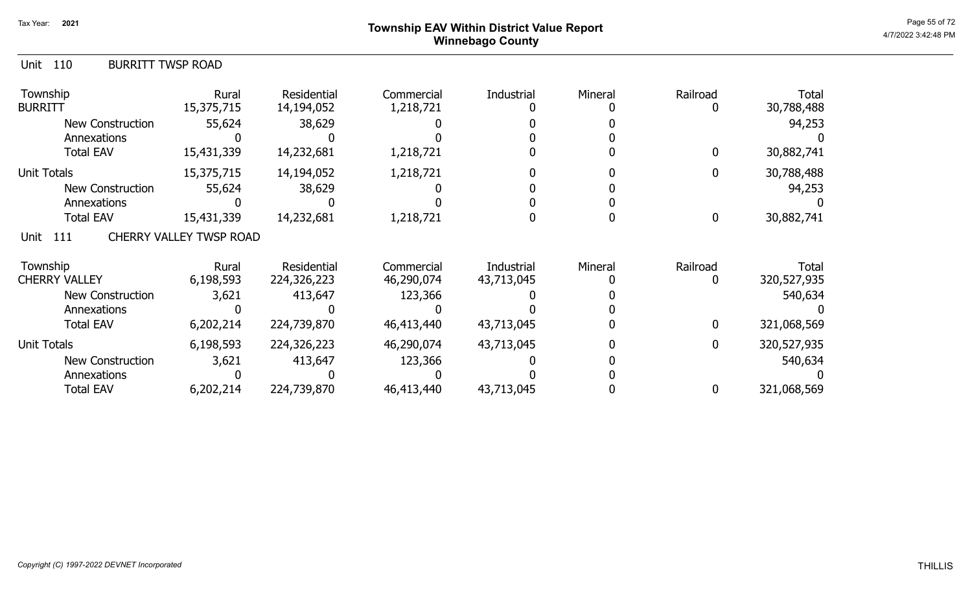## Page 55 of 72 Page 55 of 72  $^{\text{Page 55 of 72}}$ Winnebago County

| Unit 110<br><b>BURRITT TWSP ROAD</b> |                                |                           |                         |            |         |                |                     |
|--------------------------------------|--------------------------------|---------------------------|-------------------------|------------|---------|----------------|---------------------|
| Township<br><b>BURRITT</b>           | Rural<br>15,375,715            | Residential<br>14,194,052 | Commercial<br>1,218,721 | Industrial | Mineral | Railroad       | Total<br>30,788,488 |
| New Construction                     | 55,624                         | 38,629                    |                         |            |         |                | 94,253              |
| Annexations                          |                                |                           |                         |            |         |                |                     |
| <b>Total EAV</b>                     | 15,431,339                     | 14,232,681                | 1,218,721               |            |         | 0              | 30,882,741          |
| Unit Totals                          | 15,375,715                     | 14,194,052                | 1,218,721               |            |         | 0              | 30,788,488          |
| <b>New Construction</b>              | 55,624                         | 38,629                    |                         |            |         |                | 94,253              |
| Annexations                          |                                |                           |                         |            |         |                |                     |
| <b>Total EAV</b>                     | 15,431,339                     | 14,232,681                | 1,218,721               |            |         | 0              | 30,882,741          |
| Unit 111                             | <b>CHERRY VALLEY TWSP ROAD</b> |                           |                         |            |         |                |                     |
| Township                             | Rural                          | Residential               | Commercial              | Industrial | Mineral | Railroad       | Total               |
| <b>CHERRY VALLEY</b>                 | 6,198,593                      | 224,326,223               | 46,290,074              | 43,713,045 |         | 0              | 320,527,935         |
| New Construction                     | 3,621                          | 413,647                   | 123,366                 |            |         |                | 540,634             |
| Annexations                          |                                |                           |                         |            |         |                |                     |
| <b>Total EAV</b>                     | 6,202,214                      | 224,739,870               | 46,413,440              | 43,713,045 |         | 0              | 321,068,569         |
| <b>Unit Totals</b>                   | 6,198,593                      | 224,326,223               | 46,290,074              | 43,713,045 |         | $\overline{0}$ | 320,527,935         |
| <b>New Construction</b>              | 3,621                          | 413,647                   | 123,366                 |            |         |                | 540,634             |
| Annexations                          |                                |                           |                         |            |         |                |                     |
| <b>Total EAV</b>                     | 6,202,214                      | 224,739,870               | 46,413,440              | 43,713,045 |         | 0              | 321,068,569         |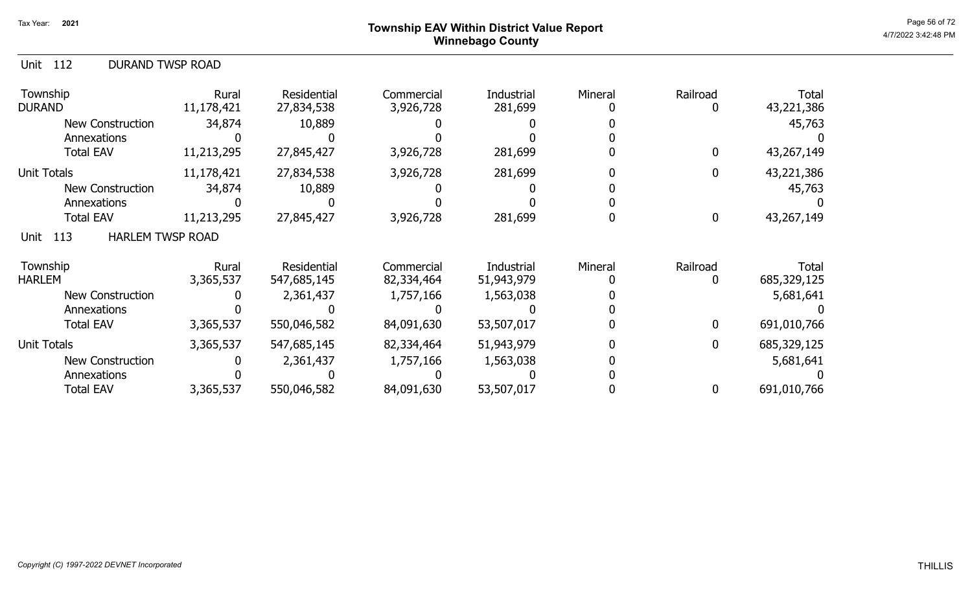## Page 56 of 72 Page 56 of 72  $^{\text{Page 56 of 72}}$ Winnebago County

| <b>DURAND TWSP ROAD</b><br>Unit<br>112 |                     |                            |                          |                          |         |                    |                      |
|----------------------------------------|---------------------|----------------------------|--------------------------|--------------------------|---------|--------------------|----------------------|
| Township<br><b>DURAND</b>              | Rural<br>11,178,421 | Residential<br>27,834,538  | Commercial<br>3,926,728  | Industrial<br>281,699    | Mineral | Railroad<br>O      | Total<br>43,221,386  |
| New Construction                       | 34,874              | 10,889                     |                          |                          |         |                    | 45,763               |
| Annexations                            |                     |                            |                          |                          |         |                    |                      |
| <b>Total EAV</b>                       | 11,213,295          | 27,845,427                 | 3,926,728                | 281,699                  |         | $\mathbf{0}$       | 43,267,149           |
| <b>Unit Totals</b>                     | 11,178,421          | 27,834,538                 | 3,926,728                | 281,699                  |         | $\mathbf{0}$       | 43,221,386           |
| <b>New Construction</b>                | 34,874              | 10,889                     |                          |                          |         |                    | 45,763               |
| Annexations                            |                     |                            |                          |                          |         |                    |                      |
| <b>Total EAV</b>                       | 11,213,295          | 27,845,427                 | 3,926,728                | 281,699                  |         | $\mathbf 0$        | 43,267,149           |
| <b>HARLEM TWSP ROAD</b><br>113<br>Unit |                     |                            |                          |                          |         |                    |                      |
| Township<br><b>HARLEM</b>              | Rural<br>3,365,537  | Residential<br>547,685,145 | Commercial<br>82,334,464 | Industrial<br>51,943,979 | Mineral | Railroad<br>$\Box$ | Total<br>685,329,125 |
| <b>New Construction</b>                |                     | 2,361,437                  | 1,757,166                | 1,563,038                |         |                    | 5,681,641            |
| Annexations                            |                     |                            |                          |                          |         |                    |                      |
| <b>Total EAV</b>                       | 3,365,537           | 550,046,582                | 84,091,630               | 53,507,017               |         | $\mathbf{0}$       | 691,010,766          |
| <b>Unit Totals</b>                     | 3,365,537           | 547,685,145                | 82,334,464               | 51,943,979               |         | 0                  | 685,329,125          |
| <b>New Construction</b>                |                     | 2,361,437                  | 1,757,166                | 1,563,038                |         |                    | 5,681,641            |
| Annexations                            |                     |                            |                          |                          |         |                    |                      |
| <b>Total EAV</b>                       | 3,365,537           | 550,046,582                | 84,091,630               | 53,507,017               |         | 0                  | 691,010,766          |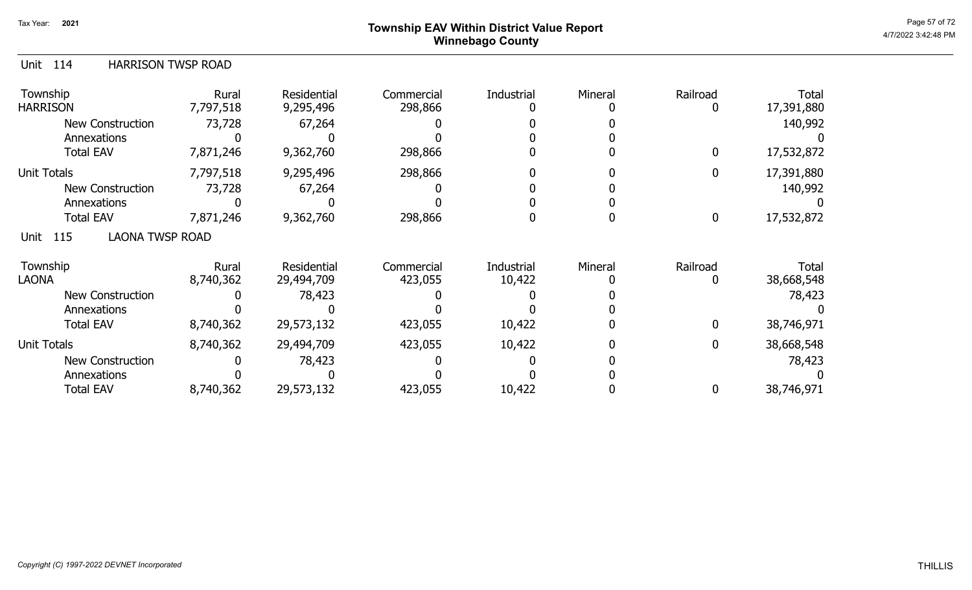# Page 57 of 72 Page 57 of 72  $^{\text{Page 57 of 72}}$ Winnebago County

| 114<br><b>HARRISON TWSP ROAD</b><br>Unit |           |             |            |            |         |              |            |
|------------------------------------------|-----------|-------------|------------|------------|---------|--------------|------------|
| Township                                 | Rural     | Residential | Commercial | Industrial | Mineral | Railroad     | Total      |
| <b>HARRISON</b>                          | 7,797,518 | 9,295,496   | 298,866    |            |         | 0            | 17,391,880 |
| <b>New Construction</b>                  | 73,728    | 67,264      |            |            |         |              | 140,992    |
| Annexations                              |           |             |            |            |         |              |            |
| <b>Total EAV</b>                         | 7,871,246 | 9,362,760   | 298,866    |            |         | $\mathbf{0}$ | 17,532,872 |
| <b>Unit Totals</b>                       | 7,797,518 | 9,295,496   | 298,866    |            |         | 0            | 17,391,880 |
| New Construction                         | 73,728    | 67,264      |            |            |         |              | 140,992    |
| Annexations                              |           |             |            |            |         |              |            |
| <b>Total EAV</b>                         | 7,871,246 | 9,362,760   | 298,866    |            |         | 0            | 17,532,872 |
| <b>LAONA TWSP ROAD</b><br>115<br>Unit    |           |             |            |            |         |              |            |
| Township                                 | Rural     | Residential | Commercial | Industrial | Mineral | Railroad     | Total      |
| <b>LAONA</b>                             | 8,740,362 | 29,494,709  | 423,055    | 10,422     |         | 0            | 38,668,548 |
| New Construction                         |           | 78,423      |            |            |         |              | 78,423     |
| Annexations                              |           |             |            |            |         |              |            |
| <b>Total EAV</b>                         | 8,740,362 | 29,573,132  | 423,055    | 10,422     |         | $\mathbf{0}$ | 38,746,971 |
| <b>Unit Totals</b>                       | 8,740,362 | 29,494,709  | 423,055    | 10,422     |         | 0            | 38,668,548 |
| <b>New Construction</b>                  |           | 78,423      |            |            |         |              | 78,423     |
| Annexations                              |           |             |            |            |         |              |            |
| <b>Total EAV</b>                         | 8,740,362 | 29,573,132  | 423,055    | 10,422     |         | 0            | 38,746,971 |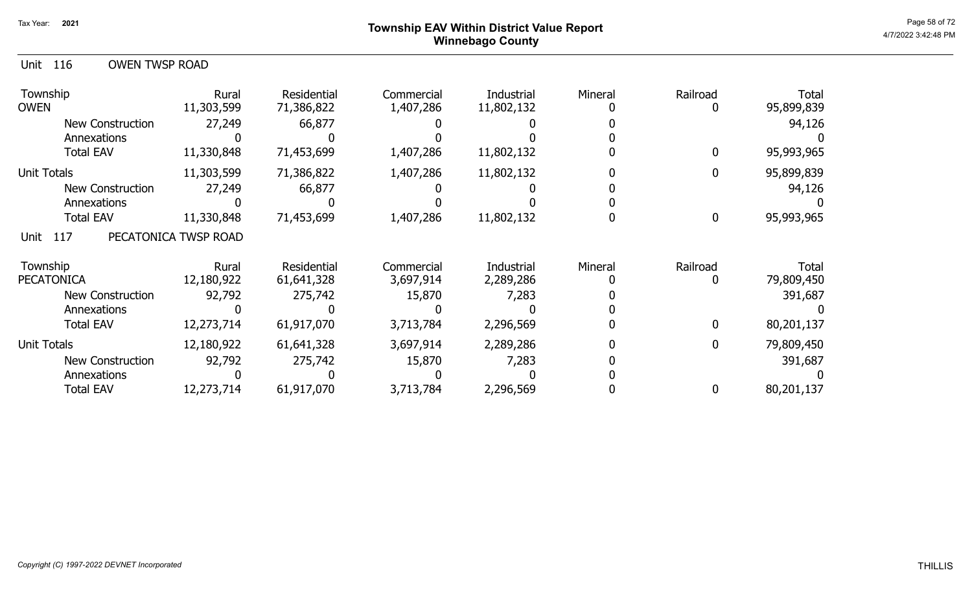## Page 58 of 72 Page 58 of 72  $^{\text{Page 58 of 72}}$ Winnebago County

| Unit 116 | <b>OWEN TWSP ROAD</b> |  |
|----------|-----------------------|--|
|          |                       |  |

| Township<br><b>OWEN</b> | Rural<br>11,303,599  | Residential<br>71,386,822 | Commercial<br>1,407,286 | Industrial<br>11,802,132 | Mineral | Railroad    | <b>Total</b><br>95,899,839 |
|-------------------------|----------------------|---------------------------|-------------------------|--------------------------|---------|-------------|----------------------------|
| New Construction        | 27,249               | 66,877                    |                         |                          |         |             | 94,126                     |
| Annexations             |                      |                           |                         |                          |         |             |                            |
| <b>Total EAV</b>        | 11,330,848           | 71,453,699                | 1,407,286               | 11,802,132               |         |             | 95,993,965                 |
| Unit Totals             | 11,303,599           | 71,386,822                | 1,407,286               | 11,802,132               |         |             | 95,899,839                 |
| <b>New Construction</b> | 27,249               | 66,877                    |                         |                          |         |             | 94,126                     |
| Annexations             |                      |                           |                         |                          |         |             |                            |
| <b>Total EAV</b>        | 11,330,848           | 71,453,699                | 1,407,286               | 11,802,132               |         | $\mathbf 0$ | 95,993,965                 |
| 117<br>Unit             | PECATONICA TWSP ROAD |                           |                         |                          |         |             |                            |
| Township                | Rural                | Residential               | Commercial              | Industrial               | Mineral | Railroad    | Total                      |
| <b>PECATONICA</b>       | 12,180,922           | 61,641,328                | 3,697,914               | 2,289,286                |         |             | 79,809,450                 |
| <b>New Construction</b> | 92,792               | 275,742                   | 15,870                  | 7,283                    |         |             | 391,687                    |
| Annexations             |                      |                           |                         |                          |         |             |                            |
| <b>Total EAV</b>        | 12,273,714           | 61,917,070                | 3,713,784               | 2,296,569                |         | 0           | 80,201,137                 |
| <b>Unit Totals</b>      | 12,180,922           | 61,641,328                | 3,697,914               | 2,289,286                |         | 0           | 79,809,450                 |
| <b>New Construction</b> | 92,792               | 275,742                   | 15,870                  | 7,283                    |         |             | 391,687                    |
| Annexations             |                      |                           |                         |                          |         |             |                            |
| <b>Total EAV</b>        | 12,273,714           | 61,917,070                | 3,713,784               | 2,296,569                |         |             | 80,201,137                 |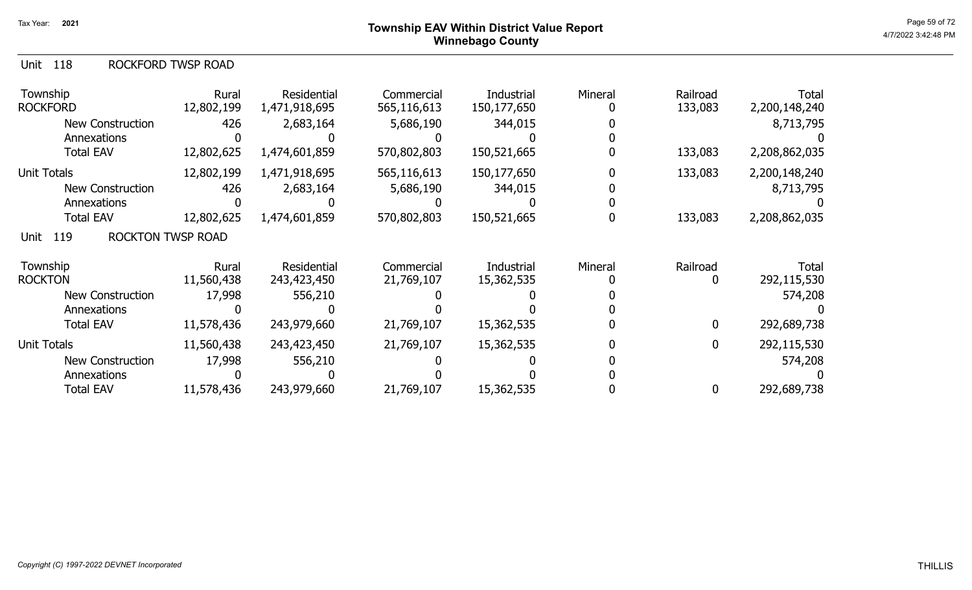| Unit 118 |  | ROCKFORD TWSP ROAD |
|----------|--|--------------------|
|----------|--|--------------------|

| Township<br><b>ROCKFORD</b>             | Rural<br>12,802,199 | Residential<br>1,471,918,695 | Commercial<br>565,116,613 | Industrial<br>150,177,650 | Mineral | Railroad<br>133,083 | <b>Total</b><br>2,200,148,240 |
|-----------------------------------------|---------------------|------------------------------|---------------------------|---------------------------|---------|---------------------|-------------------------------|
| <b>New Construction</b>                 | 426                 | 2,683,164                    | 5,686,190                 | 344,015                   |         |                     | 8,713,795                     |
| Annexations                             |                     |                              |                           |                           |         |                     |                               |
| <b>Total EAV</b>                        | 12,802,625          | 1,474,601,859                | 570,802,803               | 150,521,665               |         | 133,083             | 2,208,862,035                 |
| Unit Totals                             | 12,802,199          | 1,471,918,695                | 565,116,613               | 150,177,650               |         | 133,083             | 2,200,148,240                 |
| <b>New Construction</b>                 | 426                 | 2,683,164                    | 5,686,190                 | 344,015                   |         |                     | 8,713,795                     |
| Annexations                             |                     |                              |                           |                           |         |                     |                               |
| <b>Total EAV</b>                        | 12,802,625          | 1,474,601,859                | 570,802,803               | 150,521,665               |         | 133,083             | 2,208,862,035                 |
| <b>ROCKTON TWSP ROAD</b><br>119<br>Unit |                     |                              |                           |                           |         |                     |                               |
| Township                                | Rural               | Residential                  | Commercial                | Industrial                | Mineral | Railroad            | Total                         |
| <b>ROCKTON</b>                          | 11,560,438          | 243,423,450                  | 21,769,107                | 15,362,535                |         | $\Box$              | 292,115,530                   |
| <b>New Construction</b>                 | 17,998              | 556,210                      |                           |                           |         |                     | 574,208                       |
| Annexations                             |                     |                              |                           |                           |         |                     |                               |
| <b>Total EAV</b>                        | 11,578,436          | 243,979,660                  | 21,769,107                | 15,362,535                |         | 0                   | 292,689,738                   |
| Unit Totals                             | 11,560,438          | 243,423,450                  | 21,769,107                | 15,362,535                |         | 0                   | 292,115,530                   |
| <b>New Construction</b>                 | 17,998              | 556,210                      |                           |                           |         |                     | 574,208                       |
| Annexations                             |                     |                              |                           |                           |         |                     |                               |
| <b>Total EAV</b>                        | 11,578,436          | 243,979,660                  | 21,769,107                | 15,362,535                |         | 0                   | 292,689,738                   |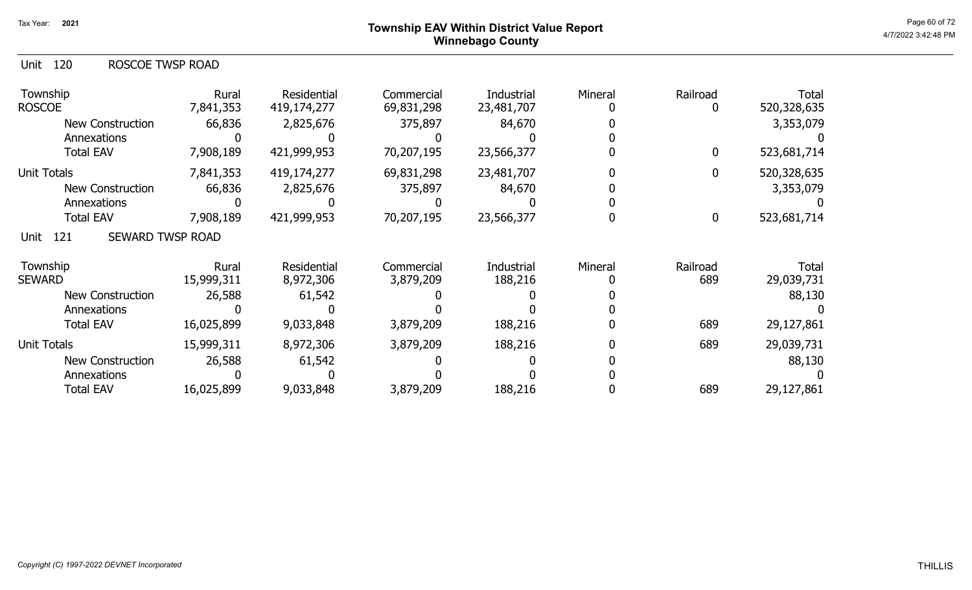## Page 60 of 72 Page 60 of 72  $^{\text{Page 60 of 72}}$ Winnebago County

|  |  | Unit 120 | ROSCOE TWSP ROAD |
|--|--|----------|------------------|
|--|--|----------|------------------|

| Township<br><b>ROSCOE</b>              | Rural<br>7,841,353  | Residential<br>419,174,277 | Commercial<br>69,831,298 | Industrial<br>23,481,707 | Mineral | Railroad         | <b>Total</b><br>520,328,635 |
|----------------------------------------|---------------------|----------------------------|--------------------------|--------------------------|---------|------------------|-----------------------------|
| <b>New Construction</b>                | 66,836              | 2,825,676                  | 375,897                  | 84,670                   |         |                  | 3,353,079                   |
| Annexations                            |                     |                            |                          |                          |         |                  |                             |
| <b>Total EAV</b>                       | 7,908,189           | 421,999,953                | 70,207,195               | 23,566,377               |         | 0                | 523,681,714                 |
| <b>Unit Totals</b>                     | 7,841,353           | 419,174,277                | 69,831,298               | 23,481,707               |         | 0                | 520,328,635                 |
| <b>New Construction</b>                | 66,836              | 2,825,676                  | 375,897                  | 84,670                   |         |                  | 3,353,079                   |
| Annexations                            |                     |                            |                          |                          |         |                  |                             |
| <b>Total EAV</b>                       | 7,908,189           | 421,999,953                | 70,207,195               | 23,566,377               |         | $\boldsymbol{0}$ | 523,681,714                 |
| <b>SEWARD TWSP ROAD</b><br>121<br>Unit |                     |                            |                          |                          |         |                  |                             |
| Township<br><b>SEWARD</b>              | Rural<br>15,999,311 | Residential<br>8,972,306   | Commercial<br>3,879,209  | Industrial<br>188,216    | Mineral | Railroad<br>689  | Total<br>29,039,731         |
| <b>New Construction</b>                | 26,588              | 61,542                     |                          |                          |         |                  | 88,130                      |
| Annexations                            |                     |                            |                          |                          |         |                  |                             |
| <b>Total EAV</b>                       | 16,025,899          | 9,033,848                  | 3,879,209                | 188,216                  |         | 689              | 29,127,861                  |
| <b>Unit Totals</b>                     | 15,999,311          | 8,972,306                  | 3,879,209                | 188,216                  |         | 689              | 29,039,731                  |
| New Construction                       | 26,588              | 61,542                     |                          |                          |         |                  | 88,130                      |
| Annexations                            |                     |                            |                          |                          |         |                  |                             |
| <b>Total EAV</b>                       | 16,025,899          | 9,033,848                  | 3,879,209                | 188,216                  |         | 689              | 29,127,861                  |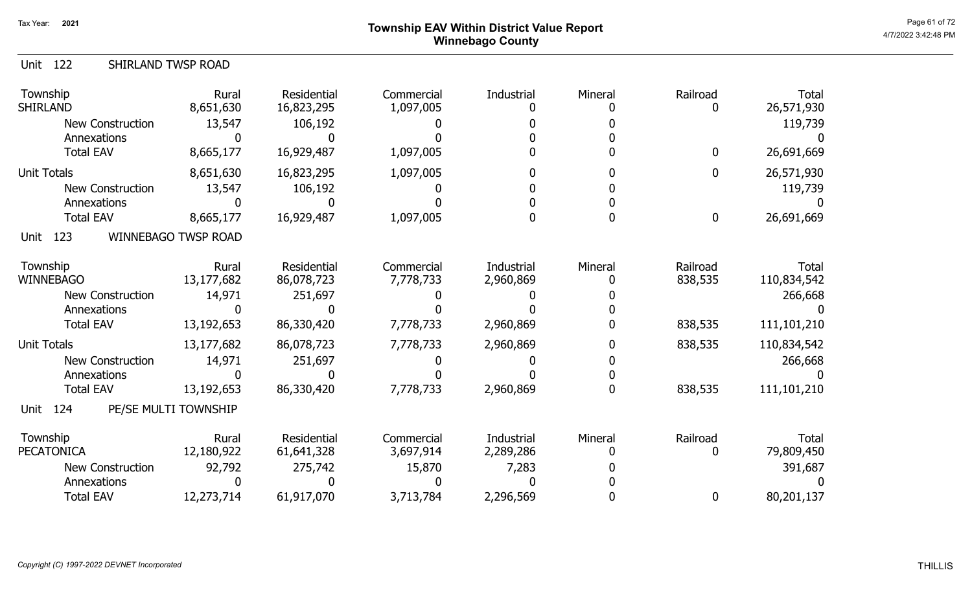# Page 61 of 72<br>Page 61 of 72<br>4/7/2022 3:42:48 PM Winnebago County

| <b>Unit 122</b>              | SHIRLAND TWSP ROAD         |                           |                         |                         |         |                     |                             |
|------------------------------|----------------------------|---------------------------|-------------------------|-------------------------|---------|---------------------|-----------------------------|
| Township<br><b>SHIRLAND</b>  | Rural<br>8,651,630         | Residential<br>16,823,295 | Commercial<br>1,097,005 | Industrial<br>$\Omega$  | Mineral | Railroad<br>0       | <b>Total</b><br>26,571,930  |
| <b>New Construction</b>      | 13,547                     | 106,192                   |                         |                         |         |                     | 119,739                     |
| Annexations                  | n                          | n                         |                         |                         |         |                     |                             |
| <b>Total EAV</b>             | 8,665,177                  | 16,929,487                | 1,097,005               |                         |         | 0                   | 26,691,669                  |
| <b>Unit Totals</b>           | 8,651,630                  | 16,823,295                | 1,097,005               | 0                       |         | 0                   | 26,571,930                  |
| <b>New Construction</b>      | 13,547                     | 106,192                   |                         |                         |         |                     | 119,739                     |
| Annexations                  | n                          | n                         |                         |                         |         |                     |                             |
| <b>Total EAV</b>             | 8,665,177                  | 16,929,487                | 1,097,005               | $\Omega$                | 0       | 0                   | 26,691,669                  |
| Unit 123                     | <b>WINNEBAGO TWSP ROAD</b> |                           |                         |                         |         |                     |                             |
| Township<br><b>WINNEBAGO</b> | Rural<br>13,177,682        | Residential<br>86,078,723 | Commercial<br>7,778,733 | Industrial<br>2,960,869 | Mineral | Railroad<br>838,535 | <b>Total</b><br>110,834,542 |
| <b>New Construction</b>      | 14,971                     | 251,697                   |                         |                         |         |                     | 266,668                     |
| Annexations                  | O                          | N                         |                         |                         |         |                     |                             |
| <b>Total EAV</b>             | 13,192,653                 | 86,330,420                | 7,778,733               | 2,960,869               |         | 838,535             | 111,101,210                 |
| <b>Unit Totals</b>           | 13,177,682                 | 86,078,723                | 7,778,733               | 2,960,869               |         | 838,535             | 110,834,542                 |
| <b>New Construction</b>      | 14,971                     | 251,697                   |                         |                         |         |                     | 266,668                     |
| Annexations                  | <sup>0</sup>               | n                         |                         |                         |         |                     |                             |
| <b>Total EAV</b>             | 13,192,653                 | 86,330,420                | 7,778,733               | 2,960,869               | 0       | 838,535             | 111,101,210                 |
| 124<br>Unit                  | PE/SE MULTI TOWNSHIP       |                           |                         |                         |         |                     |                             |
| Township                     | Rural                      | Residential               | Commercial              | Industrial              | Mineral | Railroad            | <b>Total</b>                |
| <b>PECATONICA</b>            | 12,180,922                 | 61,641,328                | 3,697,914               | 2,289,286               |         | 0                   | 79,809,450                  |
| <b>New Construction</b>      | 92,792                     | 275,742                   | 15,870                  | 7,283                   |         |                     | 391,687                     |
| Annexations                  |                            |                           |                         |                         |         |                     |                             |
| <b>Total EAV</b>             | 12,273,714                 | 61,917,070                | 3,713,784               | 2,296,569               |         | 0                   | 80,201,137                  |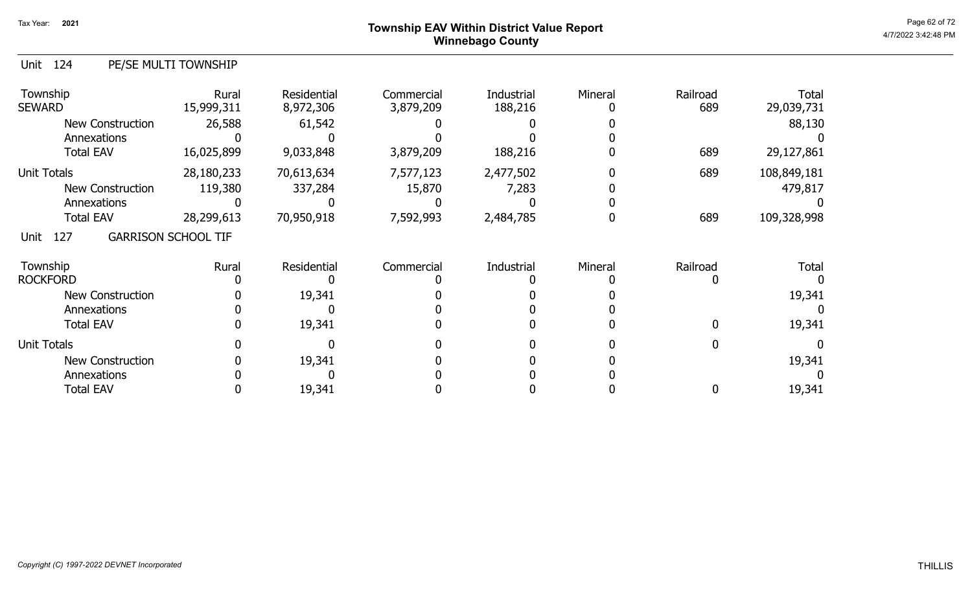## Page 62 of 72 Page 62 of 72  $^{\text{Page 62 of 72}}$ Winnebago County

## Unit 124 PE/SE MULTI TOWNSHIP

| Township<br><b>SEWARD</b> | Rural<br>15,999,311        | <b>Residential</b><br>8,972,306 | Commercial<br>3,879,209 | Industrial<br>188,216 | Mineral | Railroad<br>689 | <b>Total</b><br>29,039,731 |
|---------------------------|----------------------------|---------------------------------|-------------------------|-----------------------|---------|-----------------|----------------------------|
| <b>New Construction</b>   | 26,588                     | 61,542                          |                         |                       |         |                 | 88,130                     |
| Annexations               |                            |                                 |                         |                       |         |                 |                            |
| <b>Total EAV</b>          | 16,025,899                 | 9,033,848                       | 3,879,209               | 188,216               |         | 689             | 29,127,861                 |
| <b>Unit Totals</b>        | 28,180,233                 | 70,613,634                      | 7,577,123               | 2,477,502             |         | 689             | 108,849,181                |
| New Construction          | 119,380                    | 337,284                         | 15,870                  | 7,283                 |         |                 | 479,817                    |
| Annexations               |                            |                                 |                         |                       |         |                 |                            |
| <b>Total EAV</b>          | 28,299,613                 | 70,950,918                      | 7,592,993               | 2,484,785             |         | 689             | 109,328,998                |
| 127<br>Unit               | <b>GARRISON SCHOOL TIF</b> |                                 |                         |                       |         |                 |                            |
| Township                  | Rural                      | <b>Residential</b>              | Commercial              | Industrial            | Mineral | Railroad        | <b>Total</b>               |
| <b>ROCKFORD</b>           |                            |                                 |                         |                       |         |                 |                            |
| <b>New Construction</b>   |                            | 19,341                          |                         |                       |         |                 | 19,341                     |
| Annexations               |                            |                                 |                         |                       |         |                 |                            |
| <b>Total EAV</b>          |                            | 19,341                          |                         |                       |         |                 | 19,341                     |
| <b>Unit Totals</b>        |                            |                                 |                         |                       |         |                 |                            |
| <b>New Construction</b>   |                            | 19,341                          |                         |                       |         |                 | 19,341                     |
| Annexations               |                            |                                 |                         |                       |         |                 |                            |
| <b>Total EAV</b>          |                            | 19,341                          |                         |                       |         |                 | 19,341                     |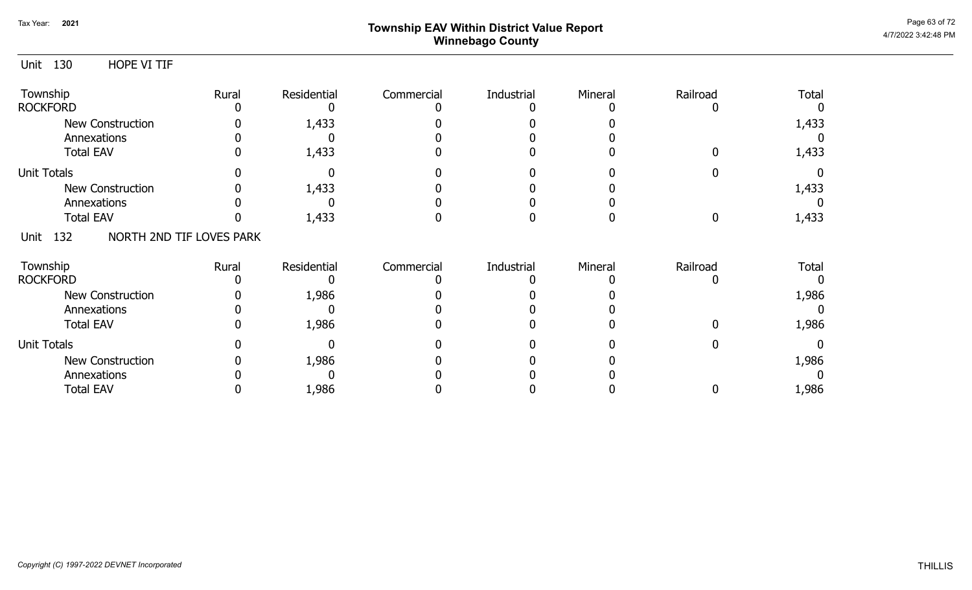## Page 63 of 72 Page 63 of 72  $^{\text{Page 63 of 72}}$ Winnebago County

| Unit 130<br>HOPE VI TIF |                          |             |            |            |         |          |              |
|-------------------------|--------------------------|-------------|------------|------------|---------|----------|--------------|
| Township                | Rural                    | Residential | Commercial | Industrial | Mineral | Railroad | Total        |
| <b>ROCKFORD</b>         |                          |             |            |            |         |          |              |
| New Construction        |                          | 1,433       |            |            |         |          | 1,433        |
| Annexations             |                          |             |            |            |         |          |              |
| <b>Total EAV</b>        |                          | 1,433       |            |            |         |          | 1,433        |
| <b>Unit Totals</b>      |                          |             |            |            |         |          |              |
| <b>New Construction</b> |                          | 1,433       |            |            |         |          | 1,433        |
| Annexations             |                          |             |            |            |         |          | $\Omega$     |
| <b>Total EAV</b>        |                          | 1,433       |            |            |         | 0        | 1,433        |
| 132<br>Unit             | NORTH 2ND TIF LOVES PARK |             |            |            |         |          |              |
| Township                | Rural                    | Residential | Commercial | Industrial | Mineral | Railroad | <b>Total</b> |
| <b>ROCKFORD</b>         |                          |             |            |            |         | $\Box$   |              |
| New Construction        |                          | 1,986       |            |            |         |          | 1,986        |
| Annexations             |                          |             |            |            |         |          |              |
| <b>Total EAV</b>        |                          | 1,986       |            |            |         |          | 1,986        |
| <b>Unit Totals</b>      |                          |             |            |            |         |          | 0            |
| <b>New Construction</b> |                          | 1,986       |            |            |         |          | 1,986        |
| Annexations             |                          |             |            |            |         |          |              |
| <b>Total EAV</b>        |                          | 1,986       |            |            |         | 0        | 1,986        |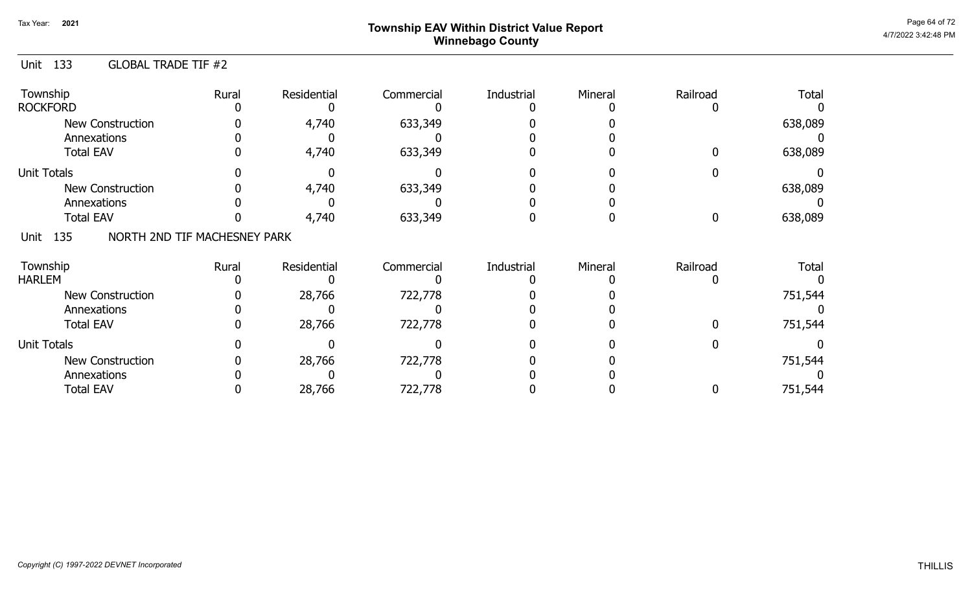# Page 64 of 72 Page 64 of 72  $^{\text{Page 64 of 72}}$ Winnebago County

| <b>GLOBAL TRADE TIF #2</b><br>Unit 133 |
|----------------------------------------|
|----------------------------------------|

| Township<br><b>ROCKFORD</b>                 | Rural | Residential | Commercial | Industrial | Mineral | Railroad | <b>Total</b> |
|---------------------------------------------|-------|-------------|------------|------------|---------|----------|--------------|
| <b>New Construction</b><br>Annexations      |       | 4,740       | 633,349    |            |         |          | 638,089      |
| <b>Total EAV</b>                            |       | 4,740       | 633,349    |            |         | 0        | 638,089      |
| <b>Unit Totals</b>                          |       |             |            |            |         |          |              |
| <b>New Construction</b>                     |       | 4,740       | 633,349    |            |         |          | 638,089      |
| Annexations                                 |       |             |            |            |         |          |              |
| <b>Total EAV</b>                            |       | 4,740       | 633,349    |            |         | 0        | 638,089      |
| NORTH 2ND TIF MACHESNEY PARK<br>135<br>Unit |       |             |            |            |         |          |              |
| Township                                    | Rural | Residential | Commercial | Industrial | Mineral | Railroad | <b>Total</b> |
| <b>HARLEM</b>                               |       |             |            |            |         |          |              |
| <b>New Construction</b>                     |       | 28,766      | 722,778    |            |         |          | 751,544      |
| Annexations                                 |       |             |            |            |         |          |              |
| <b>Total EAV</b>                            |       | 28,766      | 722,778    |            |         | n        | 751,544      |
| <b>Unit Totals</b>                          |       |             |            |            |         |          |              |
| <b>New Construction</b>                     |       | 28,766      | 722,778    |            |         |          | 751,544      |
| Annexations                                 |       |             |            |            |         |          |              |
| <b>Total EAV</b>                            |       | 28,766      | 722,778    |            |         |          | 751,544      |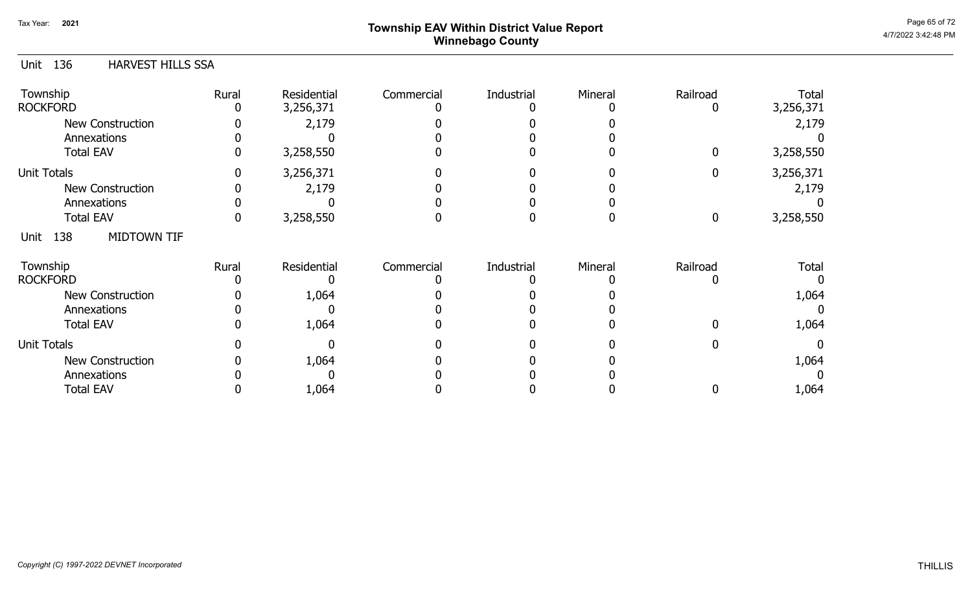# Page 65 of 72 Page 65 of 72  $^{\text{Page 65 of 72}}$ Winnebago County

| 136<br><b>HARVEST HILLS SSA</b><br>Unit |       |                    |            |            |         |             |           |
|-----------------------------------------|-------|--------------------|------------|------------|---------|-------------|-----------|
| Township                                | Rural | <b>Residential</b> | Commercial | Industrial | Mineral | Railroad    | Total     |
| <b>ROCKFORD</b>                         |       | 3,256,371          |            |            |         | 0           | 3,256,371 |
| New Construction                        |       | 2,179              |            |            |         |             | 2,179     |
| Annexations                             |       |                    |            |            |         |             |           |
| <b>Total EAV</b>                        |       | 3,258,550          |            |            |         | $\mathbf 0$ | 3,258,550 |
| <b>Unit Totals</b>                      |       | 3,256,371          |            |            |         | 0           | 3,256,371 |
| <b>New Construction</b>                 |       | 2,179              |            |            |         |             | 2,179     |
| Annexations                             |       |                    |            |            |         |             |           |
| <b>Total EAV</b>                        | 0     | 3,258,550          |            |            |         | $\mathbf 0$ | 3,258,550 |
| <b>MIDTOWN TIF</b><br>138<br>Unit       |       |                    |            |            |         |             |           |
| Township                                | Rural | Residential        | Commercial | Industrial | Mineral | Railroad    | Total     |
| <b>ROCKFORD</b>                         |       |                    |            |            |         | 0           |           |
| <b>New Construction</b>                 |       | 1,064              |            |            |         |             | 1,064     |
| Annexations                             |       |                    |            |            |         |             |           |
| <b>Total EAV</b>                        |       | 1,064              |            |            |         |             | 1,064     |
| <b>Unit Totals</b>                      |       |                    |            |            |         | 0           | $\Omega$  |
| <b>New Construction</b>                 |       | 1,064              |            |            |         |             | 1,064     |
| Annexations                             |       |                    |            |            |         |             |           |
| <b>Total EAV</b>                        |       | 1,064              |            |            |         |             | 1,064     |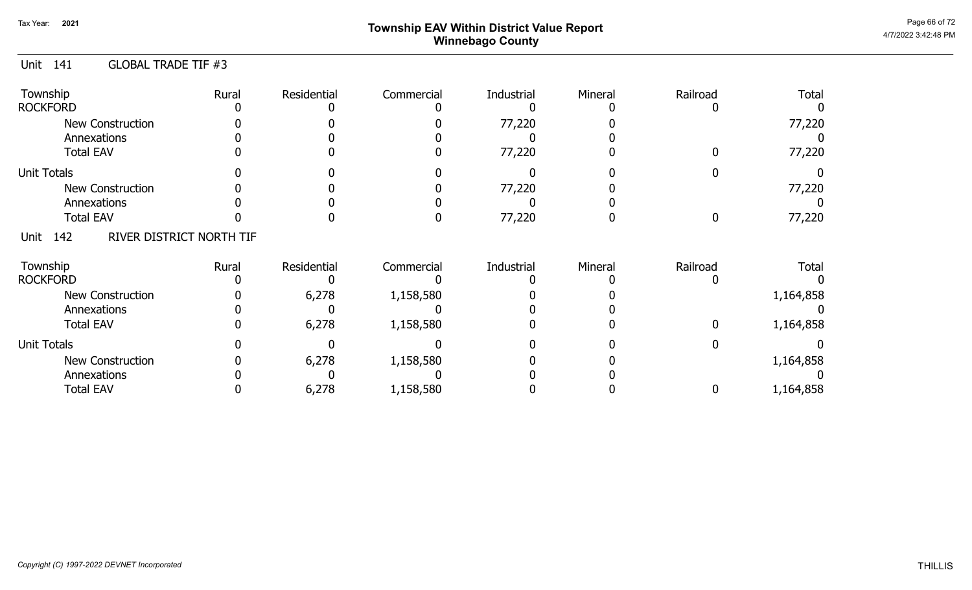## Page 66 of 72 Page 66 of 72  $^{\text{Page 66 of 72}}$ Winnebago County

### Unit 141 GLOBAL TRADE TIF #3

| Township<br><b>ROCKFORD</b>             | Rural | Residential | Commercial | Industrial | Mineral | Railroad | Total     |
|-----------------------------------------|-------|-------------|------------|------------|---------|----------|-----------|
| New Construction                        |       |             |            | 77,220     |         |          | 77,220    |
| Annexations                             |       |             |            |            |         |          |           |
| <b>Total EAV</b>                        |       |             |            | 77,220     |         |          | 77,220    |
| <b>Unit Totals</b>                      |       |             |            |            |         |          |           |
| New Construction                        |       |             |            | 77,220     |         |          | 77,220    |
| Annexations                             |       |             |            |            |         |          |           |
| <b>Total EAV</b>                        |       |             |            | 77,220     |         |          | 77,220    |
| RIVER DISTRICT NORTH TIF<br>142<br>Unit |       |             |            |            |         |          |           |
| Township                                | Rural | Residential | Commercial | Industrial | Mineral | Railroad | Total     |
| <b>ROCKFORD</b>                         |       |             |            |            |         |          |           |
| <b>New Construction</b>                 |       | 6,278       | 1,158,580  |            |         |          | 1,164,858 |
| Annexations                             |       |             |            |            |         |          |           |
| <b>Total EAV</b>                        |       | 6,278       | 1,158,580  |            |         |          | 1,164,858 |
| <b>Unit Totals</b>                      |       |             |            |            |         |          |           |
| <b>New Construction</b>                 |       | 6,278       | 1,158,580  |            |         |          | 1,164,858 |
| Annexations                             |       |             |            |            |         |          |           |
| <b>Total EAV</b>                        |       | 6,278       | 1,158,580  |            |         |          | 1,164,858 |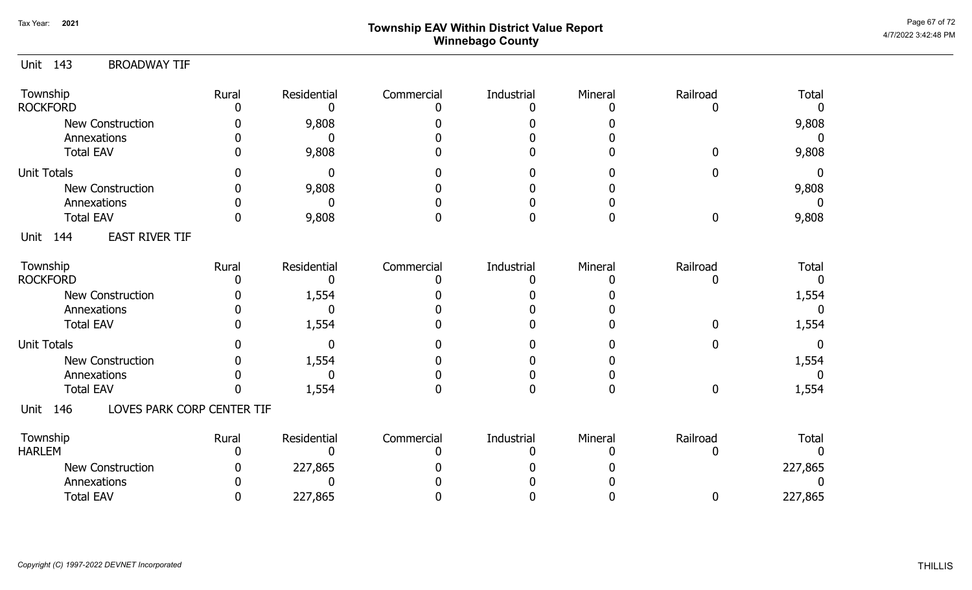# Page 67 of 72  $^{Page\ 67 \text{ of } 72}$   $^{Page\ 67 \text{ of } 72}$ Winnebago County

## Unit 143 BROADWAY TIF

| Township<br><b>ROCKFORD</b>               | Rural | Residential | Commercial | Industrial | Mineral | Railroad | <b>Total</b> |
|-------------------------------------------|-------|-------------|------------|------------|---------|----------|--------------|
| <b>New Construction</b>                   |       | 9,808       |            |            |         |          | 9,808        |
| Annexations                               |       |             |            |            |         |          |              |
| <b>Total EAV</b>                          |       | 9,808       |            |            |         |          | 9,808        |
| <b>Unit Totals</b>                        |       |             |            |            |         |          | $\Omega$     |
|                                           |       |             |            |            |         |          |              |
| <b>New Construction</b>                   |       | 9,808       |            |            |         |          | 9,808        |
| Annexations                               |       |             |            |            |         |          |              |
| <b>Total EAV</b>                          |       | 9,808       |            |            |         | 0        | 9,808        |
| <b>EAST RIVER TIF</b><br>144<br>Unit      |       |             |            |            |         |          |              |
| Township                                  | Rural | Residential | Commercial | Industrial | Mineral | Railroad | <b>Total</b> |
| <b>ROCKFORD</b>                           |       |             |            |            |         |          |              |
| New Construction                          |       | 1,554       |            |            |         |          | 1,554        |
| Annexations                               |       |             |            |            |         |          |              |
| <b>Total EAV</b>                          |       | 1,554       |            |            |         |          | 1,554        |
| <b>Unit Totals</b>                        |       |             |            |            |         |          | $\Omega$     |
| <b>New Construction</b>                   |       | 1,554       |            |            |         |          | 1,554        |
| Annexations                               |       |             |            |            |         |          |              |
| <b>Total EAV</b>                          |       | 1,554       |            |            |         | ŋ        | 1,554        |
| LOVES PARK CORP CENTER TIF<br>146<br>Unit |       |             |            |            |         |          |              |
| Township                                  | Rural | Residential | Commercial | Industrial | Mineral | Railroad | <b>Total</b> |
| <b>HARLEM</b>                             |       |             |            |            |         |          |              |
| New Construction                          |       | 227,865     |            |            |         |          | 227,865      |
| Annexations                               |       |             |            |            |         |          |              |
| <b>Total EAV</b>                          |       | 227,865     |            |            |         | 0        | 227,865      |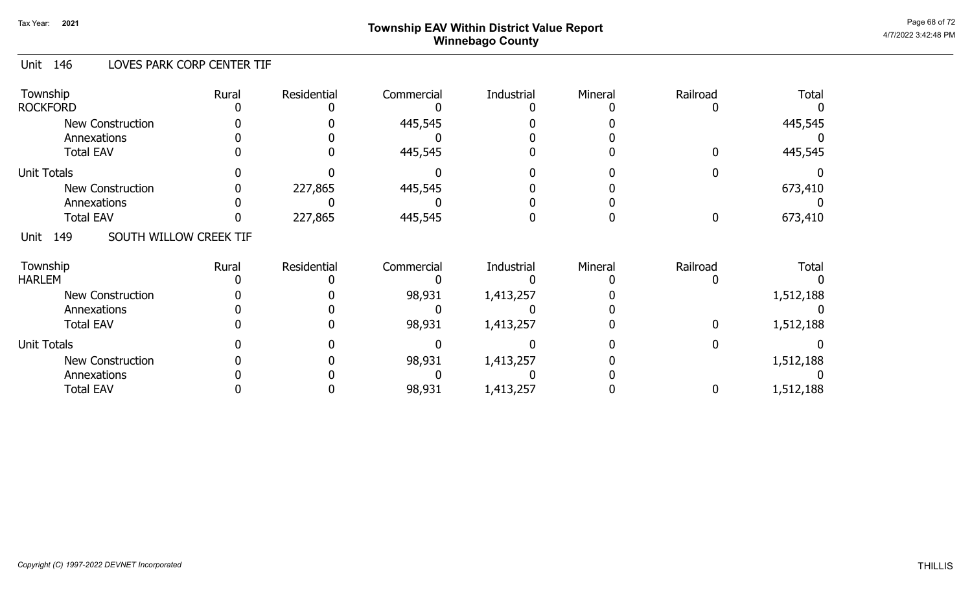# Page 68 of 72 Page 68 of 72  $^{\text{Page 68 of 72}}$ Winnebago County

### Unit 146 LOVES PARK CORP CENTER TIF

| Township<br><b>ROCKFORD</b>            | Rural | Residential | Commercial | Industrial | Mineral | Railroad | <b>Total</b> |
|----------------------------------------|-------|-------------|------------|------------|---------|----------|--------------|
| <b>New Construction</b><br>Annexations |       |             | 445,545    |            |         |          | 445,545      |
| <b>Total EAV</b>                       |       |             | 445,545    |            |         |          | 445,545      |
| <b>Unit Totals</b>                     |       |             |            |            |         |          |              |
| <b>New Construction</b>                |       | 227,865     | 445,545    |            |         |          | 673,410      |
| Annexations                            |       |             |            |            |         |          |              |
| <b>Total EAV</b>                       |       | 227,865     | 445,545    |            |         |          | 673,410      |
| SOUTH WILLOW CREEK TIF<br>149<br>Unit  |       |             |            |            |         |          |              |
| Township<br><b>HARLEM</b>              | Rural | Residential | Commercial | Industrial | Mineral | Railroad | <b>Total</b> |
| <b>New Construction</b>                |       |             | 98,931     | 1,413,257  |         |          | 1,512,188    |
| Annexations                            |       |             |            |            |         |          |              |
| <b>Total EAV</b>                       |       |             | 98,931     | 1,413,257  |         |          | 1,512,188    |
| <b>Unit Totals</b>                     |       |             |            |            |         |          |              |
| <b>New Construction</b>                |       |             | 98,931     | 1,413,257  |         |          | 1,512,188    |
| Annexations                            |       |             |            |            |         |          |              |
| <b>Total EAV</b>                       |       |             | 98,931     | 1,413,257  |         |          | 1,512,188    |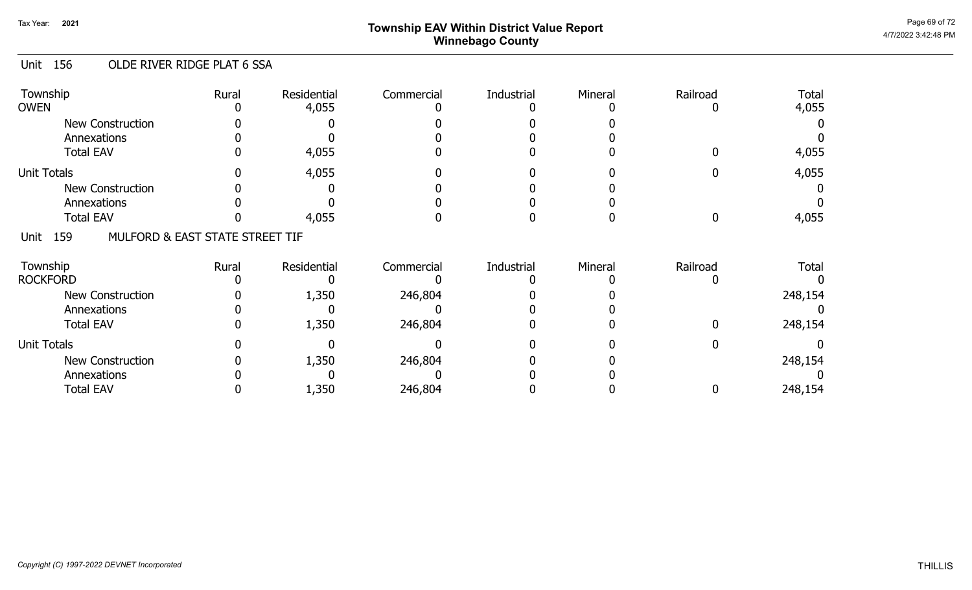# Page 69 of 72 Page 69 of 72  $^{\text{Page 69 of 72}}$ Winnebago County

### Unit 156 OLDE RIVER RIDGE PLAT 6 SSA

| Township<br><b>OWEN</b>                        | Rural | Residential<br>4,055 | Commercial | Industrial | Mineral | Railroad | <b>Total</b><br>4,055 |
|------------------------------------------------|-------|----------------------|------------|------------|---------|----------|-----------------------|
| <b>New Construction</b>                        |       |                      |            |            |         |          |                       |
| Annexations                                    |       |                      |            |            |         |          |                       |
| <b>Total EAV</b>                               |       | 4,055                |            |            |         |          | 4,055                 |
| <b>Unit Totals</b>                             |       | 4,055                |            |            |         |          | 4,055                 |
| <b>New Construction</b>                        |       |                      |            |            |         |          |                       |
| Annexations                                    |       |                      |            |            |         |          |                       |
| <b>Total EAV</b>                               |       | 4,055                |            |            |         |          | 4,055                 |
| 159<br>MULFORD & EAST STATE STREET TIF<br>Unit |       |                      |            |            |         |          |                       |
| Township                                       | Rural | Residential          | Commercial | Industrial | Mineral | Railroad | <b>Total</b>          |
| <b>ROCKFORD</b>                                |       |                      |            |            |         |          |                       |
| <b>New Construction</b>                        |       | 1,350                | 246,804    |            |         |          | 248,154               |
| Annexations                                    |       |                      |            |            |         |          |                       |
| <b>Total EAV</b>                               |       | 1,350                | 246,804    |            |         |          | 248,154               |
| <b>Unit Totals</b>                             |       |                      |            |            |         |          |                       |
| <b>New Construction</b>                        |       | 1,350                | 246,804    |            |         |          | 248,154               |
| Annexations                                    |       |                      |            |            |         |          |                       |
| <b>Total EAV</b>                               |       | 1,350                | 246,804    |            |         |          | 248,154               |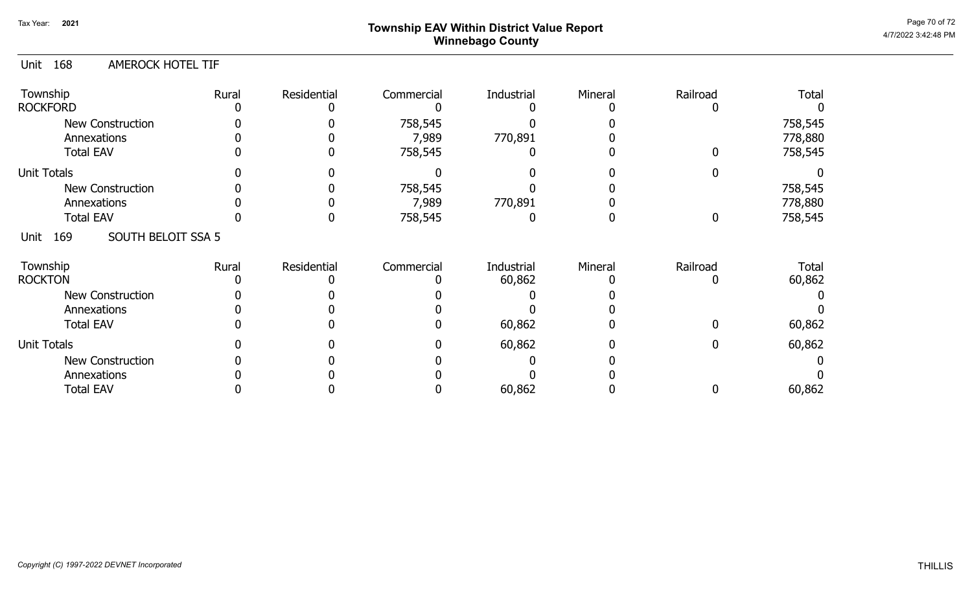## Page 70 of 72 Page 70 of 72  $^{\text{Page 70 of 72}}$ Winnebago County

### Unit 168 AMEROCK HOTEL TIF

| Township<br><b>ROCKFORD</b>       | Rural | Residential | Commercial       | Industrial | Mineral | Railroad | <b>Total</b>       |
|-----------------------------------|-------|-------------|------------------|------------|---------|----------|--------------------|
| New Construction<br>Annexations   |       |             | 758,545<br>7,989 | 770,891    |         |          | 758,545<br>778,880 |
| <b>Total EAV</b>                  |       |             | 758,545          |            |         |          | 758,545            |
| <b>Unit Totals</b>                |       |             |                  |            |         |          |                    |
| <b>New Construction</b>           |       |             | 758,545          |            |         |          | 758,545            |
| Annexations                       |       |             | 7,989            | 770,891    |         |          | 778,880            |
| <b>Total EAV</b>                  |       |             | 758,545          |            |         | 0        | 758,545            |
| SOUTH BELOIT SSA 5<br>169<br>Unit |       |             |                  |            |         |          |                    |
| Township                          | Rural | Residential | Commercial       | Industrial | Mineral | Railroad | Total              |
| <b>ROCKTON</b>                    |       |             |                  | 60,862     |         |          | 60,862             |
| New Construction                  |       |             |                  |            |         |          |                    |
| Annexations                       |       |             |                  |            |         |          |                    |
| <b>Total EAV</b>                  |       |             |                  | 60,862     |         |          | 60,862             |
| <b>Unit Totals</b>                |       |             |                  | 60,862     |         |          | 60,862             |
| <b>New Construction</b>           |       |             |                  |            |         |          |                    |
| Annexations                       |       |             |                  |            |         |          |                    |
| <b>Total EAV</b>                  |       |             |                  | 60,862     |         |          | 60,862             |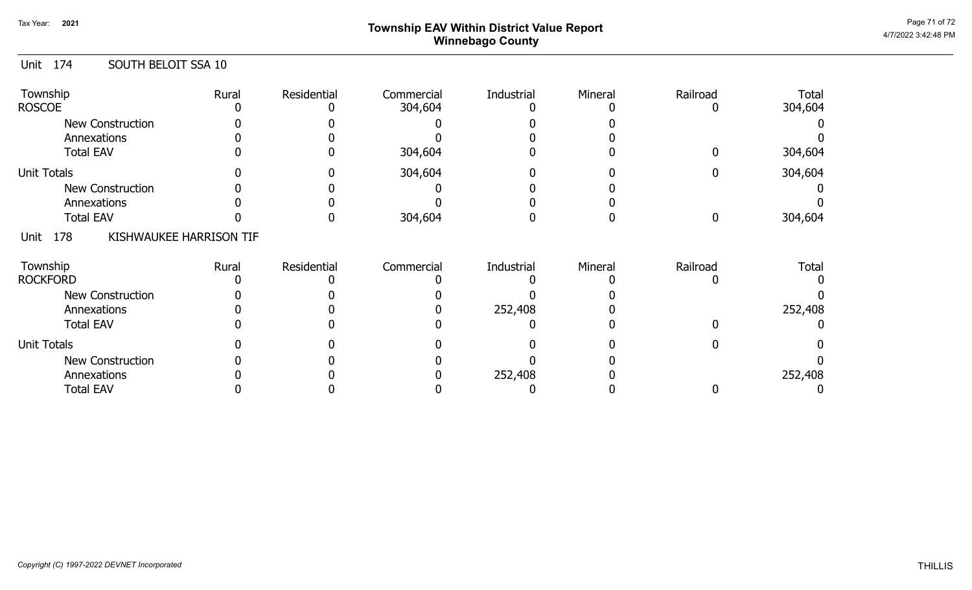# Page 71 of 72  $^{\sf Page\,71\,of\,72}$   $^{\sf Page\,71\,of\,72}$ Winnebago County

### Unit 174 SOUTH BELOIT SSA 10

| Township<br><b>ROSCOE</b> | Rural                   | Residential | Commercial<br>304,604 | Industrial | Mineral | Railroad | <b>Total</b><br>304,604 |
|---------------------------|-------------------------|-------------|-----------------------|------------|---------|----------|-------------------------|
|                           |                         |             |                       |            |         |          |                         |
| New Construction          |                         |             |                       |            |         |          |                         |
| Annexations               |                         |             |                       |            |         |          |                         |
| <b>Total EAV</b>          |                         |             | 304,604               |            |         |          | 304,604                 |
| <b>Unit Totals</b>        |                         |             | 304,604               |            |         |          | 304,604                 |
| New Construction          |                         |             |                       |            |         |          |                         |
| Annexations               |                         |             |                       |            |         |          |                         |
| <b>Total EAV</b>          |                         |             | 304,604               |            |         |          | 304,604                 |
| 178<br>Unit               | KISHWAUKEE HARRISON TIF |             |                       |            |         |          |                         |
| Township                  | Rural                   | Residential | Commercial            | Industrial | Mineral | Railroad | Total                   |
| <b>ROCKFORD</b>           |                         |             |                       |            |         |          |                         |
| New Construction          |                         |             |                       |            |         |          |                         |
| Annexations               |                         |             |                       | 252,408    |         |          | 252,408                 |
| <b>Total EAV</b>          |                         |             |                       |            |         |          |                         |
| <b>Unit Totals</b>        |                         |             |                       |            |         |          |                         |
| New Construction          |                         |             |                       |            |         |          |                         |
| Annexations               |                         |             |                       | 252,408    |         |          | 252,408                 |
| <b>Total EAV</b>          |                         |             |                       |            |         |          |                         |